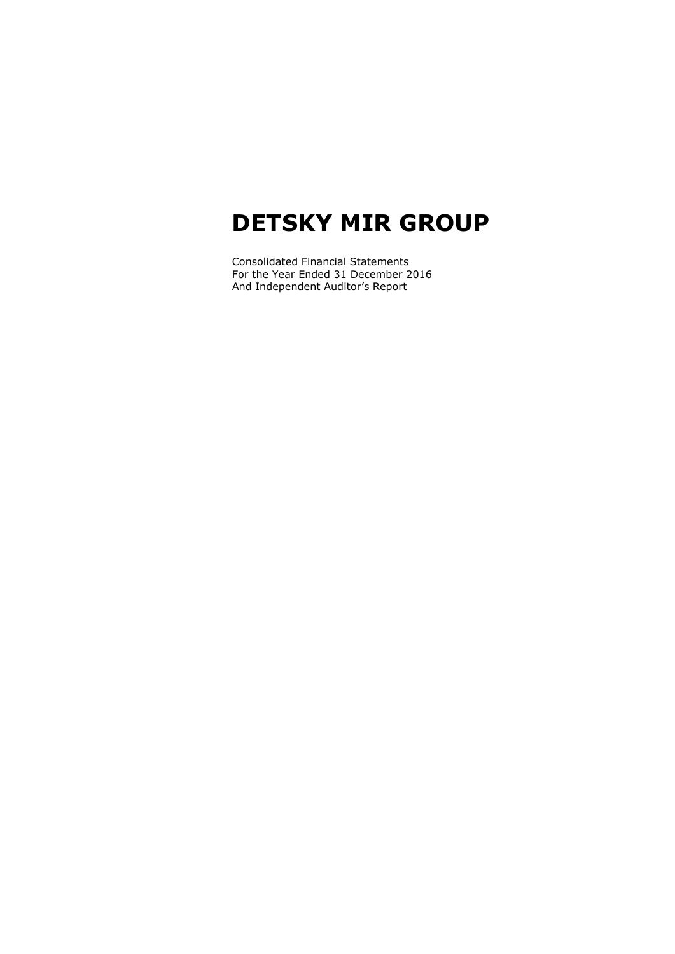Consolidated Financial Statements For the Year Ended 31 December 2016 And Independent Auditor's Report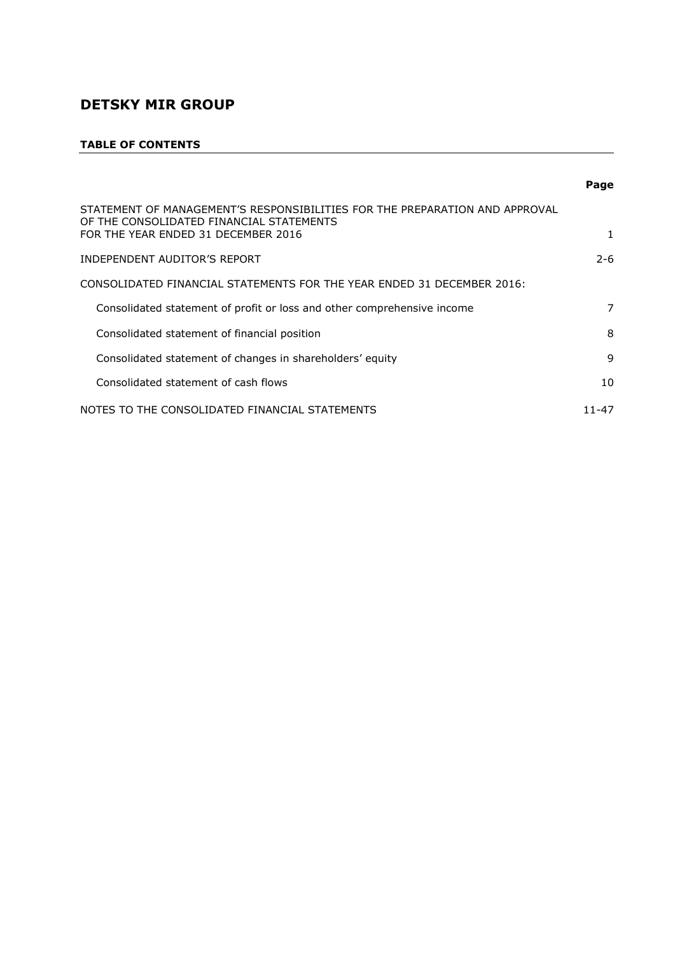#### **TABLE OF CONTENTS**

|                                                                                                                                                                | Page  |
|----------------------------------------------------------------------------------------------------------------------------------------------------------------|-------|
| STATEMENT OF MANAGEMENT'S RESPONSIBILITIES FOR THE PREPARATION AND APPROVAL<br>OF THE CONSOLIDATED FINANCIAL STATEMENTS<br>FOR THE YEAR ENDED 31 DECEMBER 2016 | 1     |
| INDEPENDENT AUDITOR'S REPORT                                                                                                                                   | 2-6   |
| CONSOLIDATED FINANCIAL STATEMENTS FOR THE YEAR ENDED 31 DECEMBER 2016:                                                                                         |       |
| Consolidated statement of profit or loss and other comprehensive income                                                                                        | 7     |
| Consolidated statement of financial position                                                                                                                   | 8     |
| Consolidated statement of changes in shareholders' equity                                                                                                      | 9     |
| Consolidated statement of cash flows                                                                                                                           | 10    |
| NOTES TO THE CONSOLIDATED FINANCIAL STATEMENTS                                                                                                                 | 11-47 |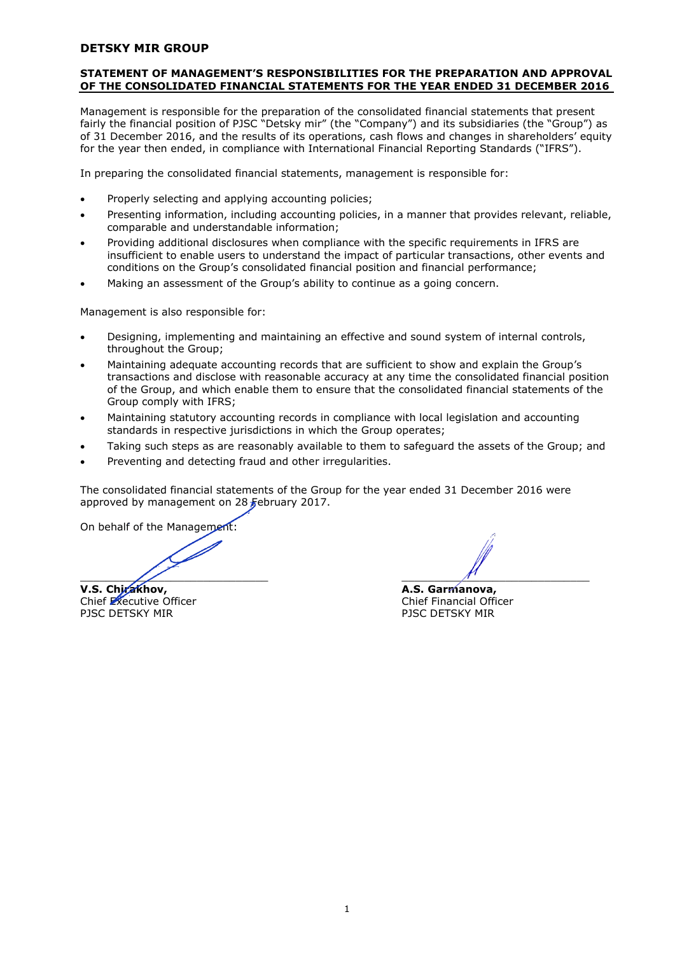#### **STATEMENT OF MANAGEMENT'S RESPONSIBILITIES FOR THE PREPARATION AND APPROVAL OF THE CONSOLIDATED FINANCIAL STATEMENTS FOR THE YEAR ENDED 31 DECEMBER 2016**

Management is responsible for the preparation of the consolidated financial statements that present fairly the financial position of PJSC "Detsky mir" (the "Company") and its subsidiaries (the "Group") as of 31 December 2016, and the results of its operations, cash flows and changes in shareholders' equity for the year then ended, in compliance with International Financial Reporting Standards ("IFRS").

In preparing the consolidated financial statements, management is responsible for:

- Properly selecting and applying accounting policies;
- Presenting information, including accounting policies, in a manner that provides relevant, reliable, comparable and understandable information;
- Providing additional disclosures when compliance with the specific requirements in IFRS are insufficient to enable users to understand the impact of particular transactions, other events and conditions on the Group's consolidated financial position and financial performance;
- Making an assessment of the Group's ability to continue as a going concern.

Management is also responsible for:

- Designing, implementing and maintaining an effective and sound system of internal controls, throughout the Group;
- Maintaining adequate accounting records that are sufficient to show and explain the Group's transactions and disclose with reasonable accuracy at any time the consolidated financial position of the Group, and which enable them to ensure that the consolidated financial statements of the Group comply with IFRS;
- Maintaining statutory accounting records in compliance with local legislation and accounting standards in respective jurisdictions in which the Group operates;
- Taking such steps as are reasonably available to them to safeguard the assets of the Group; and
- Preventing and detecting fraud and other irregularities.

The consolidated financial statements of the Group for the year ended 31 December 2016 were approved by management on  $28$  February 2017.

On behalf of the Management:

 $\overline{\phantom{a}}$  ,  $\overline{\phantom{a}}$  ,  $\overline{\phantom{a}}$  ,  $\overline{\phantom{a}}$  ,  $\overline{\phantom{a}}$  ,  $\overline{\phantom{a}}$  ,  $\overline{\phantom{a}}$  ,  $\overline{\phantom{a}}$  ,  $\overline{\phantom{a}}$  ,  $\overline{\phantom{a}}$  ,  $\overline{\phantom{a}}$  ,  $\overline{\phantom{a}}$  ,  $\overline{\phantom{a}}$  ,  $\overline{\phantom{a}}$  ,  $\overline{\phantom{a}}$  ,  $\overline{\phantom{a}}$ **V.S. Chirakhov, Chirakhov, A.S. Garmanova, A.S. Garmanova, A.S. Garmanova, A.S. Garmanova, A.S. Garmanova, A.S.** 

Chief Executive Officer Chief Financial Officer PJSC DETSKY MIR **PJSC DETSKY MIR**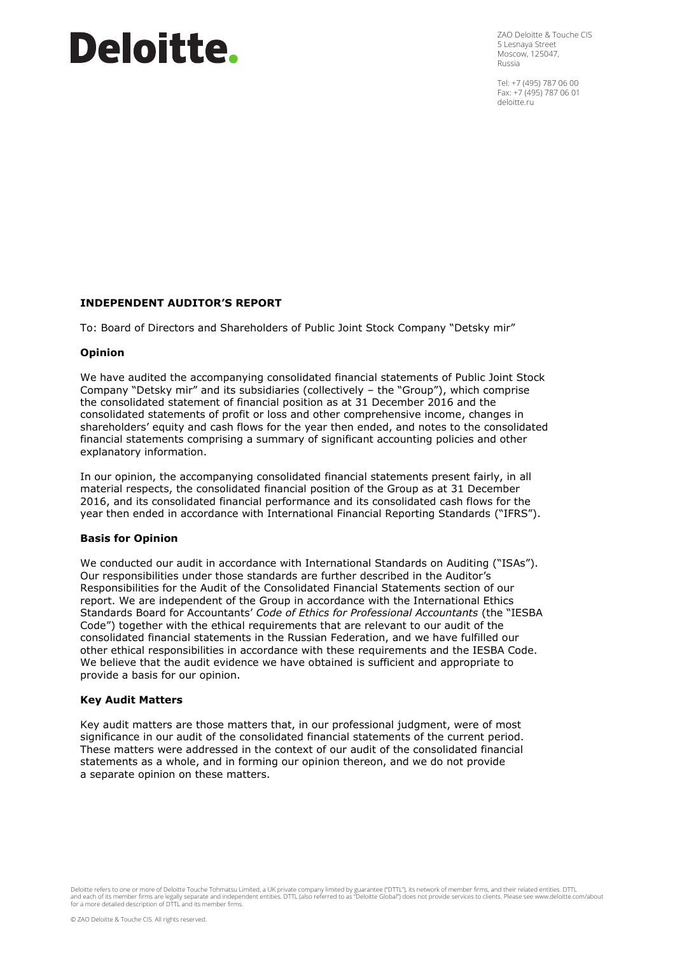# Deloitte.

ZAO Deloitte & Touche CIS 5 Lesnaya Street Moscow, 125047, Russia

Tel: +7 (495) 787 06 00 Fax: +7 (495) 787 06 01 deloitte.ru

#### **INDEPENDENT AUDITOR'S REPORT**

To: Board of Directors and Shareholders of Public Joint Stock Company "Detsky mir"

#### **Opinion**

We have audited the accompanying consolidated financial statements of Public Joint Stock Company "Detsky mir" and its subsidiaries (collectively – the "Group"), which comprise the consolidated statement of financial position as at 31 December 2016 and the consolidated statements of profit or loss and other comprehensive income, changes in shareholders' equity and cash flows for the year then ended, and notes to the consolidated financial statements comprising a summary of significant accounting policies and other explanatory information.

In our opinion, the accompanying consolidated financial statements present fairly, in all material respects, the consolidated financial position of the Group as at 31 December 2016, and its consolidated financial performance and its consolidated cash flows for the year then ended in accordance with International Financial Reporting Standards ("IFRS").

#### **Basis for Opinion**

We conducted our audit in accordance with International Standards on Auditing ("ISAs"). Our responsibilities under those standards are further described in the Auditor's Responsibilities for the Audit of the Consolidated Financial Statements section of our report. We are independent of the Group in accordance with the International Ethics Standards Board for Accountants' *Code of Ethics for Professional Accountants* (the "IESBA Code") together with the ethical requirements that are relevant to our audit of the consolidated financial statements in the Russian Federation, and we have fulfilled our other ethical responsibilities in accordance with these requirements and the IESBA Code. We believe that the audit evidence we have obtained is sufficient and appropriate to provide a basis for our opinion.

#### **Key Audit Matters**

Key audit matters are those matters that, in our professional judgment, were of most significance in our audit of the consolidated financial statements of the current period. These matters were addressed in the context of our audit of the consolidated financial statements as a whole, and in forming our opinion thereon, and we do not provide a separate opinion on these matters.

Deloitte refers to one or more of Deloitte Touche Tohmatsu Limited, a UK private company limited by guarantee ("DTTL"), its network of member firms, and their related entities. DTTL<br>and each of its member firms are legally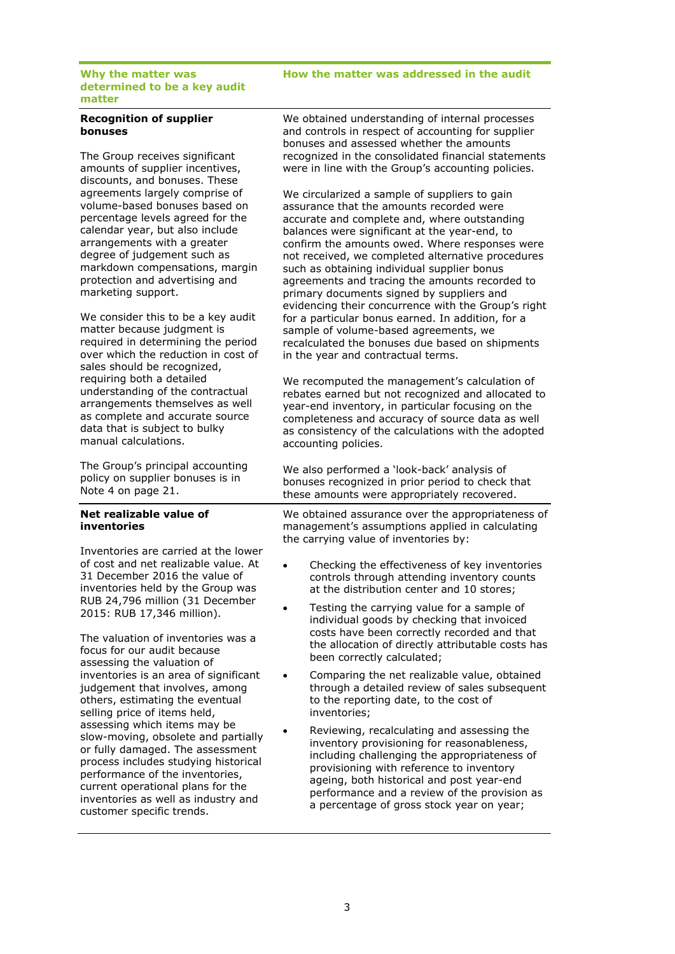#### **Why the matter was determined to be a key audit matter**

#### **How the matter was addressed in the audit**

#### **Recognition of supplier bonuses**

The Group receives significant amounts of supplier incentives, discounts, and bonuses. These agreements largely comprise of volume-based bonuses based on percentage levels agreed for the calendar year, but also include arrangements with a greater degree of judgement such as markdown compensations, margin protection and advertising and marketing support.

We consider this to be a key audit matter because judgment is required in determining the period over which the reduction in cost of sales should be recognized, requiring both a detailed understanding of the contractual arrangements themselves as well as complete and accurate source data that is subject to bulky manual calculations.

The Group's principal accounting policy on supplier bonuses is in Note 4 on page 21.

#### **Net realizable value of inventories**

Inventories are carried at the lower of cost and net realizable value. At 31 December 2016 the value of inventories held by the Group was RUB 24,796 million (31 December 2015: RUB 17,346 million).

The valuation of inventories was a focus for our audit because assessing the valuation of inventories is an area of significant judgement that involves, among others, estimating the eventual selling price of items held, assessing which items may be slow-moving, obsolete and partially or fully damaged. The assessment process includes studying historical performance of the inventories, current operational plans for the inventories as well as industry and customer specific trends.

We obtained understanding of internal processes and controls in respect of accounting for supplier bonuses and assessed whether the amounts recognized in the consolidated financial statements were in line with the Group's accounting policies.

We circularized a sample of suppliers to gain assurance that the amounts recorded were accurate and complete and, where outstanding balances were significant at the year-end, to confirm the amounts owed. Where responses were not received, we completed alternative procedures such as obtaining individual supplier bonus agreements and tracing the amounts recorded to primary documents signed by suppliers and evidencing their concurrence with the Group's right for a particular bonus earned. In addition, for a sample of volume-based agreements, we recalculated the bonuses due based on shipments in the year and contractual terms.

We recomputed the management's calculation of rebates earned but not recognized and allocated to year-end inventory, in particular focusing on the completeness and accuracy of source data as well as consistency of the calculations with the adopted accounting policies.

We also performed a 'look-back' analysis of bonuses recognized in prior period to check that these amounts were appropriately recovered.

We obtained assurance over the appropriateness of management's assumptions applied in calculating the carrying value of inventories by:

- Checking the effectiveness of key inventories controls through attending inventory counts at the distribution center and 10 stores;
- Testing the carrying value for a sample of individual goods by checking that invoiced costs have been correctly recorded and that the allocation of directly attributable costs has been correctly calculated;
- Comparing the net realizable value, obtained through a detailed review of sales subsequent to the reporting date, to the cost of inventories;
	- Reviewing, recalculating and assessing the inventory provisioning for reasonableness, including challenging the appropriateness of provisioning with reference to inventory ageing, both historical and post year-end performance and a review of the provision as a percentage of gross stock year on year;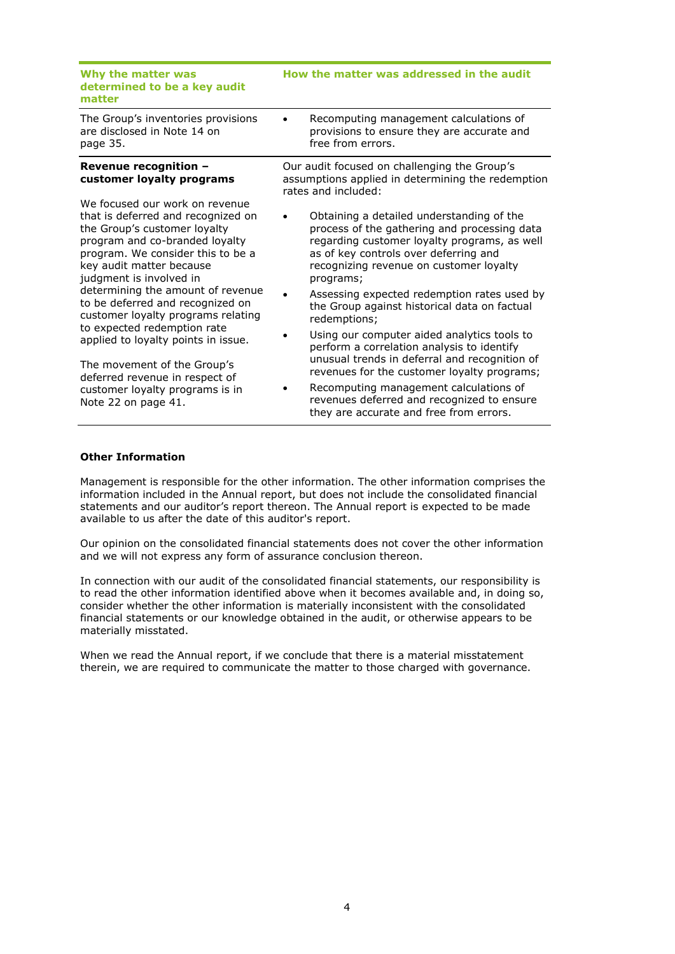| Why the matter was<br>determined to be a key audit<br>matter                                                                                                                                                                                                            | How the matter was addressed in the audit                                                                                                                                                                                                                                                 |
|-------------------------------------------------------------------------------------------------------------------------------------------------------------------------------------------------------------------------------------------------------------------------|-------------------------------------------------------------------------------------------------------------------------------------------------------------------------------------------------------------------------------------------------------------------------------------------|
| The Group's inventories provisions<br>are disclosed in Note 14 on<br>page 35.                                                                                                                                                                                           | Recomputing management calculations of<br>٠<br>provisions to ensure they are accurate and<br>free from errors.                                                                                                                                                                            |
| Revenue recognition -<br>customer loyalty programs                                                                                                                                                                                                                      | Our audit focused on challenging the Group's<br>assumptions applied in determining the redemption<br>rates and included:                                                                                                                                                                  |
| We focused our work on revenue<br>that is deferred and recognized on<br>the Group's customer loyalty<br>program and co-branded loyalty<br>program. We consider this to be a<br>key audit matter because<br>judgment is involved in<br>determining the amount of revenue | Obtaining a detailed understanding of the<br>process of the gathering and processing data<br>regarding customer loyalty programs, as well<br>as of key controls over deferring and<br>recognizing revenue on customer loyalty<br>programs;<br>Assessing expected redemption rates used by |
| to be deferred and recognized on<br>customer loyalty programs relating                                                                                                                                                                                                  | the Group against historical data on factual<br>redemptions;                                                                                                                                                                                                                              |
| to expected redemption rate<br>applied to loyalty points in issue.                                                                                                                                                                                                      | Using our computer aided analytics tools to<br>perform a correlation analysis to identify                                                                                                                                                                                                 |
| The movement of the Group's<br>deferred revenue in respect of<br>customer loyalty programs is in<br>Note 22 on page 41.                                                                                                                                                 | unusual trends in deferral and recognition of<br>revenues for the customer loyalty programs;<br>Recomputing management calculations of<br>revenues deferred and recognized to ensure<br>they are accurate and free from errors.                                                           |

#### **Other Information**

Management is responsible for the other information. The other information comprises the information included in the Annual report, but does not include the consolidated financial statements and our auditor's report thereon. The Annual report is expected to be made available to us after the date of this auditor's report.

Our opinion on the consolidated financial statements does not cover the other information and we will not express any form of assurance conclusion thereon.

In connection with our audit of the consolidated financial statements, our responsibility is to read the other information identified above when it becomes available and, in doing so, consider whether the other information is materially inconsistent with the consolidated financial statements or our knowledge obtained in the audit, or otherwise appears to be materially misstated.

When we read the Annual report, if we conclude that there is a material misstatement therein, we are required to communicate the matter to those charged with governance.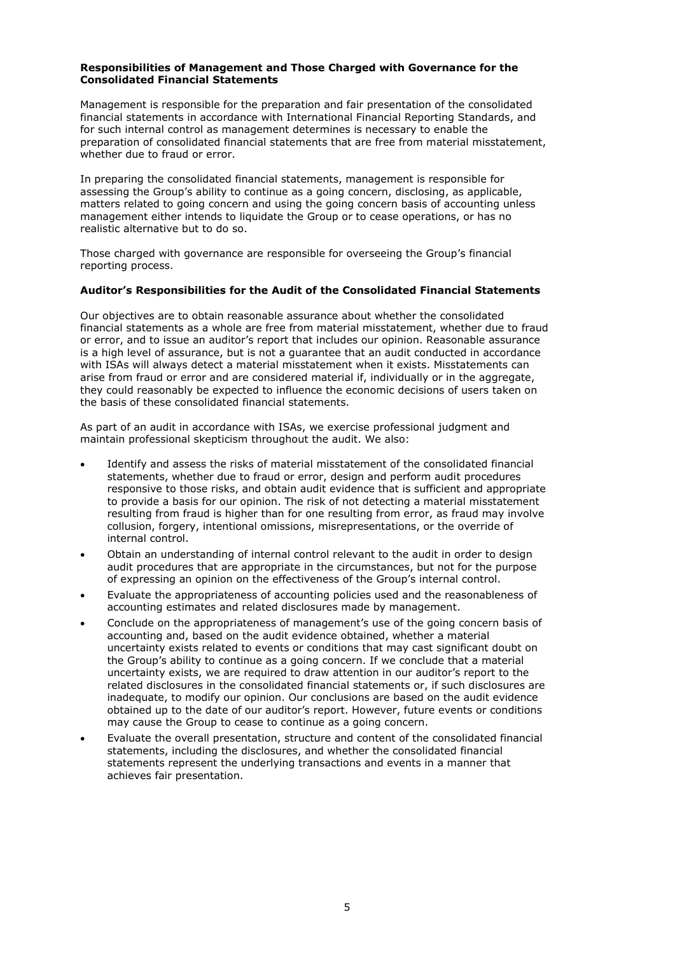#### **Responsibilities of Management and Those Charged with Governance for the Consolidated Financial Statements**

Management is responsible for the preparation and fair presentation of the consolidated financial statements in accordance with International Financial Reporting Standards, and for such internal control as management determines is necessary to enable the preparation of consolidated financial statements that are free from material misstatement, whether due to fraud or error.

In preparing the consolidated financial statements, management is responsible for assessing the Group's ability to continue as a going concern, disclosing, as applicable, matters related to going concern and using the going concern basis of accounting unless management either intends to liquidate the Group or to cease operations, or has no realistic alternative but to do so.

Those charged with governance are responsible for overseeing the Group's financial reporting process.

#### **Auditor's Responsibilities for the Audit of the Consolidated Financial Statements**

Our objectives are to obtain reasonable assurance about whether the consolidated financial statements as a whole are free from material misstatement, whether due to fraud or error, and to issue an auditor's report that includes our opinion. Reasonable assurance is a high level of assurance, but is not a guarantee that an audit conducted in accordance with ISAs will always detect a material misstatement when it exists. Misstatements can arise from fraud or error and are considered material if, individually or in the aggregate, they could reasonably be expected to influence the economic decisions of users taken on the basis of these consolidated financial statements.

As part of an audit in accordance with ISAs, we exercise professional judgment and maintain professional skepticism throughout the audit. We also:

- Identify and assess the risks of material misstatement of the consolidated financial statements, whether due to fraud or error, design and perform audit procedures responsive to those risks, and obtain audit evidence that is sufficient and appropriate to provide a basis for our opinion. The risk of not detecting a material misstatement resulting from fraud is higher than for one resulting from error, as fraud may involve collusion, forgery, intentional omissions, misrepresentations, or the override of internal control.
- Obtain an understanding of internal control relevant to the audit in order to design audit procedures that are appropriate in the circumstances, but not for the purpose of expressing an opinion on the effectiveness of the Group's internal control.
- Evaluate the appropriateness of accounting policies used and the reasonableness of accounting estimates and related disclosures made by management.
- Conclude on the appropriateness of management's use of the going concern basis of accounting and, based on the audit evidence obtained, whether a material uncertainty exists related to events or conditions that may cast significant doubt on the Group's ability to continue as a going concern. If we conclude that a material uncertainty exists, we are required to draw attention in our auditor's report to the related disclosures in the consolidated financial statements or, if such disclosures are inadequate, to modify our opinion. Our conclusions are based on the audit evidence obtained up to the date of our auditor's report. However, future events or conditions may cause the Group to cease to continue as a going concern.
- Evaluate the overall presentation, structure and content of the consolidated financial statements, including the disclosures, and whether the consolidated financial statements represent the underlying transactions and events in a manner that achieves fair presentation.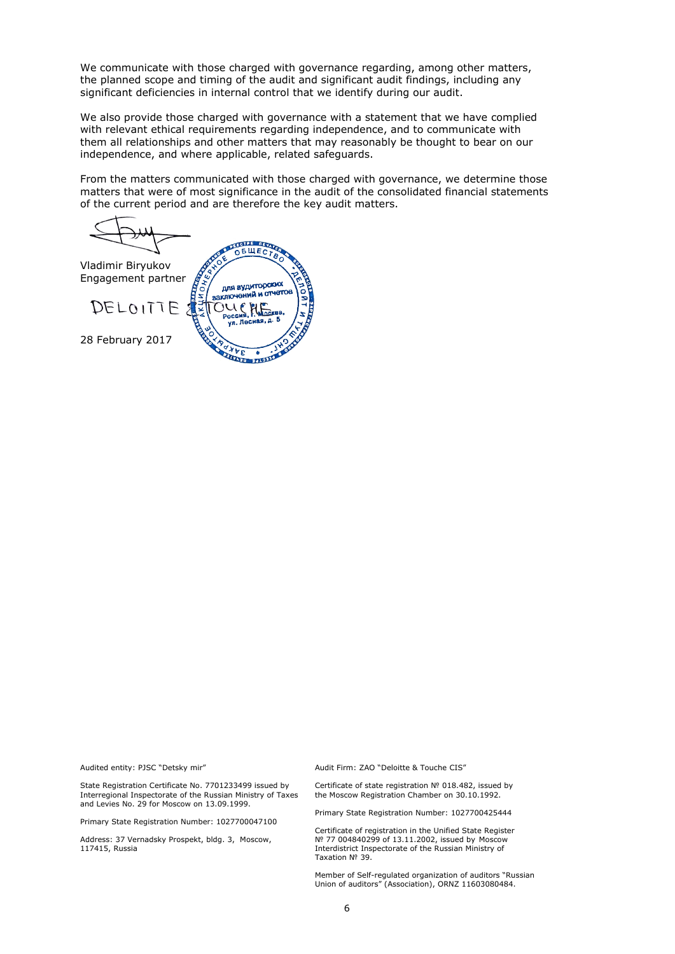We communicate with those charged with governance regarding, among other matters, the planned scope and timing of the audit and significant audit findings, including any significant deficiencies in internal control that we identify during our audit.

We also provide those charged with governance with a statement that we have complied with relevant ethical requirements regarding independence, and to communicate with them all relationships and other matters that may reasonably be thought to bear on our independence, and where applicable, related safeguards.

From the matters communicated with those charged with governance, we determine those matters that were of most significance in the audit of the consolidated financial statements of the current period and are therefore the key audit matters.

**DEWECT** Vladimir Biryukov Engagement partner для аудиторских для аудиторый --DELOITTE UCHE Poci um MAC 28 February 2017 **DUCED FIELD** 

Audited entity: PJSC "Detsky mir"

State Registration Certificate No. 7701233499 issued by Interregional Inspectorate of the Russian Ministry of Taxes and Levies No. 29 for Moscow on 13.09.1999.

Primary State Registration Number: 1027700047100

Address: 37 Vernadsky Prospekt, bldg. 3, Moscow, 117415, Russia

Audit Firm: ZAO "Deloitte & Touche CIS"

Certificate of state registration № 018.482, issued by the Moscow Registration Chamber on 30.10.1992.

Primary State Registration Number: 1027700425444

Certificate of registration in the Unified State Register № 77 004840299 of 13.11.2002, issued by Moscow Interdistrict Inspectorate of the Russian Ministry of Taxation № 39.

Member of Self-regulated organization of auditors "Russian Union of auditors" (Association), ORNZ 11603080484.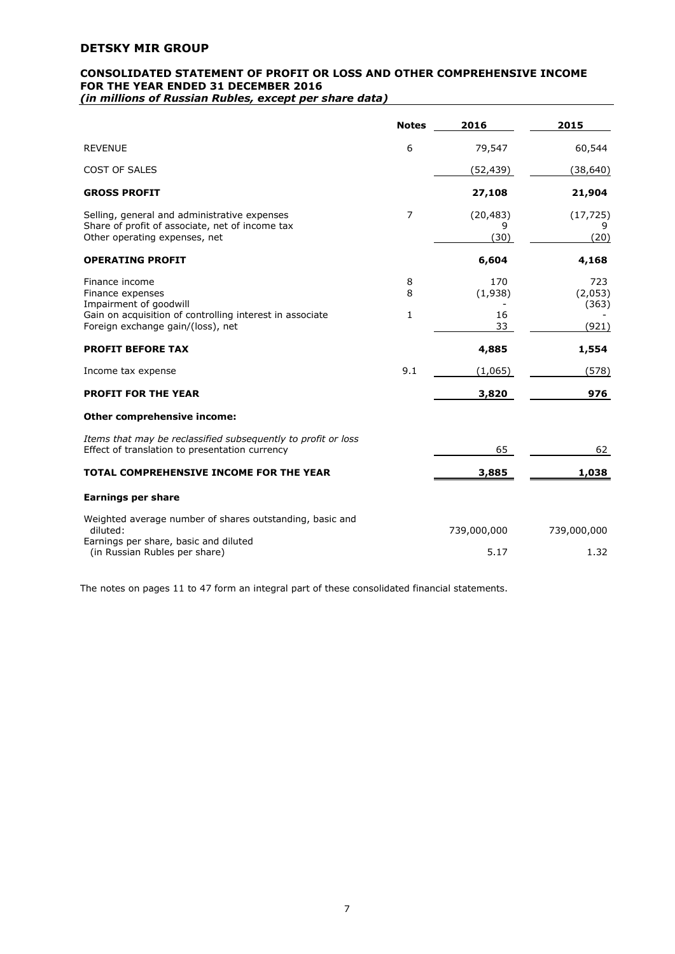#### **CONSOLIDATED STATEMENT OF PROFIT OR LOSS AND OTHER COMPREHENSIVE INCOME FOR THE YEAR ENDED 31 DECEMBER 2016** *(in millions of Russian Rubles, except per share data)*

|                                                                                                                                  | <b>Notes</b> | 2016                   | 2015                    |
|----------------------------------------------------------------------------------------------------------------------------------|--------------|------------------------|-------------------------|
| <b>REVENUE</b>                                                                                                                   | 6            | 79,547                 | 60,544                  |
| <b>COST OF SALES</b>                                                                                                             |              | (52,439)               | (38, 640)               |
| <b>GROSS PROFIT</b>                                                                                                              |              | 27,108                 | 21,904                  |
| Selling, general and administrative expenses<br>Share of profit of associate, net of income tax<br>Other operating expenses, net | 7            | (20, 483)<br>9<br>(30) | (17, 725)<br>9<br>(20)  |
| <b>OPERATING PROFIT</b>                                                                                                          |              | 6,604                  | 4,168                   |
| Finance income<br>Finance expenses<br>Impairment of goodwill                                                                     | 8<br>8       | 170<br>(1,938)         | 723<br>(2,053)<br>(363) |
| Gain on acquisition of controlling interest in associate<br>Foreign exchange gain/(loss), net                                    | $\mathbf{1}$ | 16<br>33               | (921)                   |
| <b>PROFIT BEFORE TAX</b>                                                                                                         |              | 4,885                  | 1,554                   |
| Income tax expense                                                                                                               | 9.1          | (1,065)                | (578)                   |
| <b>PROFIT FOR THE YEAR</b>                                                                                                       |              | 3,820                  | 976                     |
| Other comprehensive income:                                                                                                      |              |                        |                         |
| Items that may be reclassified subsequently to profit or loss<br>Effect of translation to presentation currency                  |              | 65                     | 62                      |
| TOTAL COMPREHENSIVE INCOME FOR THE YEAR                                                                                          |              | 3,885                  | 1,038                   |
| <b>Earnings per share</b>                                                                                                        |              |                        |                         |
| Weighted average number of shares outstanding, basic and<br>diluted:<br>Earnings per share, basic and diluted                    |              | 739,000,000            | 739,000,000             |
| (in Russian Rubles per share)                                                                                                    |              | 5.17                   | 1.32                    |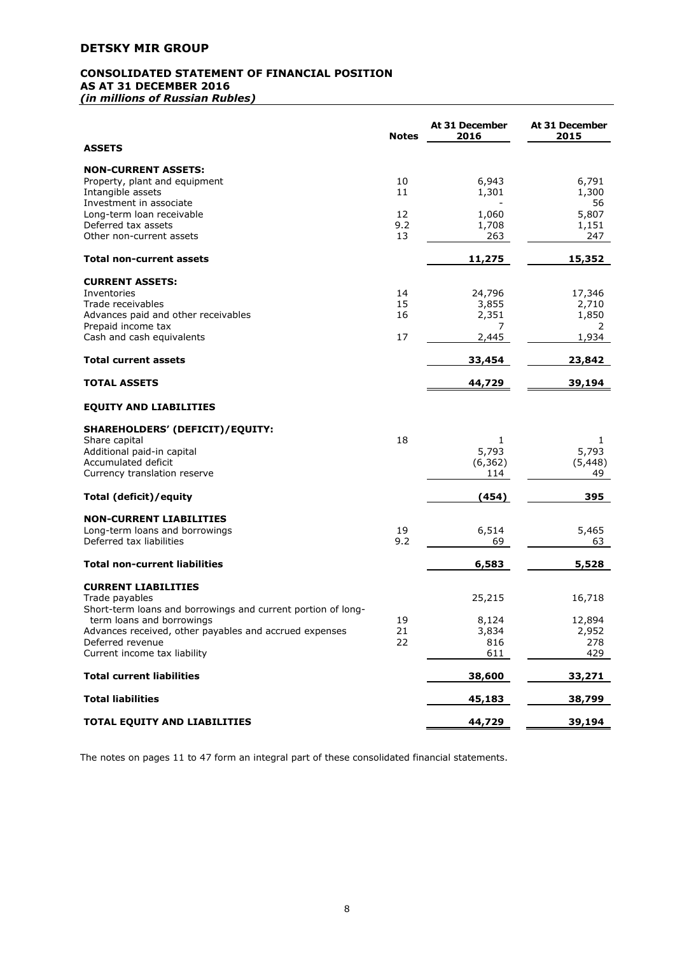#### **CONSOLIDATED STATEMENT OF FINANCIAL POSITION AS AT 31 DECEMBER 2016** *(in millions of Russian Rubles)*

|                                                                                     | <b>Notes</b> | At 31 December<br>2016 | At 31 December<br>2015 |
|-------------------------------------------------------------------------------------|--------------|------------------------|------------------------|
| <b>ASSETS</b>                                                                       |              |                        |                        |
| <b>NON-CURRENT ASSETS:</b>                                                          |              |                        |                        |
| Property, plant and equipment                                                       | 10           | 6,943                  | 6,791                  |
| Intangible assets<br>Investment in associate                                        | 11           | 1,301                  | 1,300<br>56            |
| Long-term loan receivable                                                           | 12           | 1,060                  | 5,807                  |
| Deferred tax assets                                                                 | 9.2          | 1,708                  | 1,151                  |
| Other non-current assets                                                            | 13           | 263                    | 247                    |
| Total non-current assets                                                            |              | 11,275                 | 15,352                 |
| <b>CURRENT ASSETS:</b>                                                              |              |                        |                        |
| Inventories                                                                         | 14           | 24,796                 | 17,346                 |
| Trade receivables                                                                   | 15           | 3,855                  | 2,710                  |
| Advances paid and other receivables<br>Prepaid income tax                           | 16           | 2,351<br>7             | 1,850                  |
| Cash and cash equivalents                                                           | 17           | 2,445                  | 2<br>1,934             |
| <b>Total current assets</b>                                                         |              | 33,454                 | 23,842                 |
| <b>TOTAL ASSETS</b>                                                                 |              | 44,729                 | 39,194                 |
| <b>EQUITY AND LIABILITIES</b>                                                       |              |                        |                        |
| SHAREHOLDERS' (DEFICIT)/EQUITY:                                                     |              |                        |                        |
| Share capital                                                                       | 18           | 1                      | 1                      |
| Additional paid-in capital                                                          |              | 5,793                  | 5,793                  |
| Accumulated deficit                                                                 |              | (6, 362)               | (5, 448)               |
| Currency translation reserve                                                        |              | 114                    | 49                     |
| Total (deficit)/equity                                                              |              | (454)                  | 395                    |
| <b>NON-CURRENT LIABILITIES</b>                                                      |              |                        |                        |
| Long-term loans and borrowings                                                      | 19           | 6,514                  | 5,465                  |
| Deferred tax liabilities                                                            | 9.2          | 69                     | 63                     |
| Total non-current liabilities                                                       |              | 6,583                  | 5,528                  |
| <b>CURRENT LIABILITIES</b>                                                          |              |                        |                        |
| Trade payables                                                                      |              | 25,215                 | 16,718                 |
| Short-term loans and borrowings and current portion of long-                        |              |                        |                        |
| term loans and borrowings<br>Advances received, other payables and accrued expenses | 19<br>21     | 8,124<br>3,834         | 12,894<br>2,952        |
| Deferred revenue                                                                    | 22           | 816                    | 278                    |
| Current income tax liability                                                        |              | 611                    | 429                    |
| <b>Total current liabilities</b>                                                    |              | 38,600                 | 33,271                 |
| <b>Total liabilities</b>                                                            |              | 45,183                 | 38,799                 |
| TOTAL EQUITY AND LIABILITIES                                                        |              | 44,729                 | 39,194                 |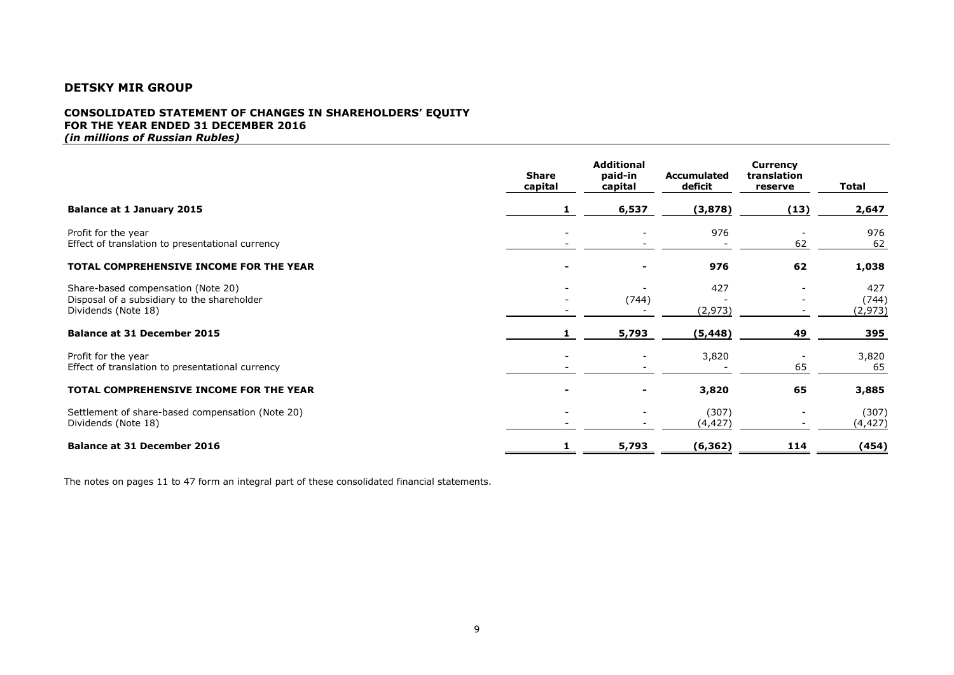#### **CONSOLIDATED STATEMENT OF CHANGES IN SHAREHOLDERS' EQUITY FOR THE YEAR ENDED 31 DECEMBER 2016** *(in millions of Russian Rubles)*

**Share capital Additional paid-in capital Accumulated deficit Currency translation reserve Total Balance at 1 January 2015 1 6,537 (3,878) (13) 2,647** Profit for the year - - 976 - 976 - 976 - 976 - 976 - 976 - 976 - 976 - 976 - 976 - 976 - 976 - 976 - 976 - 97 Effect of translation to presentational currency and the set of the set of translation to presentational currency of the set of the set of the set of the set of the set of the set of the set of the set of the set of the se **TOTAL COMPREHENSIVE INCOME FOR THE YEAR - - 976 62 1,038** Share-based compensation (Note 20) and the state of the state of the state of the state of the state of the state of the state of the state of the state of the state of the state of the state of the state of the state of t Disposal of a subsidiary to the shareholder (744) (744) (744) (744) (744) (744) (744) (744) (744) (744) (744) Dividends (Note 18) - - (2,973) - (2,973) **Balance at 31 December 2015 1 5,793 (5,448) 49 395** Profit for the year - - 3,820 - 3,820 Effect of translation to presentational currency and the set of the set of the set of translation to presentational currency and the set of the set of the set of the set of the set of the set of the set of the set of the s **TOTAL COMPREHENSIVE INCOME FOR THE YEAR - - 3,820 65 3,885** Settlement of share-based compensation (Note 20) - - (307) - (307)  $Dividends (Note 18)$   $(4,427)$   $(4,427)$ **Balance at 31 December 2016 1 5,793 (6,362) 114 (454)**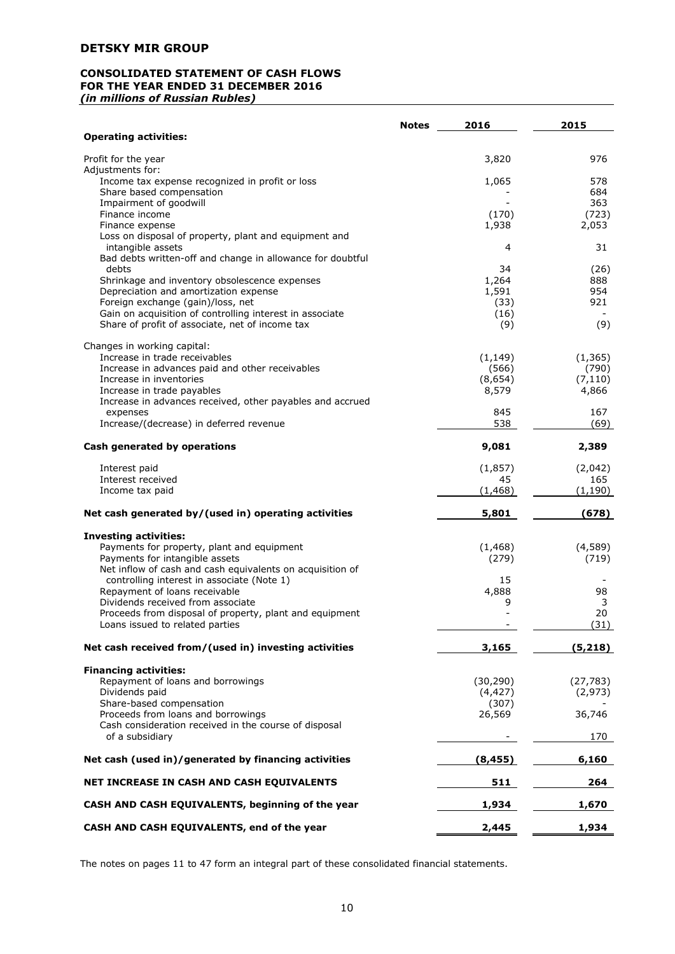#### **CONSOLIDATED STATEMENT OF CASH FLOWS FOR THE YEAR ENDED 31 DECEMBER 2016** *(in millions of Russian Rubles)*

|                                                                                                         | <b>Notes</b> | 2016             | 2015              |
|---------------------------------------------------------------------------------------------------------|--------------|------------------|-------------------|
| <b>Operating activities:</b>                                                                            |              |                  |                   |
| Profit for the year                                                                                     |              | 3,820            | 976               |
| Adjustments for:<br>Income tax expense recognized in profit or loss                                     |              | 1,065            | 578               |
| Share based compensation                                                                                |              |                  | 684               |
| Impairment of goodwill                                                                                  |              |                  | 363               |
| Finance income                                                                                          |              | (170)            | (723)<br>2,053    |
| Finance expense<br>Loss on disposal of property, plant and equipment and                                |              | 1,938            |                   |
| intangible assets                                                                                       |              | 4                | 31                |
| Bad debts written-off and change in allowance for doubtful                                              |              |                  |                   |
| debts                                                                                                   |              | 34               | (26)              |
| Shrinkage and inventory obsolescence expenses                                                           |              | 1,264<br>1,591   | 888<br>954        |
| Depreciation and amortization expense<br>Foreign exchange (gain)/loss, net                              |              | (33)             | 921               |
| Gain on acquisition of controlling interest in associate                                                |              | (16)             |                   |
| Share of profit of associate, net of income tax                                                         |              | (9)              | (9)               |
| Changes in working capital:                                                                             |              |                  |                   |
| Increase in trade receivables                                                                           |              | (1, 149)         | (1, 365)          |
| Increase in advances paid and other receivables                                                         |              | (566)            | (790)             |
| Increase in inventories<br>Increase in trade payables                                                   |              | (8,654)<br>8,579 | (7, 110)<br>4,866 |
| Increase in advances received, other payables and accrued                                               |              |                  |                   |
| expenses                                                                                                |              | 845              | 167               |
| Increase/(decrease) in deferred revenue                                                                 |              | 538              | (69)              |
| Cash generated by operations                                                                            |              | 9,081            | 2,389             |
| Interest paid                                                                                           |              | (1, 857)         | (2,042)           |
| Interest received                                                                                       |              | 45               | 165               |
| Income tax paid                                                                                         |              | (1, 468)         | (1, 190)          |
| Net cash generated by/(used in) operating activities                                                    |              | 5,801            | (678)             |
| <b>Investing activities:</b>                                                                            |              |                  |                   |
| Payments for property, plant and equipment                                                              |              | (1, 468)         | (4,589)           |
| Payments for intangible assets                                                                          |              | (279)            | (719)             |
| Net inflow of cash and cash equivalents on acquisition of<br>controlling interest in associate (Note 1) |              | 15               |                   |
| Repayment of loans receivable                                                                           |              | 4,888            | 98                |
| Dividends received from associate                                                                       |              | 9                | 3                 |
| Proceeds from disposal of property, plant and equipment                                                 |              |                  | 20                |
| Loans issued to related parties                                                                         |              |                  | (31)              |
| Net cash received from/(used in) investing activities                                                   |              | 3,165            | (5,218)           |
| <b>Financing activities:</b>                                                                            |              |                  |                   |
| Repayment of loans and borrowings                                                                       |              | (30, 290)        | (27, 783)         |
| Dividends paid                                                                                          |              | (4, 427)         | (2, 973)          |
| Share-based compensation                                                                                |              | (307)            |                   |
| Proceeds from loans and borrowings<br>Cash consideration received in the course of disposal             |              | 26,569           | 36,746            |
| of a subsidiary                                                                                         |              |                  | 170               |
| Net cash (used in)/generated by financing activities                                                    |              | (8, 455)         | 6,160             |
| NET INCREASE IN CASH AND CASH EQUIVALENTS                                                               |              | 511              | 264               |
| CASH AND CASH EQUIVALENTS, beginning of the year                                                        |              | 1,934            | 1,670             |
| CASH AND CASH EQUIVALENTS, end of the year                                                              |              | 2,445            | 1,934             |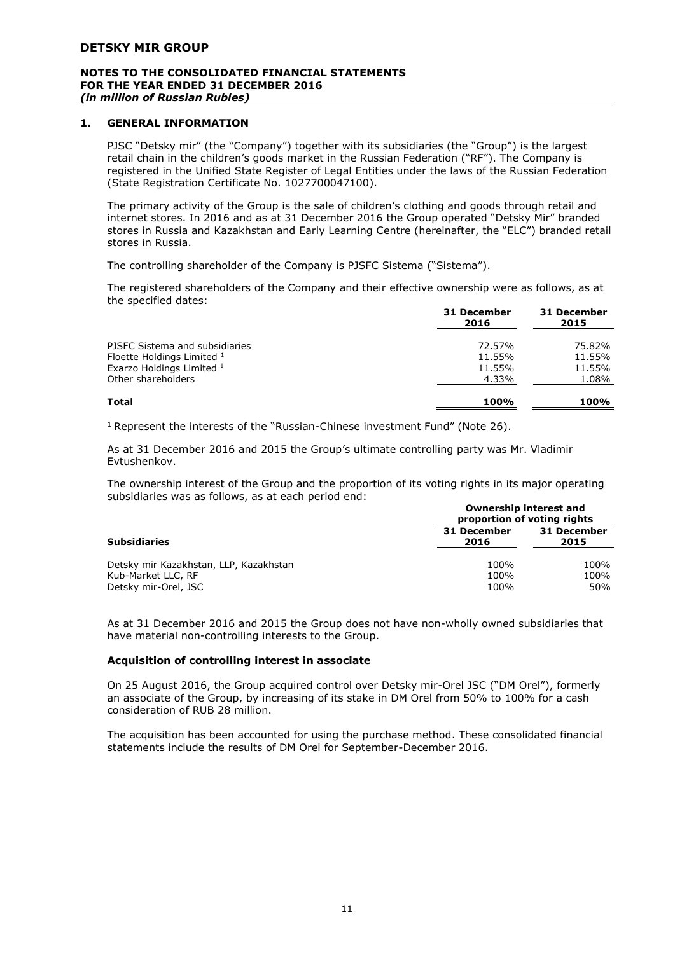#### **NOTES TO THE CONSOLIDATED FINANCIAL STATEMENTS FOR THE YEAR ENDED 31 DECEMBER 2016** *(in million of Russian Rubles)*

#### **1. GENERAL INFORMATION**

PJSC "Detsky mir" (the "Company") together with its subsidiaries (the "Group") is the largest retail chain in the children's goods market in the Russian Federation ("RF"). The Company is registered in the Unified State Register of Legal Entities under the laws of the Russian Federation (State Registration Certificate No. 1027700047100).

The primary activity of the Group is the sale of children's clothing and goods through retail and internet stores. In 2016 and as at 31 December 2016 the Group operated "Detsky Mir" branded stores in Russia and Kazakhstan and Early Learning Centre (hereinafter, the "ELC") branded retail stores in Russia.

The controlling shareholder of the Company is PJSFC Sistema ("Sistema").

The registered shareholders of the Company and their effective ownership were as follows, as at the specified dates:

|                                | <b>31 December</b><br>2016 | 31 December<br>2015 |
|--------------------------------|----------------------------|---------------------|
| PJSFC Sistema and subsidiaries | 72.57%                     | 75.82%              |
| Floette Holdings Limited 1     | 11.55%                     | 11.55%              |
| Exarzo Holdings Limited 1      | 11.55%                     | 11.55%              |
| Other shareholders             | 4.33%                      | 1.08%               |
| Total                          | 100%                       | 100%                |

<sup>1</sup> Represent the interests of the "Russian-Chinese investment Fund" (Note 26).

As at 31 December 2016 and 2015 the Group's ultimate controlling party was Mr. Vladimir Evtushenkov.

The ownership interest of the Group and the proportion of its voting rights in its major operating subsidiaries was as follows, as at each period end: **Ownership interest and** 

|                                        | <b>Ownership interest and</b><br>proportion of voting rights |                     |  |
|----------------------------------------|--------------------------------------------------------------|---------------------|--|
| <b>Subsidiaries</b>                    | 31 December<br>2016                                          | 31 December<br>2015 |  |
| Detsky mir Kazakhstan, LLP, Kazakhstan | 100%                                                         | 100%                |  |
| Kub-Market LLC, RF                     | 100%                                                         | 100%                |  |
| Detsky mir-Orel, JSC                   | 100%                                                         | 50%                 |  |

As at 31 December 2016 and 2015 the Group does not have non-wholly owned subsidiaries that have material non-controlling interests to the Group.

#### **Acquisition of controlling interest in associate**

On 25 August 2016, the Group acquired control over Detsky mir-Orel JSC ("DM Orel"), formerly an associate of the Group, by increasing of its stake in DM Orel from 50% to 100% for a cash consideration of RUB 28 million.

The acquisition has been accounted for using the purchase method. These consolidated financial statements include the results of DM Orel for September-December 2016.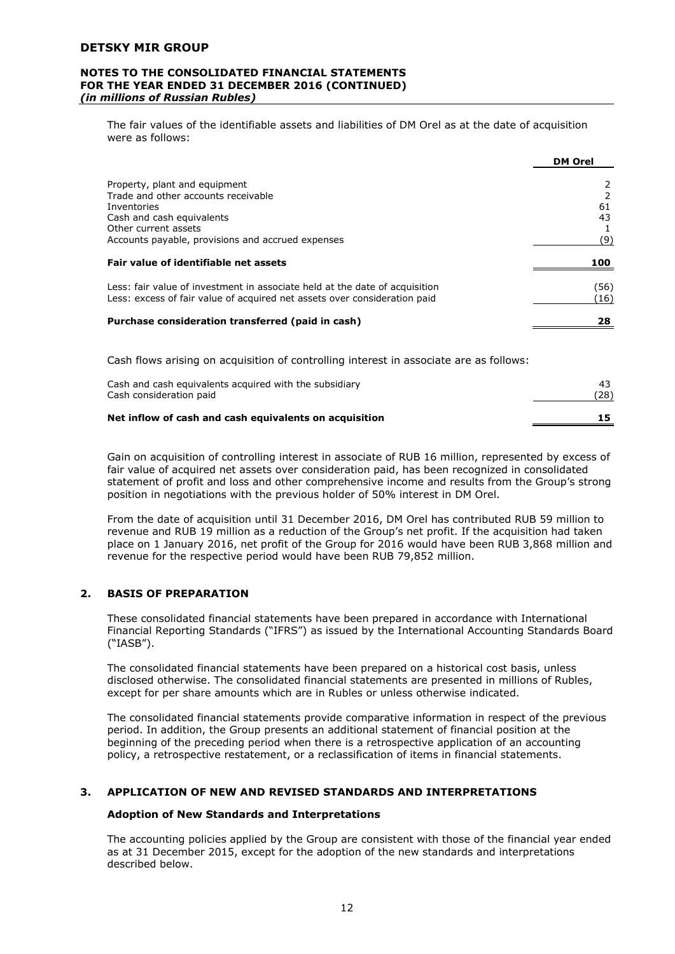#### **NOTES TO THE CONSOLIDATED FINANCIAL STATEMENTS FOR THE YEAR ENDED 31 DECEMBER 2016 (CONTINUED)** *(in millions of Russian Rubles)*

The fair values of the identifiable assets and liabilities of DM Orel as at the date of acquisition were as follows:

|                                                                             | <b>DM Orel</b> |
|-----------------------------------------------------------------------------|----------------|
| Property, plant and equipment                                               | 2              |
| Trade and other accounts receivable                                         |                |
| Inventories                                                                 | 61             |
| Cash and cash equivalents                                                   | 43             |
| Other current assets                                                        |                |
| Accounts payable, provisions and accrued expenses                           | (9)            |
| Fair value of identifiable net assets                                       | 100            |
| Less: fair value of investment in associate held at the date of acquisition | (56)           |
| Less: excess of fair value of acquired net assets over consideration paid   | (16)           |
| Purchase consideration transferred (paid in cash)                           | 28             |

Cash flows arising on acquisition of controlling interest in associate are as follows:

| Cash and cash equivalents acquired with the subsidiary | 43   |
|--------------------------------------------------------|------|
| Cash consideration paid                                | (28) |
| Net inflow of cash and cash equivalents on acquisition |      |

Gain on acquisition of controlling interest in associate of RUB 16 million, represented by excess of fair value of acquired net assets over consideration paid, has been recognized in consolidated statement of profit and loss and other comprehensive income and results from the Group's strong position in negotiations with the previous holder of 50% interest in DM Orel.

From the date of acquisition until 31 December 2016, DM Orel has contributed RUB 59 million to revenue and RUB 19 million as a reduction of the Group's net profit. If the acquisition had taken place on 1 January 2016, net profit of the Group for 2016 would have been RUB 3,868 million and revenue for the respective period would have been RUB 79,852 million.

#### **2. BASIS OF PREPARATION**

These consolidated financial statements have been prepared in accordance with International Financial Reporting Standards ("IFRS") as issued by the International Accounting Standards Board ("IASB").

The consolidated financial statements have been prepared on a historical cost basis, unless disclosed otherwise. The consolidated financial statements are presented in millions of Rubles, except for per share amounts which are in Rubles or unless otherwise indicated.

The consolidated financial statements provide comparative information in respect of the previous period. In addition, the Group presents an additional statement of financial position at the beginning of the preceding period when there is a retrospective application of an accounting policy, a retrospective restatement, or a reclassification of items in financial statements.

#### **3. APPLICATION OF NEW AND REVISED STANDARDS AND INTERPRETATIONS**

#### **Adoption of New Standards and Interpretations**

The accounting policies applied by the Group are consistent with those of the financial year ended as at 31 December 2015, except for the adoption of the new standards and interpretations described below.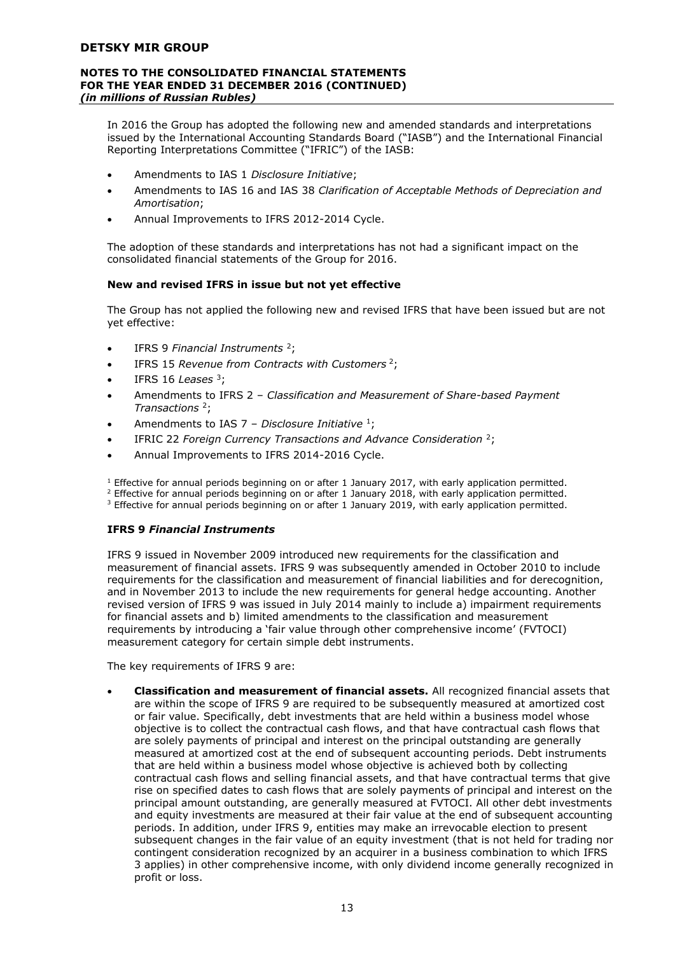#### **NOTES TO THE CONSOLIDATED FINANCIAL STATEMENTS FOR THE YEAR ENDED 31 DECEMBER 2016 (CONTINUED)** *(in millions of Russian Rubles)*

In 2016 the Group has adopted the following new and amended standards and interpretations issued by the International Accounting Standards Board ("IASB") and the International Financial Reporting Interpretations Committee ("IFRIC") of the IASB:

- Amendments to IAS 1 *Disclosure Initiative*;
- Amendments to IAS 16 and IAS 38 *Clarification of Acceptable Methods of Depreciation and Amortisation*;
- Annual Improvements to IFRS 2012-2014 Cycle.

The adoption of these standards and interpretations has not had a significant impact on the consolidated financial statements of the Group for 2016.

#### **New and revised IFRS in issue but not yet effective**

The Group has not applied the following new and revised IFRS that have been issued but are not yet effective:

- IFRS 9 *Financial Instruments* <sup>2</sup>;
- IFRS 15 *Revenue from Contracts with Customers* <sup>2</sup>;
- IFRS 16 *Leases* <sup>3</sup>;
- Amendments to IFRS 2 *Classification and Measurement of Share-based Payment Transactions* <sup>2</sup>;
- Amendments to IAS 7 *Disclosure Initiative* <sup>1</sup>;
- IFRIC 22 *Foreign Currency Transactions and Advance Consideration* <sup>2</sup>;
- Annual Improvements to IFRS 2014-2016 Cycle.

 $1$  Effective for annual periods beginning on or after 1 January 2017, with early application permitted.

<sup>2</sup> Effective for annual periods beginning on or after 1 January 2018, with early application permitted.

<sup>3</sup> Effective for annual periods beginning on or after 1 January 2019, with early application permitted.

#### **IFRS 9** *Financial Instruments*

IFRS 9 issued in November 2009 introduced new requirements for the classification and measurement of financial assets. IFRS 9 was subsequently amended in October 2010 to include requirements for the classification and measurement of financial liabilities and for derecognition, and in November 2013 to include the new requirements for general hedge accounting. Another revised version of IFRS 9 was issued in July 2014 mainly to include a) impairment requirements for financial assets and b) limited amendments to the classification and measurement requirements by introducing a 'fair value through other comprehensive income' (FVTOCI) measurement category for certain simple debt instruments.

The key requirements of IFRS 9 are:

 **Classification and measurement of financial assets.** All recognized financial assets that are within the scope of IFRS 9 are required to be subsequently measured at amortized cost or fair value. Specifically, debt investments that are held within a business model whose objective is to collect the contractual cash flows, and that have contractual cash flows that are solely payments of principal and interest on the principal outstanding are generally measured at amortized cost at the end of subsequent accounting periods. Debt instruments that are held within a business model whose objective is achieved both by collecting contractual cash flows and selling financial assets, and that have contractual terms that give rise on specified dates to cash flows that are solely payments of principal and interest on the principal amount outstanding, are generally measured at FVTOCI. All other debt investments and equity investments are measured at their fair value at the end of subsequent accounting periods. In addition, under IFRS 9, entities may make an irrevocable election to present subsequent changes in the fair value of an equity investment (that is not held for trading nor contingent consideration recognized by an acquirer in a business combination to which IFRS 3 applies) in other comprehensive income, with only dividend income generally recognized in profit or loss.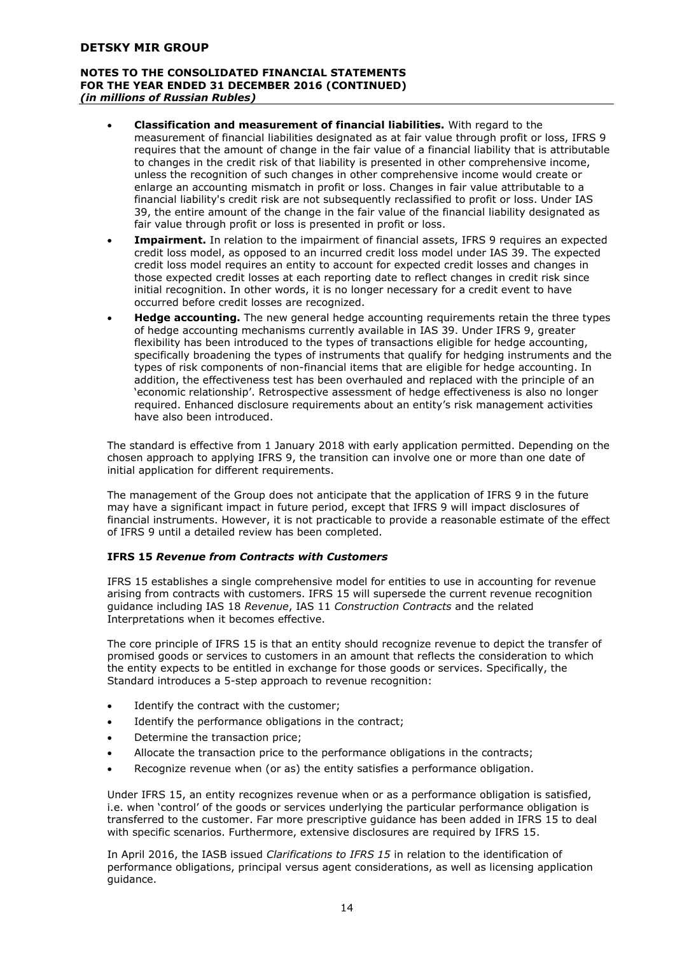#### **NOTES TO THE CONSOLIDATED FINANCIAL STATEMENTS FOR THE YEAR ENDED 31 DECEMBER 2016 (CONTINUED)** *(in millions of Russian Rubles)*

- **Classification and measurement of financial liabilities.** With regard to the measurement of financial liabilities designated as at fair value through profit or loss, IFRS 9 requires that the amount of change in the fair value of a financial liability that is attributable to changes in the credit risk of that liability is presented in other comprehensive income, unless the recognition of such changes in other comprehensive income would create or enlarge an accounting mismatch in profit or loss. Changes in fair value attributable to a financial liability's credit risk are not subsequently reclassified to profit or loss. Under IAS 39, the entire amount of the change in the fair value of the financial liability designated as fair value through profit or loss is presented in profit or loss.
- **Impairment.** In relation to the impairment of financial assets, IFRS 9 requires an expected credit loss model, as opposed to an incurred credit loss model under IAS 39. The expected credit loss model requires an entity to account for expected credit losses and changes in those expected credit losses at each reporting date to reflect changes in credit risk since initial recognition. In other words, it is no longer necessary for a credit event to have occurred before credit losses are recognized.
- **Hedge accounting.** The new general hedge accounting requirements retain the three types of hedge accounting mechanisms currently available in IAS 39. Under IFRS 9, greater flexibility has been introduced to the types of transactions eligible for hedge accounting, specifically broadening the types of instruments that qualify for hedging instruments and the types of risk components of non-financial items that are eligible for hedge accounting. In addition, the effectiveness test has been overhauled and replaced with the principle of an 'economic relationship'. Retrospective assessment of hedge effectiveness is also no longer required. Enhanced disclosure requirements about an entity's risk management activities have also been introduced.

The standard is effective from 1 January 2018 with early application permitted. Depending on the chosen approach to applying IFRS 9, the transition can involve one or more than one date of initial application for different requirements.

The management of the Group does not anticipate that the application of IFRS 9 in the future may have a significant impact in future period, except that IFRS 9 will impact disclosures of financial instruments. However, it is not practicable to provide a reasonable estimate of the effect of IFRS 9 until a detailed review has been completed.

#### **IFRS 15** *Revenue from Contracts with Customers*

IFRS 15 establishes a single comprehensive model for entities to use in accounting for revenue arising from contracts with customers. IFRS 15 will supersede the current revenue recognition guidance including IAS 18 *Revenue*, IAS 11 *Construction Contracts* and the related Interpretations when it becomes effective.

The core principle of IFRS 15 is that an entity should recognize revenue to depict the transfer of promised goods or services to customers in an amount that reflects the consideration to which the entity expects to be entitled in exchange for those goods or services. Specifically, the Standard introduces a 5-step approach to revenue recognition:

- Identify the contract with the customer;
- Identify the performance obligations in the contract;
- Determine the transaction price;
- Allocate the transaction price to the performance obligations in the contracts;
- Recognize revenue when (or as) the entity satisfies a performance obligation.

Under IFRS 15, an entity recognizes revenue when or as a performance obligation is satisfied, i.e. when 'control' of the goods or services underlying the particular performance obligation is transferred to the customer. Far more prescriptive guidance has been added in IFRS 15 to deal with specific scenarios. Furthermore, extensive disclosures are required by IFRS 15.

In April 2016, the IASB issued *Clarifications to IFRS 15* in relation to the identification of performance obligations, principal versus agent considerations, as well as licensing application guidance.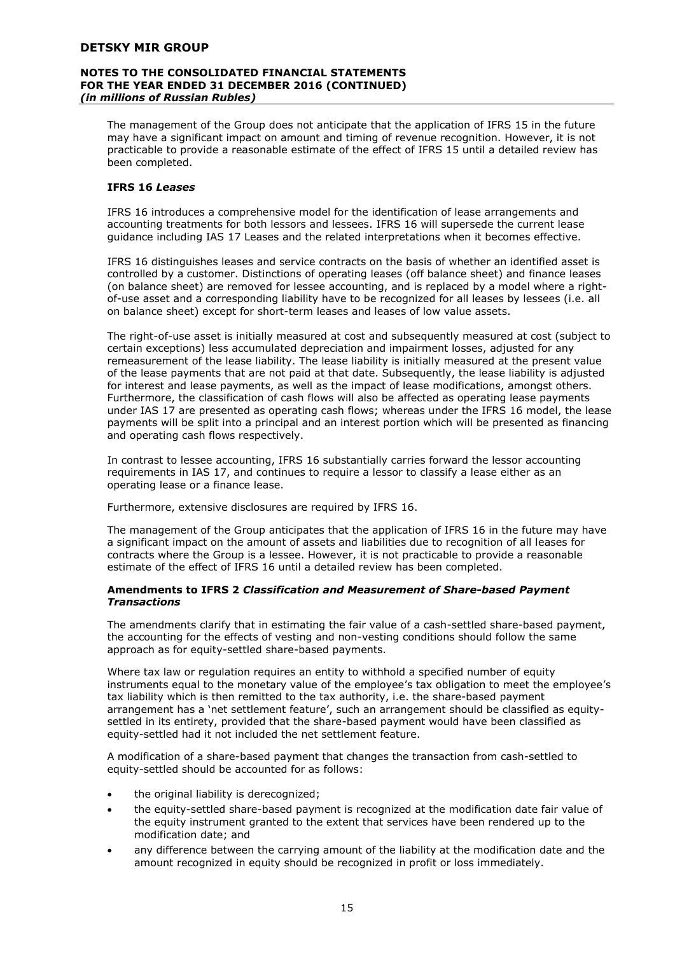#### **NOTES TO THE CONSOLIDATED FINANCIAL STATEMENTS FOR THE YEAR ENDED 31 DECEMBER 2016 (CONTINUED)** *(in millions of Russian Rubles)*

The management of the Group does not anticipate that the application of IFRS 15 in the future may have a significant impact on amount and timing of revenue recognition. However, it is not practicable to provide a reasonable estimate of the effect of IFRS 15 until a detailed review has been completed.

#### **IFRS 16** *Leases*

IFRS 16 introduces a comprehensive model for the identification of lease arrangements and accounting treatments for both lessors and lessees. IFRS 16 will supersede the current lease guidance including IAS 17 Leases and the related interpretations when it becomes effective.

IFRS 16 distinguishes leases and service contracts on the basis of whether an identified asset is controlled by a customer. Distinctions of operating leases (off balance sheet) and finance leases (on balance sheet) are removed for lessee accounting, and is replaced by a model where a rightof-use asset and a corresponding liability have to be recognized for all leases by lessees (i.e. all on balance sheet) except for short-term leases and leases of low value assets.

The right-of-use asset is initially measured at cost and subsequently measured at cost (subject to certain exceptions) less accumulated depreciation and impairment losses, adjusted for any remeasurement of the lease liability. The lease liability is initially measured at the present value of the lease payments that are not paid at that date. Subsequently, the lease liability is adjusted for interest and lease payments, as well as the impact of lease modifications, amongst others. Furthermore, the classification of cash flows will also be affected as operating lease payments under IAS 17 are presented as operating cash flows; whereas under the IFRS 16 model, the lease payments will be split into a principal and an interest portion which will be presented as financing and operating cash flows respectively.

In contrast to lessee accounting, IFRS 16 substantially carries forward the lessor accounting requirements in IAS 17, and continues to require a lessor to classify a lease either as an operating lease or a finance lease.

Furthermore, extensive disclosures are required by IFRS 16.

The management of the Group anticipates that the application of IFRS 16 in the future may have a significant impact on the amount of assets and liabilities due to recognition of all leases for contracts where the Group is a lessee. However, it is not practicable to provide a reasonable estimate of the effect of IFRS 16 until a detailed review has been completed.

#### **Amendments to IFRS 2** *Classification and Measurement of Share-based Payment Transactions*

The amendments clarify that in estimating the fair value of a cash-settled share-based payment, the accounting for the effects of vesting and non-vesting conditions should follow the same approach as for equity-settled share-based payments.

Where tax law or regulation requires an entity to withhold a specified number of equity instruments equal to the monetary value of the employee's tax obligation to meet the employee's tax liability which is then remitted to the tax authority, i.e. the share-based payment arrangement has a 'net settlement feature', such an arrangement should be classified as equitysettled in its entirety, provided that the share-based payment would have been classified as equity-settled had it not included the net settlement feature.

A modification of a share-based payment that changes the transaction from cash-settled to equity-settled should be accounted for as follows:

- the original liability is derecognized;
- the equity-settled share-based payment is recognized at the modification date fair value of the equity instrument granted to the extent that services have been rendered up to the modification date; and
- any difference between the carrying amount of the liability at the modification date and the amount recognized in equity should be recognized in profit or loss immediately.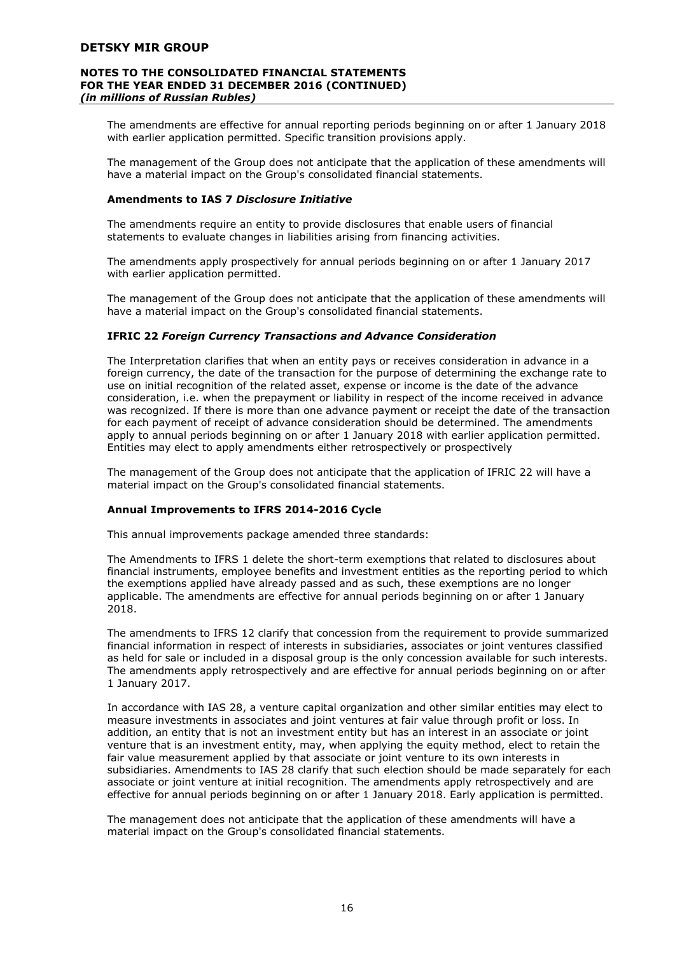#### **NOTES TO THE CONSOLIDATED FINANCIAL STATEMENTS FOR THE YEAR ENDED 31 DECEMBER 2016 (CONTINUED)** *(in millions of Russian Rubles)*

The amendments are effective for annual reporting periods beginning on or after 1 January 2018 with earlier application permitted. Specific transition provisions apply.

The management of the Group does not anticipate that the application of these amendments will have a material impact on the Group's consolidated financial statements.

#### **Amendments to IAS 7** *Disclosure Initiative*

The amendments require an entity to provide disclosures that enable users of financial statements to evaluate changes in liabilities arising from financing activities.

The amendments apply prospectively for annual periods beginning on or after 1 January 2017 with earlier application permitted.

The management of the Group does not anticipate that the application of these amendments will have a material impact on the Group's consolidated financial statements.

#### **IFRIC 22** *Foreign Currency Transactions and Advance Consideration*

The Interpretation clarifies that when an entity pays or receives consideration in advance in a foreign currency, the date of the transaction for the purpose of determining the exchange rate to use on initial recognition of the related asset, expense or income is the date of the advance consideration, i.e. when the prepayment or liability in respect of the income received in advance was recognized. If there is more than one advance payment or receipt the date of the transaction for each payment of receipt of advance consideration should be determined. The amendments apply to annual periods beginning on or after 1 January 2018 with earlier application permitted. Entities may elect to apply amendments either retrospectively or prospectively

The management of the Group does not anticipate that the application of IFRIC 22 will have a material impact on the Group's consolidated financial statements.

#### **Annual Improvements to IFRS 2014-2016 Cycle**

This annual improvements package amended three standards:

The Amendments to IFRS 1 delete the short-term exemptions that related to disclosures about financial instruments, employee benefits and investment entities as the reporting period to which the exemptions applied have already passed and as such, these exemptions are no longer applicable. The amendments are effective for annual periods beginning on or after 1 January 2018.

The amendments to IFRS 12 clarify that concession from the requirement to provide summarized financial information in respect of interests in subsidiaries, associates or joint ventures classified as held for sale or included in a disposal group is the only concession available for such interests. The amendments apply retrospectively and are effective for annual periods beginning on or after 1 January 2017.

In accordance with IAS 28, a venture capital organization and other similar entities may elect to measure investments in associates and joint ventures at fair value through profit or loss. In addition, an entity that is not an investment entity but has an interest in an associate or joint venture that is an investment entity, may, when applying the equity method, elect to retain the fair value measurement applied by that associate or joint venture to its own interests in subsidiaries. Amendments to IAS 28 clarify that such election should be made separately for each associate or joint venture at initial recognition. The amendments apply retrospectively and are effective for annual periods beginning on or after 1 January 2018. Early application is permitted.

The management does not anticipate that the application of these amendments will have a material impact on the Group's consolidated financial statements.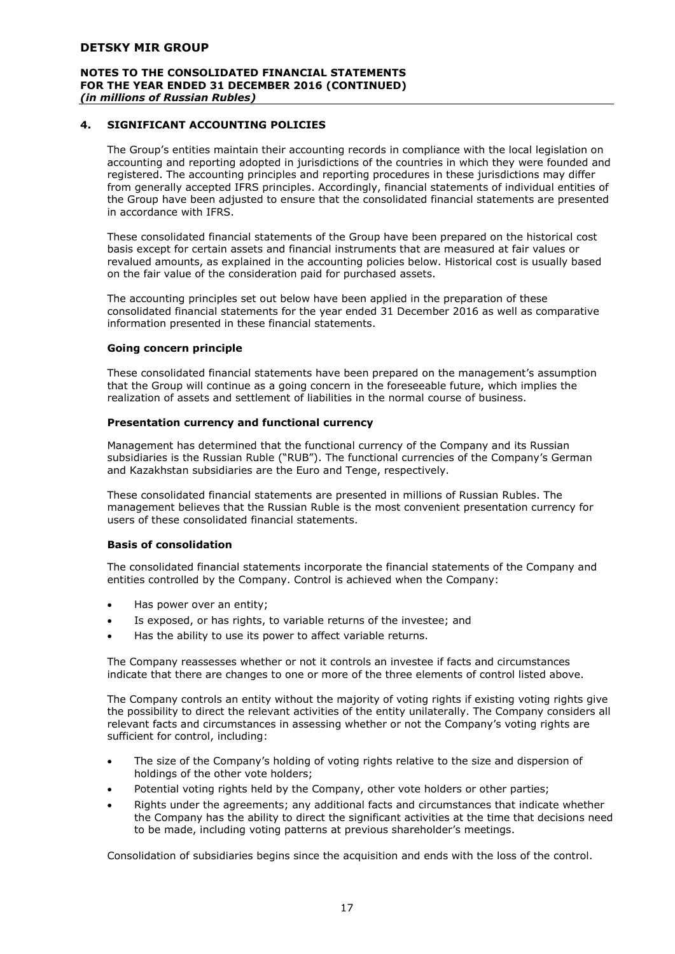#### **NOTES TO THE CONSOLIDATED FINANCIAL STATEMENTS FOR THE YEAR ENDED 31 DECEMBER 2016 (CONTINUED)** *(in millions of Russian Rubles)*

#### **4. SIGNIFICANT ACCOUNTING POLICIES**

The Group's entities maintain their accounting records in compliance with the local legislation on accounting and reporting adopted in jurisdictions of the countries in which they were founded and registered. The accounting principles and reporting procedures in these jurisdictions may differ from generally accepted IFRS principles. Accordingly, financial statements of individual entities of the Group have been adjusted to ensure that the consolidated financial statements are presented in accordance with IFRS.

These consolidated financial statements of the Group have been prepared on the historical cost basis except for certain assets and financial instruments that are measured at fair values or revalued amounts, as explained in the accounting policies below. Historical cost is usually based on the fair value of the consideration paid for purchased assets.

The accounting principles set out below have been applied in the preparation of these consolidated financial statements for the year ended 31 December 2016 as well as comparative information presented in these financial statements.

#### **Going concern principle**

These consolidated financial statements have been prepared on the management's assumption that the Group will continue as a going concern in the foreseeable future, which implies the realization of assets and settlement of liabilities in the normal course of business.

#### **Presentation currency and functional currency**

Management has determined that the functional currency of the Company and its Russian subsidiaries is the Russian Ruble ("RUB"). The functional currencies of the Company's German and Kazakhstan subsidiaries are the Euro and Tenge, respectively.

These consolidated financial statements are presented in millions of Russian Rubles. The management believes that the Russian Ruble is the most convenient presentation currency for users of these consolidated financial statements.

#### **Basis of consolidation**

The consolidated financial statements incorporate the financial statements of the Company and entities controlled by the Company. Control is achieved when the Company:

- Has power over an entity;
- Is exposed, or has rights, to variable returns of the investee; and
- Has the ability to use its power to affect variable returns.

The Company reassesses whether or not it controls an investee if facts and circumstances indicate that there are changes to one or more of the three elements of control listed above.

The Company controls an entity without the majority of voting rights if existing voting rights give the possibility to direct the relevant activities of the entity unilaterally. The Company considers all relevant facts and circumstances in assessing whether or not the Company's voting rights are sufficient for control, including:

- The size of the Company's holding of voting rights relative to the size and dispersion of holdings of the other vote holders;
- Potential voting rights held by the Company, other vote holders or other parties;
- Rights under the agreements; any additional facts and circumstances that indicate whether the Company has the ability to direct the significant activities at the time that decisions need to be made, including voting patterns at previous shareholder's meetings.

Consolidation of subsidiaries begins since the acquisition and ends with the loss of the control.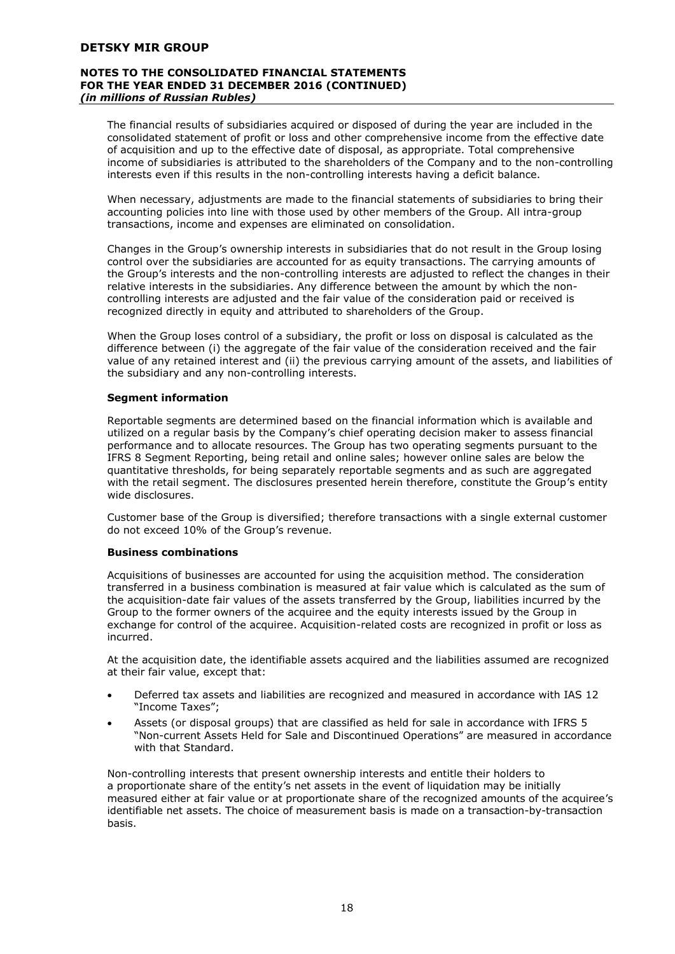#### **NOTES TO THE CONSOLIDATED FINANCIAL STATEMENTS FOR THE YEAR ENDED 31 DECEMBER 2016 (CONTINUED)** *(in millions of Russian Rubles)*

The financial results of subsidiaries acquired or disposed of during the year are included in the consolidated statement of profit or loss and other comprehensive income from the effective date of acquisition and up to the effective date of disposal, as appropriate. Total comprehensive income of subsidiaries is attributed to the shareholders of the Company and to the non-controlling interests even if this results in the non-controlling interests having a deficit balance.

When necessary, adjustments are made to the financial statements of subsidiaries to bring their accounting policies into line with those used by other members of the Group. All intra-group transactions, income and expenses are eliminated on consolidation.

Changes in the Group's ownership interests in subsidiaries that do not result in the Group losing control over the subsidiaries are accounted for as equity transactions. The carrying amounts of the Group's interests and the non-controlling interests are adjusted to reflect the changes in their relative interests in the subsidiaries. Any difference between the amount by which the noncontrolling interests are adjusted and the fair value of the consideration paid or received is recognized directly in equity and attributed to shareholders of the Group.

When the Group loses control of a subsidiary, the profit or loss on disposal is calculated as the difference between (i) the aggregate of the fair value of the consideration received and the fair value of any retained interest and (ii) the previous carrying amount of the assets, and liabilities of the subsidiary and any non-controlling interests.

#### **Segment information**

Reportable segments are determined based on the financial information which is available and utilized on a regular basis by the Company's chief operating decision maker to assess financial performance and to allocate resources. The Group has two operating segments pursuant to the IFRS 8 Segment Reporting, being retail and online sales; however online sales are below the quantitative thresholds, for being separately reportable segments and as such are aggregated with the retail segment. The disclosures presented herein therefore, constitute the Group's entity wide disclosures.

Customer base of the Group is diversified; therefore transactions with a single external customer do not exceed 10% of the Group's revenue.

#### **Business combinations**

Acquisitions of businesses are accounted for using the acquisition method. The consideration transferred in a business combination is measured at fair value which is calculated as the sum of the acquisition-date fair values of the assets transferred by the Group, liabilities incurred by the Group to the former owners of the acquiree and the equity interests issued by the Group in exchange for control of the acquiree. Acquisition-related costs are recognized in profit or loss as incurred.

At the acquisition date, the identifiable assets acquired and the liabilities assumed are recognized at their fair value, except that:

- Deferred tax assets and liabilities are recognized and measured in accordance with IAS 12 "Income Taxes";
- Assets (or disposal groups) that are classified as held for sale in accordance with IFRS 5 "Non-current Assets Held for Sale and Discontinued Operations" are measured in accordance with that Standard.

Non-controlling interests that present ownership interests and entitle their holders to a proportionate share of the entity's net assets in the event of liquidation may be initially measured either at fair value or at proportionate share of the recognized amounts of the acquiree's identifiable net assets. The choice of measurement basis is made on a transaction-by-transaction basis.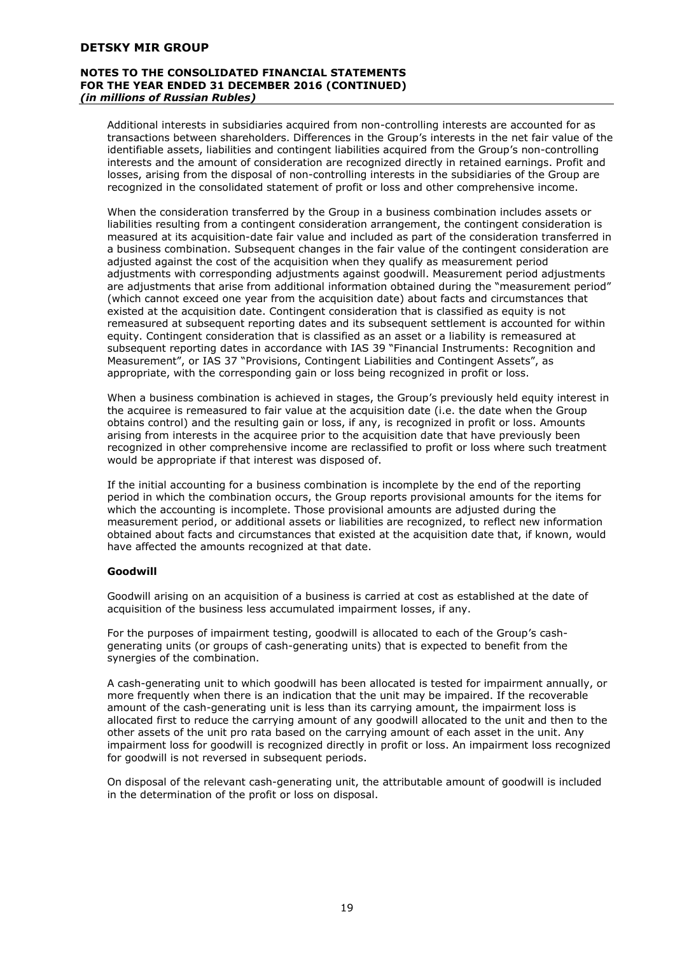#### **NOTES TO THE CONSOLIDATED FINANCIAL STATEMENTS FOR THE YEAR ENDED 31 DECEMBER 2016 (CONTINUED)** *(in millions of Russian Rubles)*

Additional interests in subsidiaries acquired from non-controlling interests are accounted for as transactions between shareholders. Differences in the Group's interests in the net fair value of the identifiable assets, liabilities and contingent liabilities acquired from the Group's non-controlling interests and the amount of consideration are recognized directly in retained earnings. Profit and losses, arising from the disposal of non-controlling interests in the subsidiaries of the Group are recognized in the consolidated statement of profit or loss and other comprehensive income.

When the consideration transferred by the Group in a business combination includes assets or liabilities resulting from a contingent consideration arrangement, the contingent consideration is measured at its acquisition-date fair value and included as part of the consideration transferred in a business combination. Subsequent changes in the fair value of the contingent consideration are adjusted against the cost of the acquisition when they qualify as measurement period adjustments with corresponding adjustments against goodwill. Measurement period adjustments are adjustments that arise from additional information obtained during the "measurement period" (which cannot exceed one year from the acquisition date) about facts and circumstances that existed at the acquisition date. Contingent consideration that is classified as equity is not remeasured at subsequent reporting dates and its subsequent settlement is accounted for within equity. Contingent consideration that is classified as an asset or a liability is remeasured at subsequent reporting dates in accordance with IAS 39 "Financial Instruments: Recognition and Measurement", or IAS 37 "Provisions, Contingent Liabilities and Contingent Assets", as appropriate, with the corresponding gain or loss being recognized in profit or loss.

When a business combination is achieved in stages, the Group's previously held equity interest in the acquiree is remeasured to fair value at the acquisition date (i.e. the date when the Group obtains control) and the resulting gain or loss, if any, is recognized in profit or loss. Amounts arising from interests in the acquiree prior to the acquisition date that have previously been recognized in other comprehensive income are reclassified to profit or loss where such treatment would be appropriate if that interest was disposed of.

If the initial accounting for a business combination is incomplete by the end of the reporting period in which the combination occurs, the Group reports provisional amounts for the items for which the accounting is incomplete. Those provisional amounts are adjusted during the measurement period, or additional assets or liabilities are recognized, to reflect new information obtained about facts and circumstances that existed at the acquisition date that, if known, would have affected the amounts recognized at that date.

#### **Goodwill**

Goodwill arising on an acquisition of a business is carried at cost as established at the date of acquisition of the business less accumulated impairment losses, if any.

For the purposes of impairment testing, goodwill is allocated to each of the Group's cashgenerating units (or groups of cash-generating units) that is expected to benefit from the synergies of the combination.

A cash-generating unit to which goodwill has been allocated is tested for impairment annually, or more frequently when there is an indication that the unit may be impaired. If the recoverable amount of the cash-generating unit is less than its carrying amount, the impairment loss is allocated first to reduce the carrying amount of any goodwill allocated to the unit and then to the other assets of the unit pro rata based on the carrying amount of each asset in the unit. Any impairment loss for goodwill is recognized directly in profit or loss. An impairment loss recognized for goodwill is not reversed in subsequent periods.

On disposal of the relevant cash-generating unit, the attributable amount of goodwill is included in the determination of the profit or loss on disposal.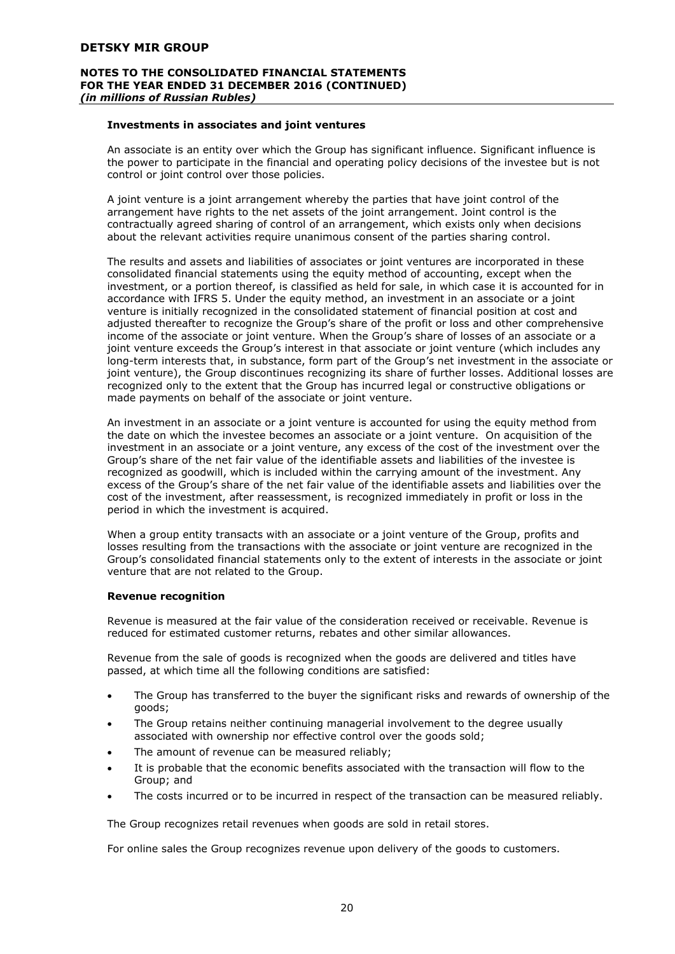#### **NOTES TO THE CONSOLIDATED FINANCIAL STATEMENTS FOR THE YEAR ENDED 31 DECEMBER 2016 (CONTINUED)** *(in millions of Russian Rubles)*

#### **Investments in associates and joint ventures**

An associate is an entity over which the Group has significant influence. Significant influence is the power to participate in the financial and operating policy decisions of the investee but is not control or joint control over those policies.

A joint venture is a joint arrangement whereby the parties that have joint control of the arrangement have rights to the net assets of the joint arrangement. Joint control is the contractually agreed sharing of control of an arrangement, which exists only when decisions about the relevant activities require unanimous consent of the parties sharing control.

The results and assets and liabilities of associates or joint ventures are incorporated in these consolidated financial statements using the equity method of accounting, except when the investment, or a portion thereof, is classified as held for sale, in which case it is accounted for in accordance with IFRS 5. Under the equity method, an investment in an associate or a joint venture is initially recognized in the consolidated statement of financial position at cost and adjusted thereafter to recognize the Group's share of the profit or loss and other comprehensive income of the associate or joint venture. When the Group's share of losses of an associate or a joint venture exceeds the Group's interest in that associate or joint venture (which includes any long-term interests that, in substance, form part of the Group's net investment in the associate or joint venture), the Group discontinues recognizing its share of further losses. Additional losses are recognized only to the extent that the Group has incurred legal or constructive obligations or made payments on behalf of the associate or joint venture.

An investment in an associate or a joint venture is accounted for using the equity method from the date on which the investee becomes an associate or a joint venture. On acquisition of the investment in an associate or a joint venture, any excess of the cost of the investment over the Group's share of the net fair value of the identifiable assets and liabilities of the investee is recognized as goodwill, which is included within the carrying amount of the investment. Any excess of the Group's share of the net fair value of the identifiable assets and liabilities over the cost of the investment, after reassessment, is recognized immediately in profit or loss in the period in which the investment is acquired.

When a group entity transacts with an associate or a joint venture of the Group, profits and losses resulting from the transactions with the associate or joint venture are recognized in the Group's consolidated financial statements only to the extent of interests in the associate or joint venture that are not related to the Group.

#### **Revenue recognition**

Revenue is measured at the fair value of the consideration received or receivable. Revenue is reduced for estimated customer returns, rebates and other similar allowances.

Revenue from the sale of goods is recognized when the goods are delivered and titles have passed, at which time all the following conditions are satisfied:

- The Group has transferred to the buyer the significant risks and rewards of ownership of the goods;
- The Group retains neither continuing managerial involvement to the degree usually associated with ownership nor effective control over the goods sold;
- The amount of revenue can be measured reliably;
- It is probable that the economic benefits associated with the transaction will flow to the Group; and
- The costs incurred or to be incurred in respect of the transaction can be measured reliably.

The Group recognizes retail revenues when goods are sold in retail stores.

For online sales the Group recognizes revenue upon delivery of the goods to customers.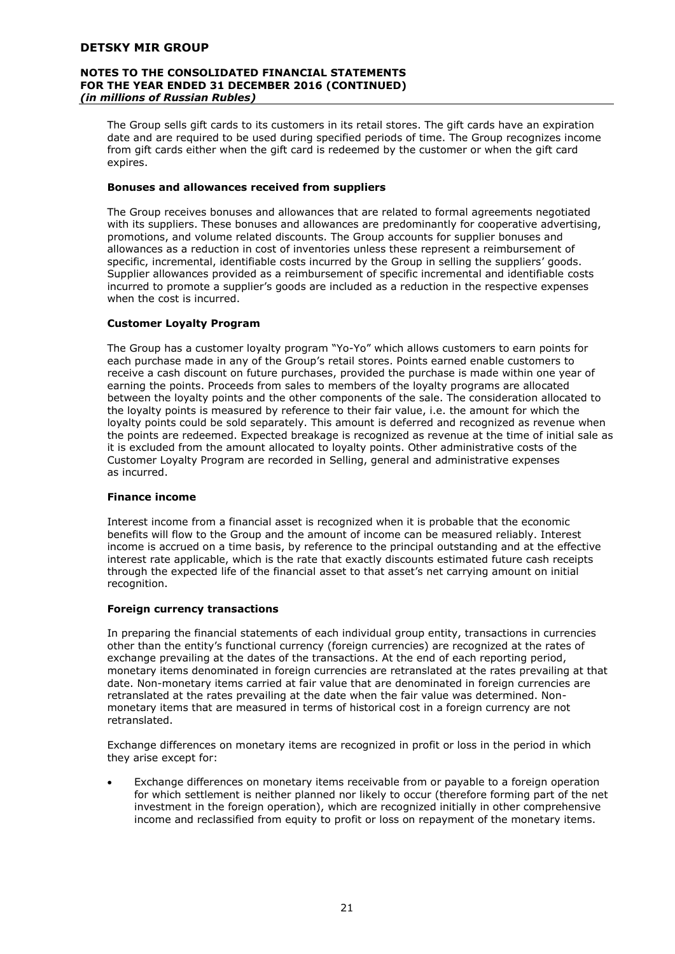#### **NOTES TO THE CONSOLIDATED FINANCIAL STATEMENTS FOR THE YEAR ENDED 31 DECEMBER 2016 (CONTINUED)** *(in millions of Russian Rubles)*

The Group sells gift cards to its customers in its retail stores. The gift cards have an expiration date and are required to be used during specified periods of time. The Group recognizes income from gift cards either when the gift card is redeemed by the customer or when the gift card expires.

#### **Bonuses and allowances received from suppliers**

The Group receives bonuses and allowances that are related to formal agreements negotiated with its suppliers. These bonuses and allowances are predominantly for cooperative advertising, promotions, and volume related discounts. The Group accounts for supplier bonuses and allowances as a reduction in cost of inventories unless these represent a reimbursement of specific, incremental, identifiable costs incurred by the Group in selling the suppliers' goods. Supplier allowances provided as a reimbursement of specific incremental and identifiable costs incurred to promote a supplier's goods are included as a reduction in the respective expenses when the cost is incurred.

#### **Customer Loyalty Program**

The Group has a customer loyalty program "Yo-Yo" which allows customers to earn points for each purchase made in any of the Group's retail stores. Points earned enable customers to receive a cash discount on future purchases, provided the purchase is made within one year of earning the points. Proceeds from sales to members of the loyalty programs are allocated between the loyalty points and the other components of the sale. The consideration allocated to the loyalty points is measured by reference to their fair value, i.e. the amount for which the loyalty points could be sold separately. This amount is deferred and recognized as revenue when the points are redeemed. Expected breakage is recognized as revenue at the time of initial sale as it is excluded from the amount allocated to loyalty points. Other administrative costs of the Customer Loyalty Program are recorded in Selling, general and administrative expenses as incurred.

#### **Finance income**

Interest income from a financial asset is recognized when it is probable that the economic benefits will flow to the Group and the amount of income can be measured reliably. Interest income is accrued on a time basis, by reference to the principal outstanding and at the effective interest rate applicable, which is the rate that exactly discounts estimated future cash receipts through the expected life of the financial asset to that asset's net carrying amount on initial recognition.

#### **Foreign currency transactions**

In preparing the financial statements of each individual group entity, transactions in currencies other than the entity's functional currency (foreign currencies) are recognized at the rates of exchange prevailing at the dates of the transactions. At the end of each reporting period, monetary items denominated in foreign currencies are retranslated at the rates prevailing at that date. Non-monetary items carried at fair value that are denominated in foreign currencies are retranslated at the rates prevailing at the date when the fair value was determined. Nonmonetary items that are measured in terms of historical cost in a foreign currency are not retranslated.

Exchange differences on monetary items are recognized in profit or loss in the period in which they arise except for:

 Exchange differences on monetary items receivable from or payable to a foreign operation for which settlement is neither planned nor likely to occur (therefore forming part of the net investment in the foreign operation), which are recognized initially in other comprehensive income and reclassified from equity to profit or loss on repayment of the monetary items.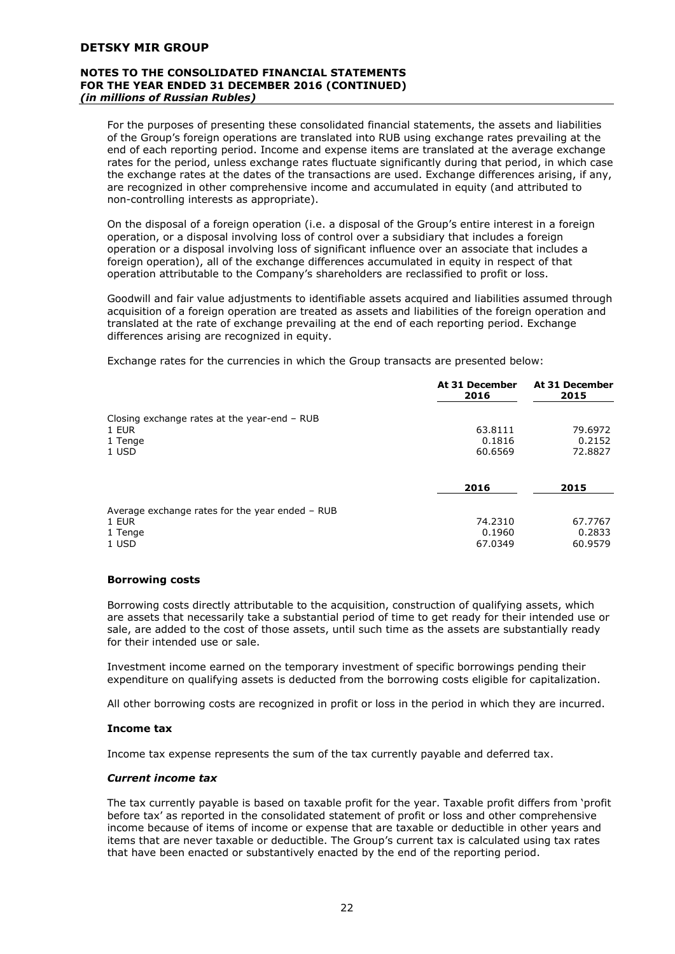#### **NOTES TO THE CONSOLIDATED FINANCIAL STATEMENTS FOR THE YEAR ENDED 31 DECEMBER 2016 (CONTINUED)** *(in millions of Russian Rubles)*

For the purposes of presenting these consolidated financial statements, the assets and liabilities of the Group's foreign operations are translated into RUB using exchange rates prevailing at the end of each reporting period. Income and expense items are translated at the average exchange rates for the period, unless exchange rates fluctuate significantly during that period, in which case the exchange rates at the dates of the transactions are used. Exchange differences arising, if any, are recognized in other comprehensive income and accumulated in equity (and attributed to non-controlling interests as appropriate).

On the disposal of a foreign operation (i.e. a disposal of the Group's entire interest in a foreign operation, or a disposal involving loss of control over a subsidiary that includes a foreign operation or a disposal involving loss of significant influence over an associate that includes a foreign operation), all of the exchange differences accumulated in equity in respect of that operation attributable to the Company's shareholders are reclassified to profit or loss.

Goodwill and fair value adjustments to identifiable assets acquired and liabilities assumed through acquisition of a foreign operation are treated as assets and liabilities of the foreign operation and translated at the rate of exchange prevailing at the end of each reporting period. Exchange differences arising are recognized in equity.

Exchange rates for the currencies in which the Group transacts are presented below:

|                                                                              | At 31 December<br>2016       | At 31 December<br>2015       |
|------------------------------------------------------------------------------|------------------------------|------------------------------|
| Closing exchange rates at the year-end - RUB<br>1 EUR<br>1 Tenge<br>1 USD    | 63.8111<br>0.1816<br>60.6569 | 79.6972<br>0.2152<br>72.8827 |
|                                                                              | 2016                         | 2015                         |
| Average exchange rates for the year ended - RUB<br>1 EUR<br>1 Tenge<br>1 USD | 74.2310<br>0.1960<br>67.0349 | 67.7767<br>0.2833<br>60.9579 |

#### **Borrowing costs**

Borrowing costs directly attributable to the acquisition, construction of qualifying assets, which are assets that necessarily take a substantial period of time to get ready for their intended use or sale, are added to the cost of those assets, until such time as the assets are substantially ready for their intended use or sale.

Investment income earned on the temporary investment of specific borrowings pending their expenditure on qualifying assets is deducted from the borrowing costs eligible for capitalization.

All other borrowing costs are recognized in profit or loss in the period in which they are incurred.

#### **Income tax**

Income tax expense represents the sum of the tax currently payable and deferred tax.

#### *Current income tax*

The tax currently payable is based on taxable profit for the year. Taxable profit differs from 'profit before tax' as reported in the consolidated statement of profit or loss and other comprehensive income because of items of income or expense that are taxable or deductible in other years and items that are never taxable or deductible. The Group's current tax is calculated using tax rates that have been enacted or substantively enacted by the end of the reporting period.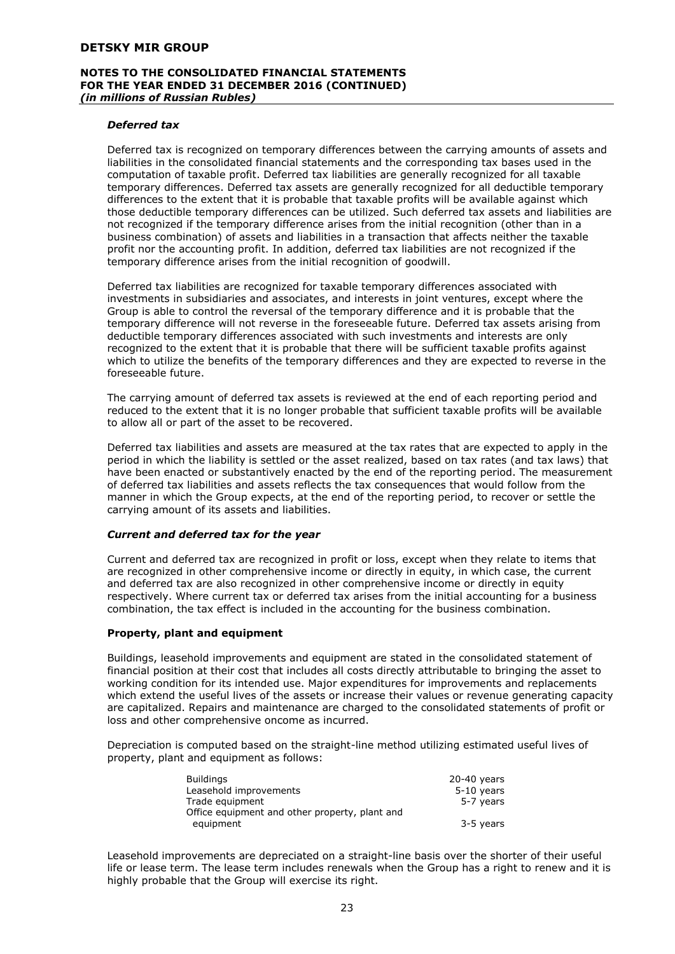#### **NOTES TO THE CONSOLIDATED FINANCIAL STATEMENTS FOR THE YEAR ENDED 31 DECEMBER 2016 (CONTINUED)** *(in millions of Russian Rubles)*

#### *Deferred tax*

Deferred tax is recognized on temporary differences between the carrying amounts of assets and liabilities in the consolidated financial statements and the corresponding tax bases used in the computation of taxable profit. Deferred tax liabilities are generally recognized for all taxable temporary differences. Deferred tax assets are generally recognized for all deductible temporary differences to the extent that it is probable that taxable profits will be available against which those deductible temporary differences can be utilized. Such deferred tax assets and liabilities are not recognized if the temporary difference arises from the initial recognition (other than in a business combination) of assets and liabilities in a transaction that affects neither the taxable profit nor the accounting profit. In addition, deferred tax liabilities are not recognized if the temporary difference arises from the initial recognition of goodwill.

Deferred tax liabilities are recognized for taxable temporary differences associated with investments in subsidiaries and associates, and interests in joint ventures, except where the Group is able to control the reversal of the temporary difference and it is probable that the temporary difference will not reverse in the foreseeable future. Deferred tax assets arising from deductible temporary differences associated with such investments and interests are only recognized to the extent that it is probable that there will be sufficient taxable profits against which to utilize the benefits of the temporary differences and they are expected to reverse in the foreseeable future.

The carrying amount of deferred tax assets is reviewed at the end of each reporting period and reduced to the extent that it is no longer probable that sufficient taxable profits will be available to allow all or part of the asset to be recovered.

Deferred tax liabilities and assets are measured at the tax rates that are expected to apply in the period in which the liability is settled or the asset realized, based on tax rates (and tax laws) that have been enacted or substantively enacted by the end of the reporting period. The measurement of deferred tax liabilities and assets reflects the tax consequences that would follow from the manner in which the Group expects, at the end of the reporting period, to recover or settle the carrying amount of its assets and liabilities.

#### *Current and deferred tax for the year*

Current and deferred tax are recognized in profit or loss, except when they relate to items that are recognized in other comprehensive income or directly in equity, in which case, the current and deferred tax are also recognized in other comprehensive income or directly in equity respectively. Where current tax or deferred tax arises from the initial accounting for a business combination, the tax effect is included in the accounting for the business combination.

#### **Property, plant and equipment**

Buildings, leasehold improvements and equipment are stated in the consolidated statement of financial position at their cost that includes all costs directly attributable to bringing the asset to working condition for its intended use. Major expenditures for improvements and replacements which extend the useful lives of the assets or increase their values or revenue generating capacity are capitalized. Repairs and maintenance are charged to the consolidated statements of profit or loss and other comprehensive oncome as incurred.

Depreciation is computed based on the straight-line method utilizing estimated useful lives of property, plant and equipment as follows:

| <b>Buildings</b>                               | $20-40$ years |
|------------------------------------------------|---------------|
| Leasehold improvements                         | $5-10$ years  |
| Trade equipment                                | 5-7 years     |
| Office equipment and other property, plant and |               |
| equipment                                      | 3-5 years     |

Leasehold improvements are depreciated on a straight-line basis over the shorter of their useful life or lease term. The lease term includes renewals when the Group has a right to renew and it is highly probable that the Group will exercise its right.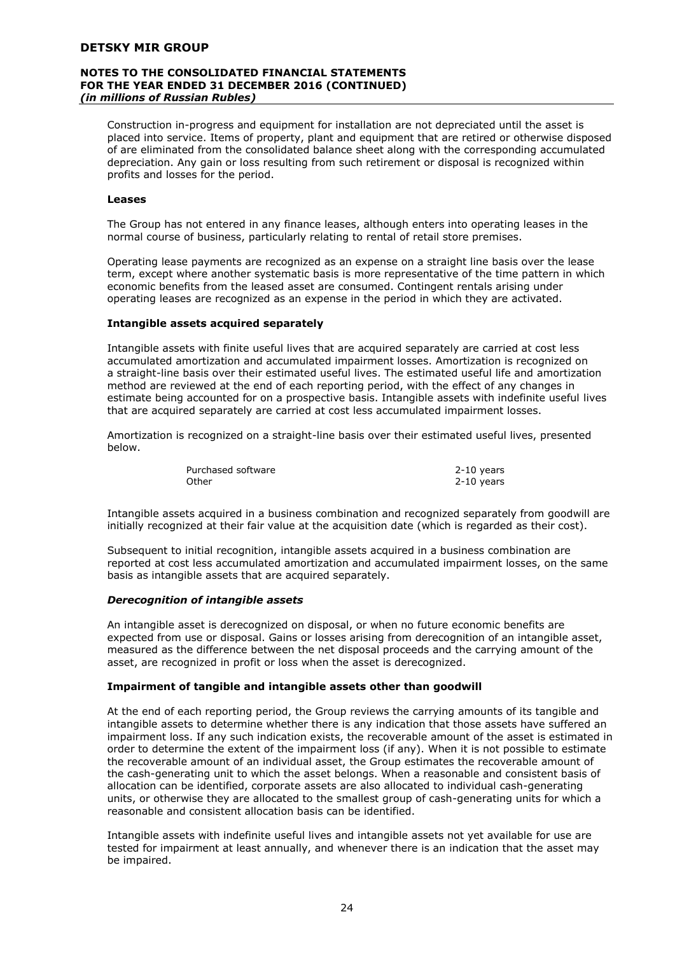#### **NOTES TO THE CONSOLIDATED FINANCIAL STATEMENTS FOR THE YEAR ENDED 31 DECEMBER 2016 (CONTINUED)** *(in millions of Russian Rubles)*

Construction in-progress and equipment for installation are not depreciated until the asset is placed into service. Items of property, plant and equipment that are retired or otherwise disposed of are eliminated from the consolidated balance sheet along with the corresponding accumulated depreciation. Any gain or loss resulting from such retirement or disposal is recognized within profits and losses for the period.

#### **Leases**

The Group has not entered in any finance leases, although enters into operating leases in the normal course of business, particularly relating to rental of retail store premises.

Operating lease payments are recognized as an expense on a straight line basis over the lease term, except where another systematic basis is more representative of the time pattern in which economic benefits from the leased asset are consumed. Contingent rentals arising under operating leases are recognized as an expense in the period in which they are activated.

#### **Intangible assets acquired separately**

Intangible assets with finite useful lives that are acquired separately are carried at cost less accumulated amortization and accumulated impairment losses. Amortization is recognized on a straight-line basis over their estimated useful lives. The estimated useful life and amortization method are reviewed at the end of each reporting period, with the effect of any changes in estimate being accounted for on a prospective basis. Intangible assets with indefinite useful lives that are acquired separately are carried at cost less accumulated impairment losses.

Amortization is recognized on a straight-line basis over their estimated useful lives, presented below.

> Purchased software 2-10 years Other 2-10 years

Intangible assets acquired in a business combination and recognized separately from goodwill are initially recognized at their fair value at the acquisition date (which is regarded as their cost).

Subsequent to initial recognition, intangible assets acquired in a business combination are reported at cost less accumulated amortization and accumulated impairment losses, on the same basis as intangible assets that are acquired separately.

#### *Derecognition of intangible assets*

An intangible asset is derecognized on disposal, or when no future economic benefits are expected from use or disposal. Gains or losses arising from derecognition of an intangible asset, measured as the difference between the net disposal proceeds and the carrying amount of the asset, are recognized in profit or loss when the asset is derecognized.

#### **Impairment of tangible and intangible assets other than goodwill**

At the end of each reporting period, the Group reviews the carrying amounts of its tangible and intangible assets to determine whether there is any indication that those assets have suffered an impairment loss. If any such indication exists, the recoverable amount of the asset is estimated in order to determine the extent of the impairment loss (if any). When it is not possible to estimate the recoverable amount of an individual asset, the Group estimates the recoverable amount of the cash-generating unit to which the asset belongs. When a reasonable and consistent basis of allocation can be identified, corporate assets are also allocated to individual cash-generating units, or otherwise they are allocated to the smallest group of cash-generating units for which a reasonable and consistent allocation basis can be identified.

Intangible assets with indefinite useful lives and intangible assets not yet available for use are tested for impairment at least annually, and whenever there is an indication that the asset may be impaired.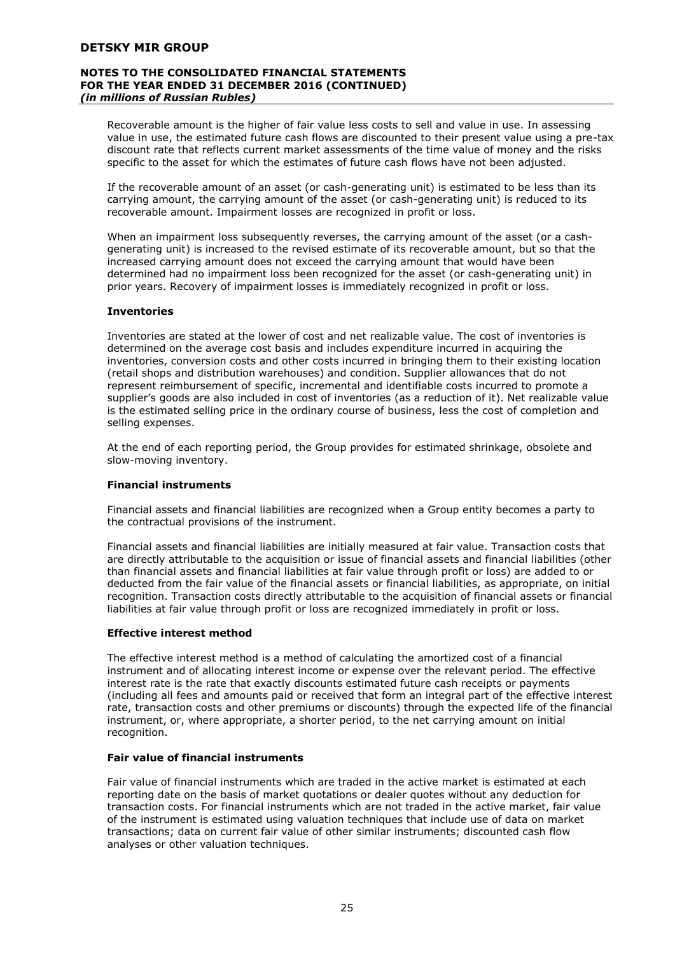#### **NOTES TO THE CONSOLIDATED FINANCIAL STATEMENTS FOR THE YEAR ENDED 31 DECEMBER 2016 (CONTINUED)** *(in millions of Russian Rubles)*

Recoverable amount is the higher of fair value less costs to sell and value in use. In assessing value in use, the estimated future cash flows are discounted to their present value using a pre-tax discount rate that reflects current market assessments of the time value of money and the risks specific to the asset for which the estimates of future cash flows have not been adjusted.

If the recoverable amount of an asset (or cash-generating unit) is estimated to be less than its carrying amount, the carrying amount of the asset (or cash-generating unit) is reduced to its recoverable amount. Impairment losses are recognized in profit or loss.

When an impairment loss subsequently reverses, the carrying amount of the asset (or a cashgenerating unit) is increased to the revised estimate of its recoverable amount, but so that the increased carrying amount does not exceed the carrying amount that would have been determined had no impairment loss been recognized for the asset (or cash-generating unit) in prior years. Recovery of impairment losses is immediately recognized in profit or loss.

#### **Inventories**

Inventories are stated at the lower of cost and net realizable value. The cost of inventories is determined on the average cost basis and includes expenditure incurred in acquiring the inventories, conversion costs and other costs incurred in bringing them to their existing location (retail shops and distribution warehouses) and condition. Supplier allowances that do not represent reimbursement of specific, incremental and identifiable costs incurred to promote a supplier's goods are also included in cost of inventories (as a reduction of it). Net realizable value is the estimated selling price in the ordinary course of business, less the cost of completion and selling expenses.

At the end of each reporting period, the Group provides for estimated shrinkage, obsolete and slow-moving inventory.

#### **Financial instruments**

Financial assets and financial liabilities are recognized when a Group entity becomes a party to the contractual provisions of the instrument.

Financial assets and financial liabilities are initially measured at fair value. Transaction costs that are directly attributable to the acquisition or issue of financial assets and financial liabilities (other than financial assets and financial liabilities at fair value through profit or loss) are added to or deducted from the fair value of the financial assets or financial liabilities, as appropriate, on initial recognition. Transaction costs directly attributable to the acquisition of financial assets or financial liabilities at fair value through profit or loss are recognized immediately in profit or loss.

#### **Effective interest method**

The effective interest method is a method of calculating the amortized cost of a financial instrument and of allocating interest income or expense over the relevant period. The effective interest rate is the rate that exactly discounts estimated future cash receipts or payments (including all fees and amounts paid or received that form an integral part of the effective interest rate, transaction costs and other premiums or discounts) through the expected life of the financial instrument, or, where appropriate, a shorter period, to the net carrying amount on initial recognition.

#### **Fair value of financial instruments**

Fair value of financial instruments which are traded in the active market is estimated at each reporting date on the basis of market quotations or dealer quotes without any deduction for transaction costs. For financial instruments which are not traded in the active market, fair value of the instrument is estimated using valuation techniques that include use of data on market transactions; data on current fair value of other similar instruments; discounted cash flow analyses or other valuation techniques.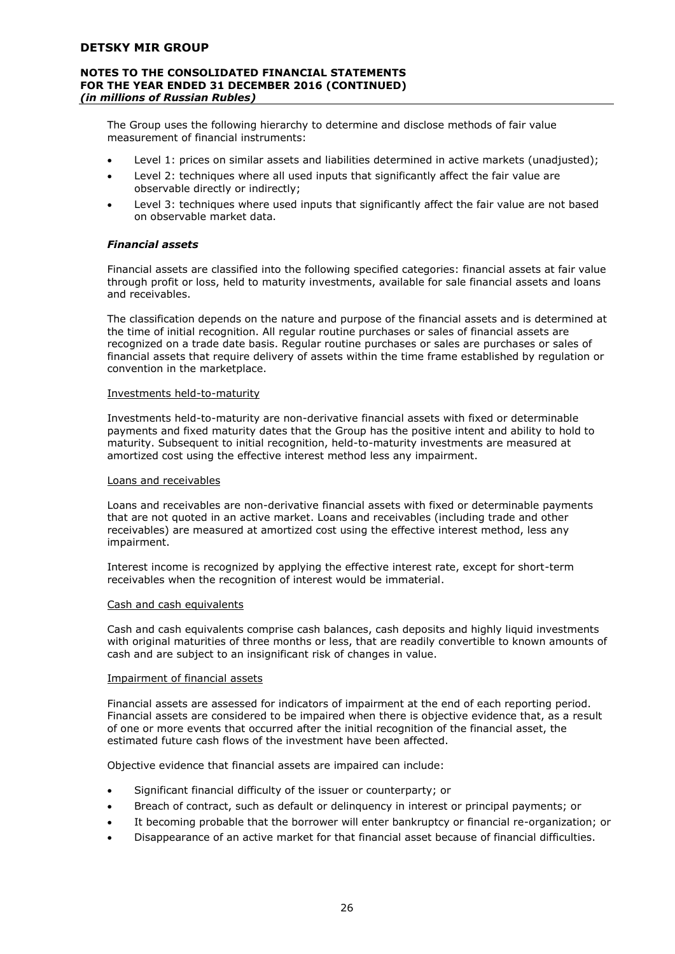#### **NOTES TO THE CONSOLIDATED FINANCIAL STATEMENTS FOR THE YEAR ENDED 31 DECEMBER 2016 (CONTINUED)** *(in millions of Russian Rubles)*

The Group uses the following hierarchy to determine and disclose methods of fair value measurement of financial instruments:

- Level 1: prices on similar assets and liabilities determined in active markets (unadjusted);
- Level 2: techniques where all used inputs that significantly affect the fair value are observable directly or indirectly;
- Level 3: techniques where used inputs that significantly affect the fair value are not based on observable market data.

#### *Financial assets*

Financial assets are classified into the following specified categories: financial assets at fair value through profit or loss, held to maturity investments, available for sale financial assets and loans and receivables.

The classification depends on the nature and purpose of the financial assets and is determined at the time of initial recognition. All regular routine purchases or sales of financial assets are recognized on a trade date basis. Regular routine purchases or sales are purchases or sales of financial assets that require delivery of assets within the time frame established by regulation or convention in the marketplace.

#### Investments held-to-maturity

Investments held-to-maturity are non-derivative financial assets with fixed or determinable payments and fixed maturity dates that the Group has the positive intent and ability to hold to maturity. Subsequent to initial recognition, held-to-maturity investments are measured at amortized cost using the effective interest method less any impairment.

#### Loans and receivables

Loans and receivables are non-derivative financial assets with fixed or determinable payments that are not quoted in an active market. Loans and receivables (including trade and other receivables) are measured at amortized cost using the effective interest method, less any impairment.

Interest income is recognized by applying the effective interest rate, except for short-term receivables when the recognition of interest would be immaterial.

#### Cash and cash equivalents

Cash and cash equivalents comprise cash balances, cash deposits and highly liquid investments with original maturities of three months or less, that are readily convertible to known amounts of cash and are subject to an insignificant risk of changes in value.

#### Impairment of financial assets

Financial assets are assessed for indicators of impairment at the end of each reporting period. Financial assets are considered to be impaired when there is objective evidence that, as a result of one or more events that occurred after the initial recognition of the financial asset, the estimated future cash flows of the investment have been affected.

Objective evidence that financial assets are impaired can include:

- Significant financial difficulty of the issuer or counterparty; or
- Breach of contract, such as default or delinquency in interest or principal payments; or
- It becoming probable that the borrower will enter bankruptcy or financial re-organization; or
- Disappearance of an active market for that financial asset because of financial difficulties.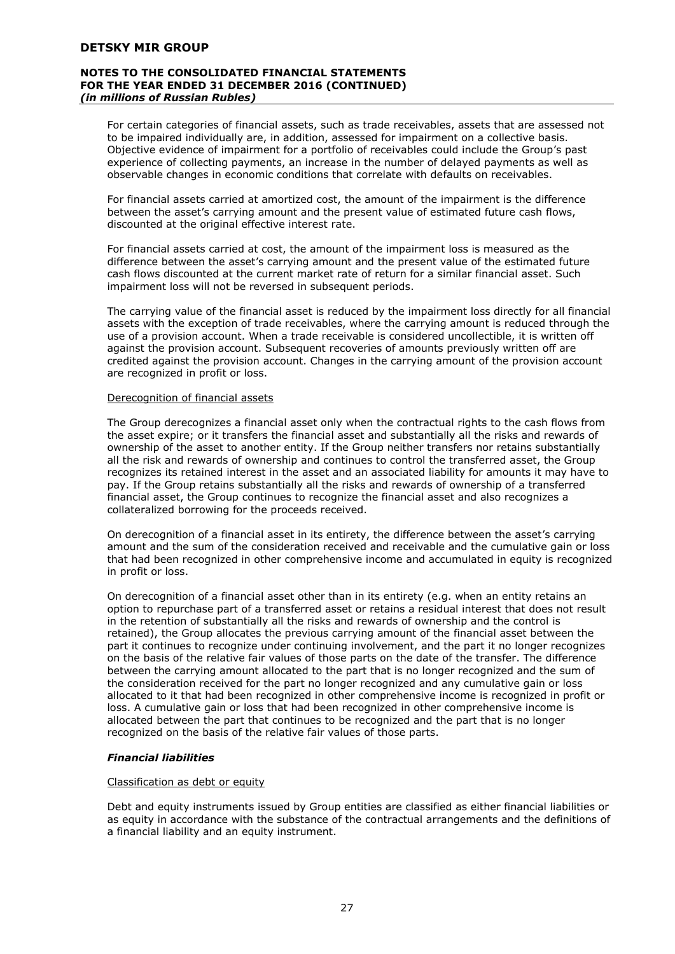#### **NOTES TO THE CONSOLIDATED FINANCIAL STATEMENTS FOR THE YEAR ENDED 31 DECEMBER 2016 (CONTINUED)** *(in millions of Russian Rubles)*

For certain categories of financial assets, such as trade receivables, assets that are assessed not to be impaired individually are, in addition, assessed for impairment on a collective basis. Objective evidence of impairment for a portfolio of receivables could include the Group's past experience of collecting payments, an increase in the number of delayed payments as well as observable changes in economic conditions that correlate with defaults on receivables.

For financial assets carried at amortized cost, the amount of the impairment is the difference between the asset's carrying amount and the present value of estimated future cash flows, discounted at the original effective interest rate.

For financial assets carried at cost, the amount of the impairment loss is measured as the difference between the asset's carrying amount and the present value of the estimated future cash flows discounted at the current market rate of return for a similar financial asset. Such impairment loss will not be reversed in subsequent periods.

The carrying value of the financial asset is reduced by the impairment loss directly for all financial assets with the exception of trade receivables, where the carrying amount is reduced through the use of a provision account. When a trade receivable is considered uncollectible, it is written off against the provision account. Subsequent recoveries of amounts previously written off are credited against the provision account. Changes in the carrying amount of the provision account are recognized in profit or loss.

#### Derecognition of financial assets

The Group derecognizes a financial asset only when the contractual rights to the cash flows from the asset expire; or it transfers the financial asset and substantially all the risks and rewards of ownership of the asset to another entity. If the Group neither transfers nor retains substantially all the risk and rewards of ownership and continues to control the transferred asset, the Group recognizes its retained interest in the asset and an associated liability for amounts it may have to pay. If the Group retains substantially all the risks and rewards of ownership of a transferred financial asset, the Group continues to recognize the financial asset and also recognizes a collateralized borrowing for the proceeds received.

On derecognition of a financial asset in its entirety, the difference between the asset's carrying amount and the sum of the consideration received and receivable and the cumulative gain or loss that had been recognized in other comprehensive income and accumulated in equity is recognized in profit or loss.

On derecognition of a financial asset other than in its entirety (e.g. when an entity retains an option to repurchase part of a transferred asset or retains a residual interest that does not result in the retention of substantially all the risks and rewards of ownership and the control is retained), the Group allocates the previous carrying amount of the financial asset between the part it continues to recognize under continuing involvement, and the part it no longer recognizes on the basis of the relative fair values of those parts on the date of the transfer. The difference between the carrying amount allocated to the part that is no longer recognized and the sum of the consideration received for the part no longer recognized and any cumulative gain or loss allocated to it that had been recognized in other comprehensive income is recognized in profit or loss. A cumulative gain or loss that had been recognized in other comprehensive income is allocated between the part that continues to be recognized and the part that is no longer recognized on the basis of the relative fair values of those parts.

#### *Financial liabilities*

#### Classification as debt or equity

Debt and equity instruments issued by Group entities are classified as either financial liabilities or as equity in accordance with the substance of the contractual arrangements and the definitions of a financial liability and an equity instrument.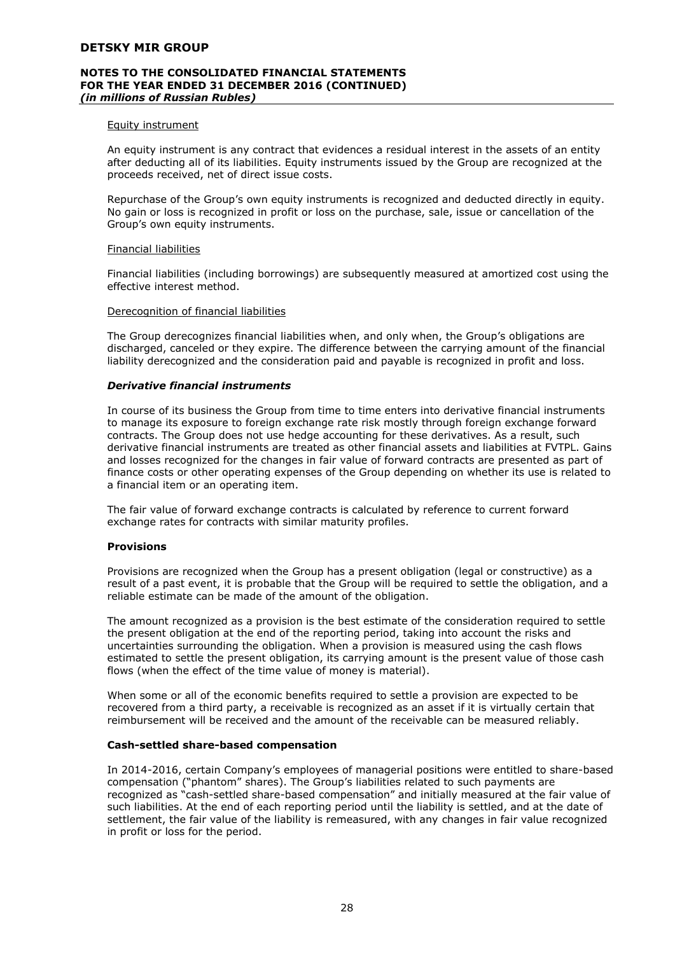#### **NOTES TO THE CONSOLIDATED FINANCIAL STATEMENTS FOR THE YEAR ENDED 31 DECEMBER 2016 (CONTINUED)** *(in millions of Russian Rubles)*

#### Equity instrument

An equity instrument is any contract that evidences a residual interest in the assets of an entity after deducting all of its liabilities. Equity instruments issued by the Group are recognized at the proceeds received, net of direct issue costs.

Repurchase of the Group's own equity instruments is recognized and deducted directly in equity. No gain or loss is recognized in profit or loss on the purchase, sale, issue or cancellation of the Group's own equity instruments.

#### Financial liabilities

Financial liabilities (including borrowings) are subsequently measured at amortized cost using the effective interest method.

#### Derecognition of financial liabilities

The Group derecognizes financial liabilities when, and only when, the Group's obligations are discharged, canceled or they expire. The difference between the carrying amount of the financial liability derecognized and the consideration paid and payable is recognized in profit and loss.

#### *Derivative financial instruments*

In course of its business the Group from time to time enters into derivative financial instruments to manage its exposure to foreign exchange rate risk mostly through foreign exchange forward contracts. The Group does not use hedge accounting for these derivatives. As a result, such derivative financial instruments are treated as other financial assets and liabilities at FVTPL. Gains and losses recognized for the changes in fair value of forward contracts are presented as part of finance costs or other operating expenses of the Group depending on whether its use is related to a financial item or an operating item.

The fair value of forward exchange contracts is calculated by reference to current forward exchange rates for contracts with similar maturity profiles.

#### **Provisions**

Provisions are recognized when the Group has a present obligation (legal or constructive) as a result of a past event, it is probable that the Group will be required to settle the obligation, and a reliable estimate can be made of the amount of the obligation.

The amount recognized as a provision is the best estimate of the consideration required to settle the present obligation at the end of the reporting period, taking into account the risks and uncertainties surrounding the obligation. When a provision is measured using the cash flows estimated to settle the present obligation, its carrying amount is the present value of those cash flows (when the effect of the time value of money is material).

When some or all of the economic benefits required to settle a provision are expected to be recovered from a third party, a receivable is recognized as an asset if it is virtually certain that reimbursement will be received and the amount of the receivable can be measured reliably.

#### **Cash-settled share-based compensation**

In 2014-2016, certain Company's employees of managerial positions were entitled to share-based compensation ("phantom" shares). The Group's liabilities related to such payments are recognized as "cash-settled share-based compensation" and initially measured at the fair value of such liabilities. At the end of each reporting period until the liability is settled, and at the date of settlement, the fair value of the liability is remeasured, with any changes in fair value recognized in profit or loss for the period.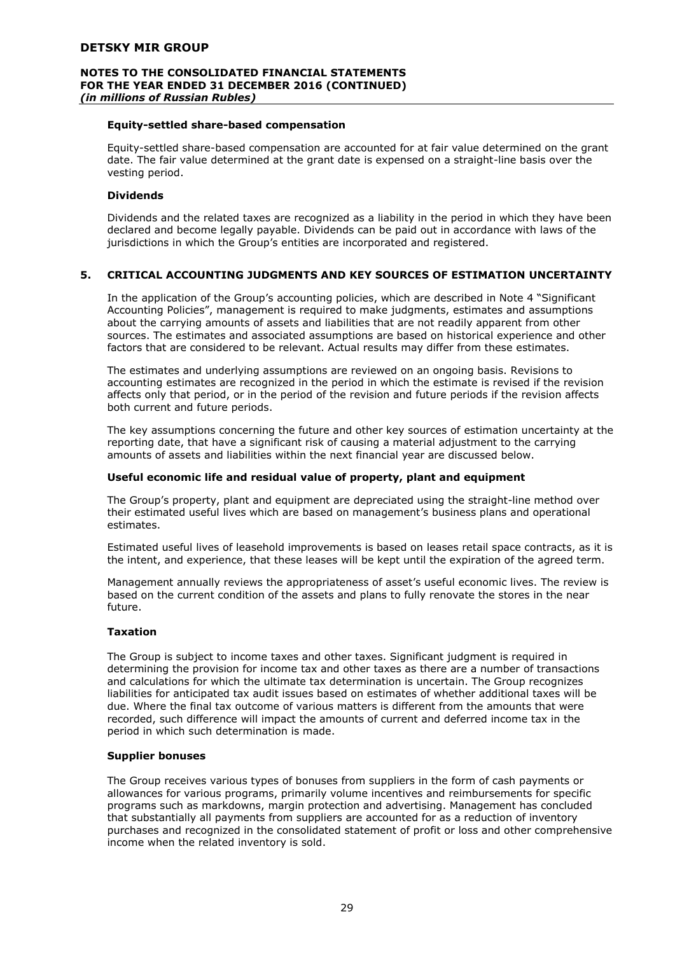#### **NOTES TO THE CONSOLIDATED FINANCIAL STATEMENTS FOR THE YEAR ENDED 31 DECEMBER 2016 (CONTINUED)** *(in millions of Russian Rubles)*

#### **Equity-settled share-based compensation**

Equity-settled share-based compensation are accounted for at fair value determined on the grant date. The fair value determined at the grant date is expensed on a straight-line basis over the vesting period.

#### **Dividends**

Dividends and the related taxes are recognized as a liability in the period in which they have been declared and become legally payable. Dividends can be paid out in accordance with laws of the jurisdictions in which the Group's entities are incorporated and registered.

#### **5. CRITICAL ACCOUNTING JUDGMENTS AND KEY SOURCES OF ESTIMATION UNCERTAINTY**

In the application of the Group's accounting policies, which are described in Note 4 "Significant Accounting Policies", management is required to make judgments, estimates and assumptions about the carrying amounts of assets and liabilities that are not readily apparent from other sources. The estimates and associated assumptions are based on historical experience and other factors that are considered to be relevant. Actual results may differ from these estimates.

The estimates and underlying assumptions are reviewed on an ongoing basis. Revisions to accounting estimates are recognized in the period in which the estimate is revised if the revision affects only that period, or in the period of the revision and future periods if the revision affects both current and future periods.

The key assumptions concerning the future and other key sources of estimation uncertainty at the reporting date, that have a significant risk of causing a material adjustment to the carrying amounts of assets and liabilities within the next financial year are discussed below.

#### **Useful economic life and residual value of property, plant and equipment**

The Group's property, plant and equipment are depreciated using the straight-line method over their estimated useful lives which are based on management's business plans and operational estimates.

Estimated useful lives of leasehold improvements is based on leases retail space contracts, as it is the intent, and experience, that these leases will be kept until the expiration of the agreed term.

Management annually reviews the appropriateness of asset's useful economic lives. The review is based on the current condition of the assets and plans to fully renovate the stores in the near future.

#### **Taxation**

The Group is subject to income taxes and other taxes. Significant judgment is required in determining the provision for income tax and other taxes as there are a number of transactions and calculations for which the ultimate tax determination is uncertain. The Group recognizes liabilities for anticipated tax audit issues based on estimates of whether additional taxes will be due. Where the final tax outcome of various matters is different from the amounts that were recorded, such difference will impact the amounts of current and deferred income tax in the period in which such determination is made.

#### **Supplier bonuses**

The Group receives various types of bonuses from suppliers in the form of cash payments or allowances for various programs, primarily volume incentives and reimbursements for specific programs such as markdowns, margin protection and advertising. Management has concluded that substantially all payments from suppliers are accounted for as a reduction of inventory purchases and recognized in the consolidated statement of profit or loss and other comprehensive income when the related inventory is sold.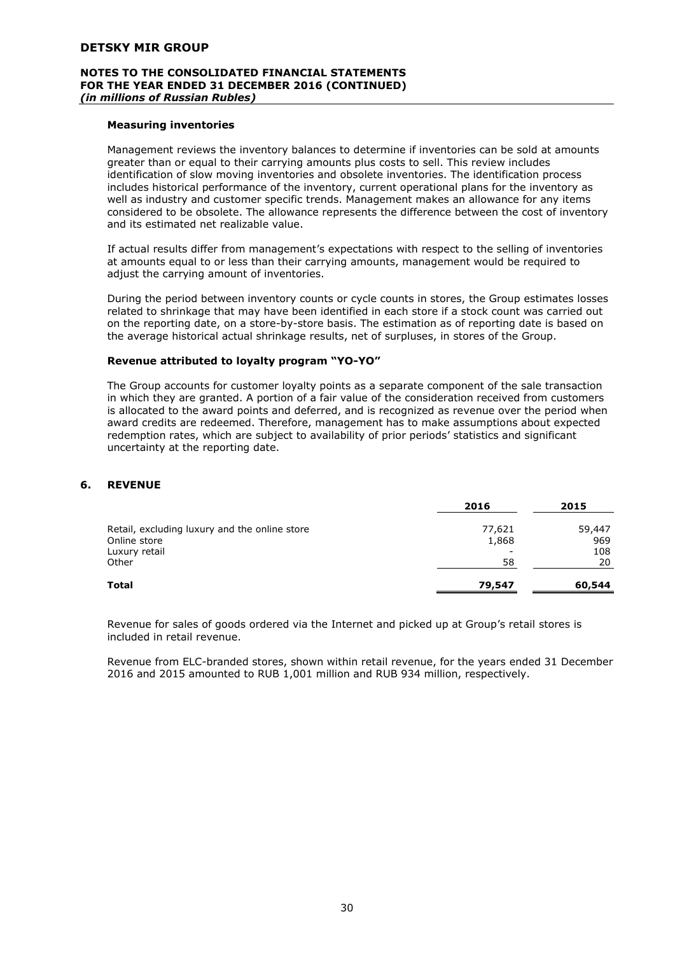#### **NOTES TO THE CONSOLIDATED FINANCIAL STATEMENTS FOR THE YEAR ENDED 31 DECEMBER 2016 (CONTINUED)** *(in millions of Russian Rubles)*

#### **Measuring inventories**

Management reviews the inventory balances to determine if inventories can be sold at amounts greater than or equal to their carrying amounts plus costs to sell. This review includes identification of slow moving inventories and obsolete inventories. The identification process includes historical performance of the inventory, current operational plans for the inventory as well as industry and customer specific trends. Management makes an allowance for any items considered to be obsolete. The allowance represents the difference between the cost of inventory and its estimated net realizable value.

If actual results differ from management's expectations with respect to the selling of inventories at amounts equal to or less than their carrying amounts, management would be required to adjust the carrying amount of inventories.

During the period between inventory counts or cycle counts in stores, the Group estimates losses related to shrinkage that may have been identified in each store if a stock count was carried out on the reporting date, on a store-by-store basis. The estimation as of reporting date is based on the average historical actual shrinkage results, net of surpluses, in stores of the Group.

#### **Revenue attributed to loyalty program "YO-YO"**

The Group accounts for customer loyalty points as a separate component of the sale transaction in which they are granted. A portion of a fair value of the consideration received from customers is allocated to the award points and deferred, and is recognized as revenue over the period when award credits are redeemed. Therefore, management has to make assumptions about expected redemption rates, which are subject to availability of prior periods' statistics and significant uncertainty at the reporting date.

#### **6. REVENUE**

|                                               | 2016       | 2015       |
|-----------------------------------------------|------------|------------|
| Retail, excluding luxury and the online store | 77,621     | 59,447     |
| Online store<br>Luxury retail                 | 1,868<br>۰ | 969<br>108 |
| Other                                         | 58         | 20         |
| <b>Total</b>                                  | 79,547     | 60,544     |

Revenue for sales of goods ordered via the Internet and picked up at Group's retail stores is included in retail revenue.

Revenue from ELC-branded stores, shown within retail revenue, for the years ended 31 December 2016 and 2015 amounted to RUB 1,001 million and RUB 934 million, respectively.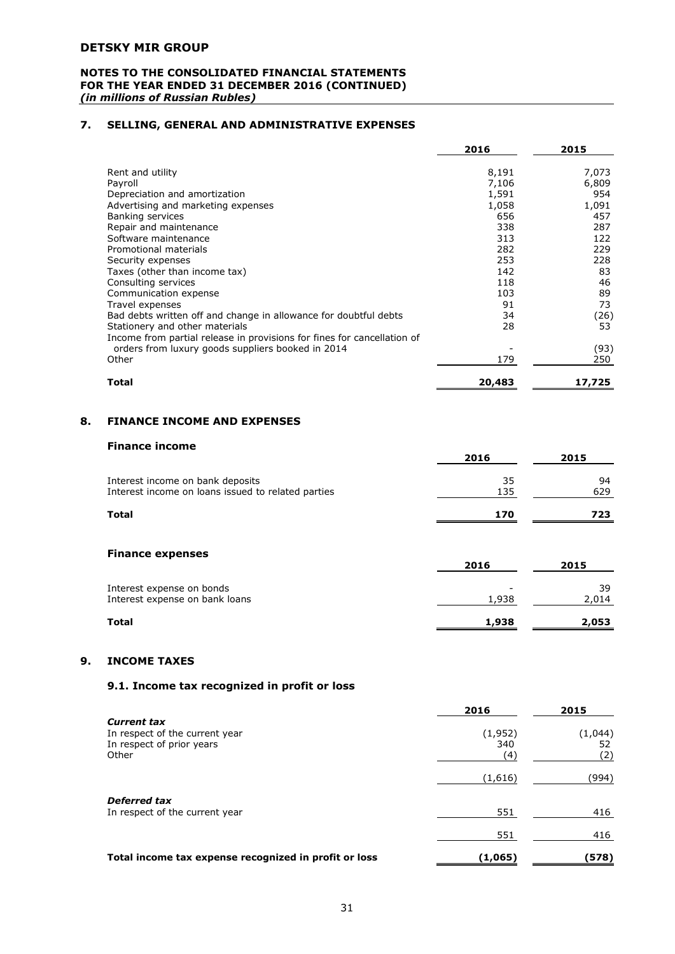#### **NOTES TO THE CONSOLIDATED FINANCIAL STATEMENTS FOR THE YEAR ENDED 31 DECEMBER 2016 (CONTINUED)** *(in millions of Russian Rubles)*

#### **7. SELLING, GENERAL AND ADMINISTRATIVE EXPENSES**

|                                                                         | 2016   | 2015   |
|-------------------------------------------------------------------------|--------|--------|
| Rent and utility                                                        | 8,191  | 7,073  |
| Payroll                                                                 | 7,106  | 6,809  |
| Depreciation and amortization                                           | 1,591  | 954    |
| Advertising and marketing expenses                                      | 1,058  | 1,091  |
| Banking services                                                        | 656    | 457    |
| Repair and maintenance                                                  | 338    | 287    |
| Software maintenance                                                    | 313    | 122    |
| Promotional materials                                                   | 282    | 229    |
| Security expenses                                                       | 253    | 228    |
| Taxes (other than income tax)                                           | 142    | 83     |
| Consulting services                                                     | 118    | 46     |
| Communication expense                                                   | 103    | 89     |
| Travel expenses                                                         | 91     | 73     |
| Bad debts written off and change in allowance for doubtful debts        | 34     | (26)   |
| Stationery and other materials                                          | 28     | 53     |
| Income from partial release in provisions for fines for cancellation of |        |        |
| orders from luxury goods suppliers booked in 2014                       |        | (93)   |
| Other                                                                   | 179    | 250    |
| Total                                                                   | 20,483 | 17,725 |

#### **8. FINANCE INCOME AND EXPENSES**

#### **Finance income**

|                                                                                        | 2016      | 2015        |
|----------------------------------------------------------------------------------------|-----------|-------------|
| Interest income on bank deposits<br>Interest income on loans issued to related parties | 35<br>135 | 94<br>629   |
| <b>Total</b>                                                                           | 170       | 723         |
| <b>Finance expenses</b>                                                                | 2016      | 2015        |
| Interest expense on bonds<br>Interest expense on bank loans                            | 1,938     | 39<br>2,014 |
| <b>Total</b>                                                                           | 1,938     | 2,053       |

#### **9. INCOME TAXES**

#### **9.1. Income tax recognized in profit or loss**

|                                                                                            | 2016                  | 2015                 |
|--------------------------------------------------------------------------------------------|-----------------------|----------------------|
| <b>Current tax</b><br>In respect of the current year<br>In respect of prior years<br>Other | (1,952)<br>340<br>(4) | (1,044)<br>52<br>(2) |
|                                                                                            | (1,616)               | (994)                |
| <b>Deferred tax</b><br>In respect of the current year                                      | 551                   | 416                  |
|                                                                                            | 551                   | 416                  |
| Total income tax expense recognized in profit or loss                                      | (1,065)               | (578)                |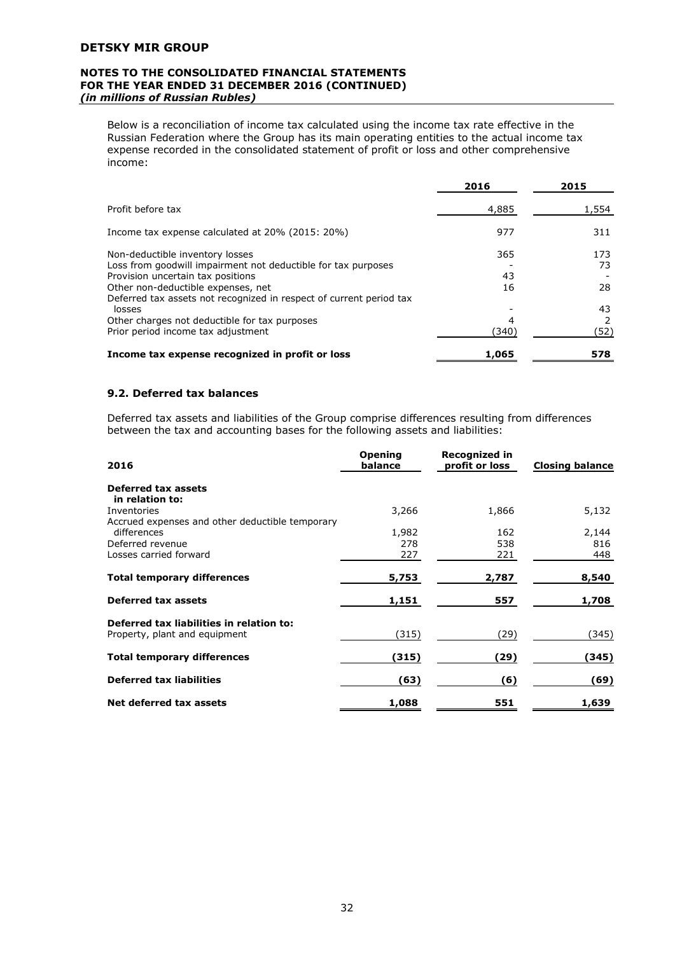#### **NOTES TO THE CONSOLIDATED FINANCIAL STATEMENTS FOR THE YEAR ENDED 31 DECEMBER 2016 (CONTINUED)** *(in millions of Russian Rubles)*

Below is a reconciliation of income tax calculated using the income tax rate effective in the Russian Federation where the Group has its main operating entities to the actual income tax expense recorded in the consolidated statement of profit or loss and other comprehensive income:

|                                                                                                                                                                                                                                                                                                               | 2016            | 2015                  |
|---------------------------------------------------------------------------------------------------------------------------------------------------------------------------------------------------------------------------------------------------------------------------------------------------------------|-----------------|-----------------------|
| Profit before tax                                                                                                                                                                                                                                                                                             | 4,885           | 1,554                 |
| Income tax expense calculated at 20% (2015: 20%)                                                                                                                                                                                                                                                              | 977             | 311                   |
| Non-deductible inventory losses<br>Loss from goodwill impairment not deductible for tax purposes<br>Provision uncertain tax positions<br>Other non-deductible expenses, net<br>Deferred tax assets not recognized in respect of current period tax<br>losses<br>Other charges not deductible for tax purposes | 365<br>43<br>16 | 173<br>73<br>28<br>43 |
| Prior period income tax adjustment                                                                                                                                                                                                                                                                            | (340)           | (52)                  |
| Income tax expense recognized in profit or loss                                                                                                                                                                                                                                                               | 1,065           | 578                   |

#### **9.2. Deferred tax balances**

Deferred tax assets and liabilities of the Group comprise differences resulting from differences between the tax and accounting bases for the following assets and liabilities:

| 2016                                            | <b>Opening</b><br>balance | <b>Recognized in</b><br>profit or loss | <b>Closing balance</b> |
|-------------------------------------------------|---------------------------|----------------------------------------|------------------------|
| Deferred tax assets<br>in relation to:          |                           |                                        |                        |
| Inventories                                     | 3,266                     | 1,866                                  | 5,132                  |
| Accrued expenses and other deductible temporary |                           |                                        |                        |
| differences                                     | 1,982                     | 162                                    | 2,144                  |
| Deferred revenue                                | 278                       | 538                                    | 816                    |
| Losses carried forward                          | 227                       | 221                                    | 448                    |
| Total temporary differences                     | 5,753                     | 2,787                                  | 8,540                  |
| Deferred tax assets                             | 1,151                     | 557                                    | 1,708                  |
| Deferred tax liabilities in relation to:        |                           |                                        |                        |
| Property, plant and equipment                   | (315)                     | (29)                                   | (345)                  |
| <b>Total temporary differences</b>              | (315)                     | (29)                                   | (345)                  |
| <b>Deferred tax liabilities</b>                 | (63)                      | (6)                                    | (69)                   |
| Net deferred tax assets                         | 1,088                     | 551                                    | 1,639                  |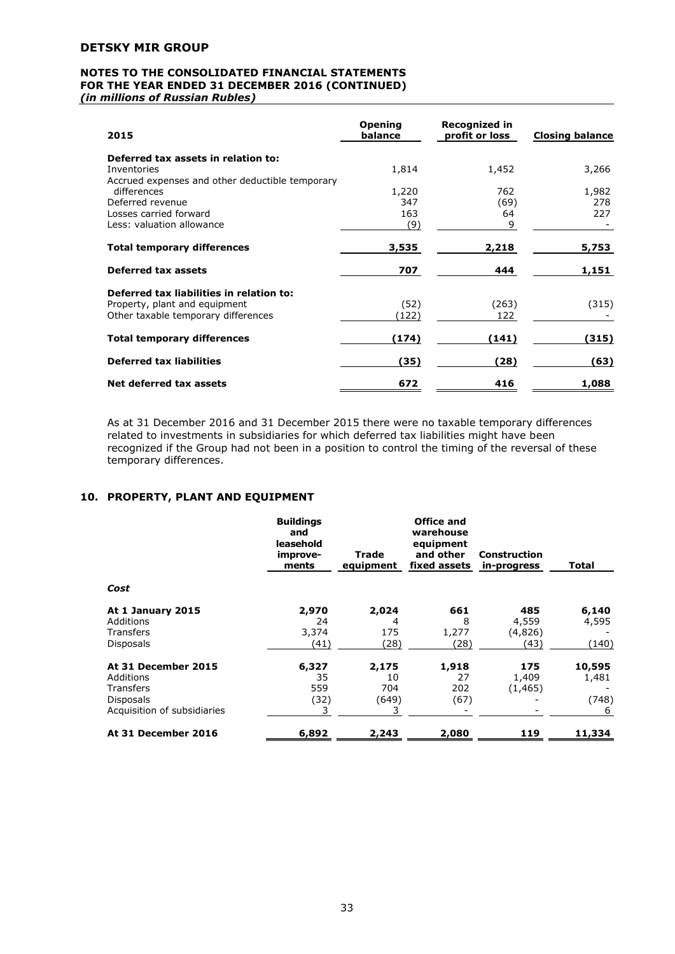#### **NOTES TO THE CONSOLIDATED FINANCIAL STATEMENTS FOR THE YEAR ENDED 31 DECEMBER 2016 (CONTINUED)** *(in millions of Russian Rubles)*

| 2015                                            | <b>Opening</b><br>balance | Recognized in<br>profit or loss | <b>Closing balance</b> |
|-------------------------------------------------|---------------------------|---------------------------------|------------------------|
| Deferred tax assets in relation to:             |                           |                                 |                        |
| Inventories                                     | 1,814                     | 1,452                           | 3,266                  |
| Accrued expenses and other deductible temporary |                           |                                 |                        |
| differences                                     | 1,220                     | 762                             | 1,982                  |
| Deferred revenue                                | 347                       | (69)                            | 278                    |
| Losses carried forward                          | 163                       | 64                              | 227                    |
| Less: valuation allowance                       | (9)                       | 9                               |                        |
| <b>Total temporary differences</b>              | 3,535                     | 2,218                           | 5,753                  |
| Deferred tax assets                             | 707                       | 444                             | 1,151                  |
| Deferred tax liabilities in relation to:        |                           |                                 |                        |
| Property, plant and equipment                   | (52)                      | (263)                           | (315)                  |
| Other taxable temporary differences             | (122)                     | 122                             |                        |
| <b>Total temporary differences</b>              | (174)                     | (141)                           | (315)                  |
| <b>Deferred tax liabilities</b>                 | (35)                      | (28)                            | (63)                   |
| Net deferred tax assets                         | 672                       | 416                             | 1,088                  |

As at 31 December 2016 and 31 December 2015 there were no taxable temporary differences related to investments in subsidiaries for which deferred tax liabilities might have been recognized if the Group had not been in a position to control the timing of the reversal of these temporary differences.

#### **10. PROPERTY, PLANT AND EQUIPMENT**

|                             | <b>Buildings</b><br>and<br>leasehold<br>improve-<br>ments | Trade<br>equipment | Office and<br>warehouse<br>equipment<br>and other<br>fixed assets | <b>Construction</b><br>in-progress | Total  |
|-----------------------------|-----------------------------------------------------------|--------------------|-------------------------------------------------------------------|------------------------------------|--------|
| Cost                        |                                                           |                    |                                                                   |                                    |        |
| At 1 January 2015           | 2,970                                                     | 2,024              | 661                                                               | 485                                | 6,140  |
| Additions                   | 24                                                        | 4                  | 8                                                                 | 4,559                              | 4,595  |
| <b>Transfers</b>            | 3,374                                                     | 175                | 1,277                                                             | (4,826)                            |        |
| <b>Disposals</b>            | (41)                                                      | (28)               | (28)                                                              | (43)                               | (140)  |
| At 31 December 2015         | 6,327                                                     | 2,175              | 1,918                                                             | 175                                | 10,595 |
| Additions                   | 35                                                        | 10                 | 27                                                                | 1,409                              | 1,481  |
| <b>Transfers</b>            | 559                                                       | 704                | 202                                                               | (1, 465)                           |        |
| <b>Disposals</b>            | (32)                                                      | (649)              | (67)                                                              |                                    | (748)  |
| Acquisition of subsidiaries | 3                                                         | 3                  |                                                                   |                                    | 6      |
| At 31 December 2016         | 6,892                                                     | 2,243              | 2,080                                                             | 119                                | 11,334 |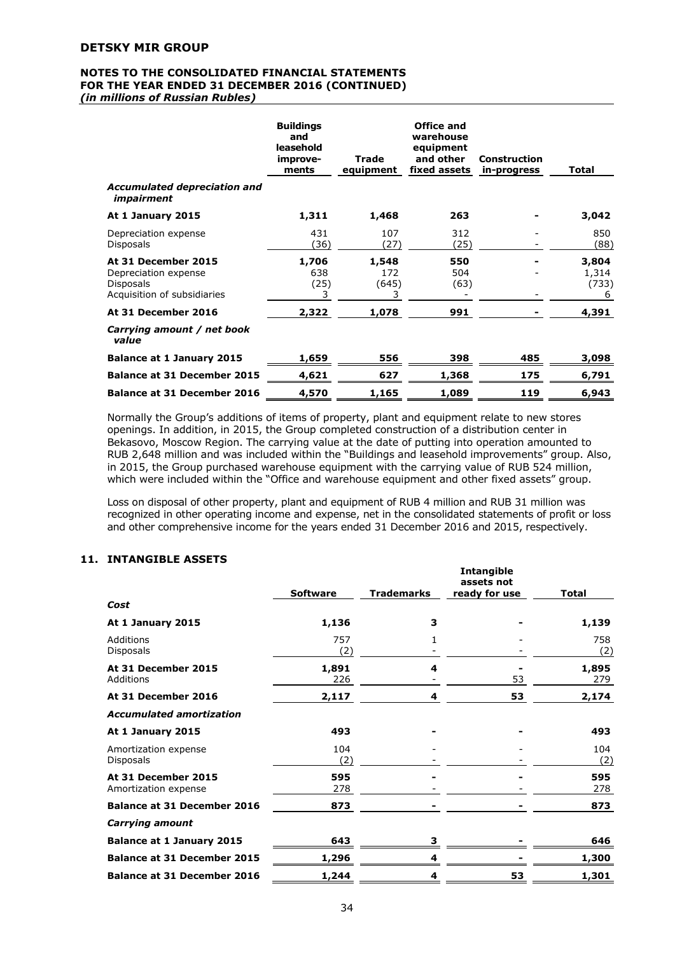#### **NOTES TO THE CONSOLIDATED FINANCIAL STATEMENTS FOR THE YEAR ENDED 31 DECEMBER 2016 (CONTINUED)** *(in millions of Russian Rubles)*

|                                                                                                | <b>Buildings</b><br>and<br>leasehold<br>improve-<br>ments | Trade<br>equipment         | <b>Office and</b><br>warehouse<br>equipment<br>and other<br>fixed assets | <b>Construction</b><br>in-progress | Total                        |
|------------------------------------------------------------------------------------------------|-----------------------------------------------------------|----------------------------|--------------------------------------------------------------------------|------------------------------------|------------------------------|
| <b>Accumulated depreciation and</b><br>impairment                                              |                                                           |                            |                                                                          |                                    |                              |
| At 1 January 2015                                                                              | 1,311                                                     | 1,468                      | 263                                                                      |                                    | 3,042                        |
| Depreciation expense<br><b>Disposals</b>                                                       | 431<br>(36)                                               | 107<br>(27)                | 312<br>(25)                                                              |                                    | 850<br>(88)                  |
| At 31 December 2015<br>Depreciation expense<br><b>Disposals</b><br>Acquisition of subsidiaries | 1,706<br>638<br>(25)<br>3                                 | 1,548<br>172<br>(645)<br>3 | 550<br>504<br>(63)                                                       |                                    | 3,804<br>1,314<br>(733)<br>6 |
| At 31 December 2016                                                                            | 2,322                                                     | 1,078                      | 991                                                                      |                                    | 4,391                        |
| Carrying amount / net book<br>value                                                            |                                                           |                            |                                                                          |                                    |                              |
| <b>Balance at 1 January 2015</b>                                                               | 1,659                                                     | 556                        | 398                                                                      | 485                                | 3,098                        |
| <b>Balance at 31 December 2015</b>                                                             | 4,621                                                     | 627                        | 1,368                                                                    | 175                                | 6,791                        |
| <b>Balance at 31 December 2016</b>                                                             | 4,570                                                     | 1,165                      | 1,089                                                                    | 119                                | 6,943                        |

Normally the Group's additions of items of property, plant and equipment relate to new stores openings. In addition, in 2015, the Group completed construction of a distribution center in Bekasovo, Moscow Region. The carrying value at the date of putting into operation amounted to RUB 2,648 million and was included within the "Buildings and leasehold improvements" group. Also, in 2015, the Group purchased warehouse equipment with the carrying value of RUB 524 million, which were included within the "Office and warehouse equipment and other fixed assets" group.

Loss on disposal of other property, plant and equipment of RUB 4 million and RUB 31 million was recognized in other operating income and expense, net in the consolidated statements of profit or loss and other comprehensive income for the years ended 31 December 2016 and 2015, respectively.

**Intangible** 

#### **11. INTANGIBLE ASSETS**

|              |                 | Intangible<br>assets not | Total         |
|--------------|-----------------|--------------------------|---------------|
|              |                 |                          |               |
| 1,136        | 3               |                          | 1,139         |
| 757<br>(2)   | 1               |                          | 758<br>(2)    |
| 1,891<br>226 | 4               | 53                       | 1,895<br>279  |
| 2,117        | 4               | 53                       | 2,174         |
|              |                 |                          |               |
| 493          |                 |                          | 493           |
| 104<br>(2)   |                 |                          | 104<br>(2)    |
| 595<br>278   |                 |                          | 595<br>278    |
| 873          |                 |                          | 873           |
|              |                 |                          |               |
| 643          |                 |                          | 646           |
| 1,296        | 4               |                          | 1,300         |
| 1,244        | 4               | 53                       | 1,301         |
|              | <b>Software</b> | <b>Trademarks</b>        | ready for use |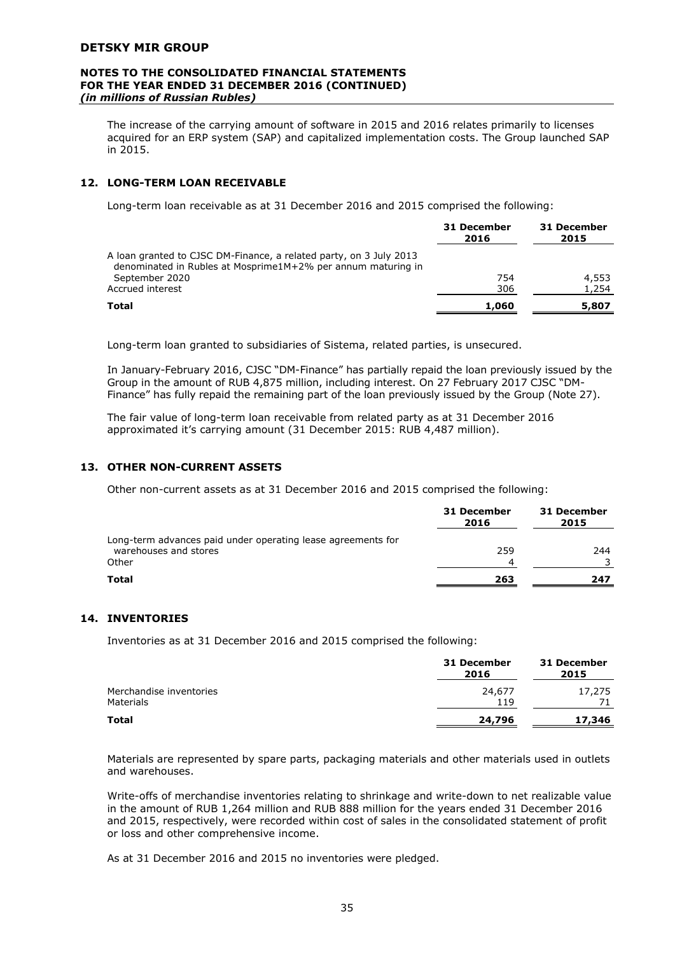#### **NOTES TO THE CONSOLIDATED FINANCIAL STATEMENTS FOR THE YEAR ENDED 31 DECEMBER 2016 (CONTINUED)** *(in millions of Russian Rubles)*

The increase of the carrying amount of software in 2015 and 2016 relates primarily to licenses acquired for an ERP system (SAP) and capitalized implementation costs. The Group launched SAP in 2015.

#### **12. LONG-TERM LOAN RECEIVABLE**

Long-term loan receivable as at 31 December 2016 and 2015 comprised the following:

|                                                                                                                                     | 31 December<br>2016 | 31 December<br>2015 |
|-------------------------------------------------------------------------------------------------------------------------------------|---------------------|---------------------|
| A loan granted to CJSC DM-Finance, a related party, on 3 July 2013<br>denominated in Rubles at Mosprime 1M+2% per annum maturing in |                     |                     |
| September 2020                                                                                                                      | 754                 | 4,553               |
| Accrued interest                                                                                                                    | 306                 | 1,254               |
| Total                                                                                                                               | 1,060               | 5,807               |

Long-term loan granted to subsidiaries of Sistema, related parties, is unsecured.

In January-February 2016, CJSC "DM-Finance" has partially repaid the loan previously issued by the Group in the amount of RUB 4,875 million, including interest. On 27 February 2017 CJSC "DM-Finance" has fully repaid the remaining part of the loan previously issued by the Group (Note 27).

The fair value of long-term loan receivable from related party as at 31 December 2016 approximated it's carrying amount (31 December 2015: RUB 4,487 million).

#### **13. OTHER NON-CURRENT ASSETS**

Other non-current assets as at 31 December 2016 and 2015 comprised the following:

|                                                                                                | 31 December<br>2016 | 31 December<br>2015 |
|------------------------------------------------------------------------------------------------|---------------------|---------------------|
| Long-term advances paid under operating lease agreements for<br>warehouses and stores<br>Other | 259<br>Δ            | 244                 |
| Total                                                                                          | 263                 | 247                 |

#### **14. INVENTORIES**

Inventories as at 31 December 2016 and 2015 comprised the following:

|                                      | 31 December<br>2016 | 31 December<br>2015 |
|--------------------------------------|---------------------|---------------------|
| Merchandise inventories<br>Materials | 24,677<br>119       | 17,275              |
| Total                                | 24,796              | 17,346              |

Materials are represented by spare parts, packaging materials and other materials used in outlets and warehouses.

Write-offs of merchandise inventories relating to shrinkage and write-down to net realizable value in the amount of RUB 1,264 million and RUB 888 million for the years ended 31 December 2016 and 2015, respectively, were recorded within cost of sales in the consolidated statement of profit or loss and other comprehensive income.

As at 31 December 2016 and 2015 no inventories were pledged.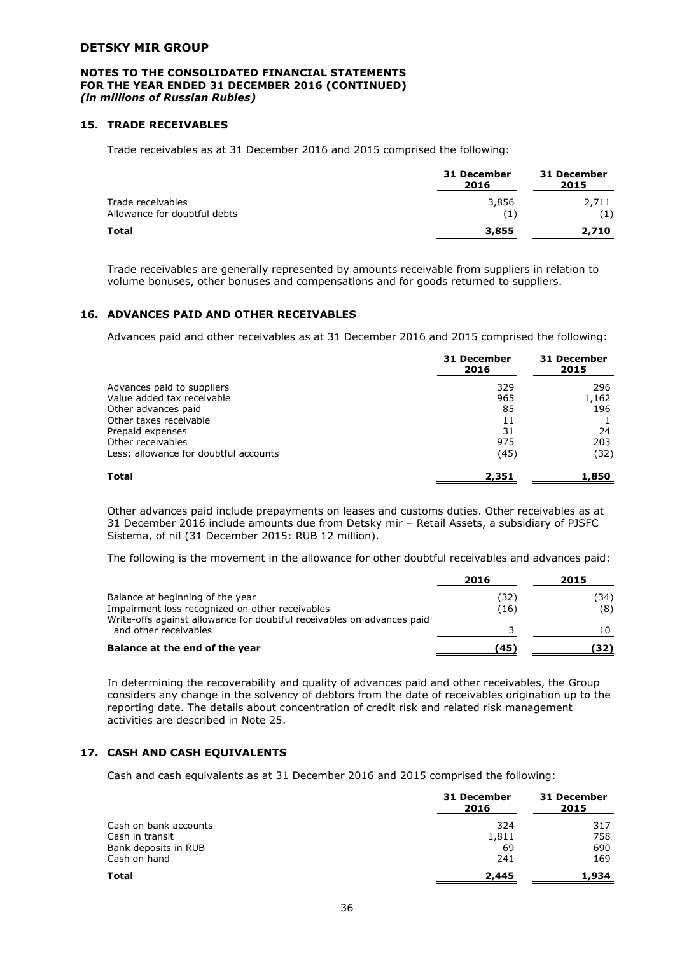#### **NOTES TO THE CONSOLIDATED FINANCIAL STATEMENTS FOR THE YEAR ENDED 31 DECEMBER 2016 (CONTINUED)** *(in millions of Russian Rubles)*

#### **15. TRADE RECEIVABLES**

Trade receivables as at 31 December 2016 and 2015 comprised the following:

|                                                   | 31 December<br>2016   | 31 December<br>2015 |
|---------------------------------------------------|-----------------------|---------------------|
| Trade receivables<br>Allowance for doubtful debts | 3,856<br>$\mathbf{1}$ | 2.711               |
| <b>Total</b>                                      | 3,855                 | 2,710               |

Trade receivables are generally represented by amounts receivable from suppliers in relation to volume bonuses, other bonuses and compensations and for goods returned to suppliers.

#### **16. ADVANCES PAID AND OTHER RECEIVABLES**

Advances paid and other receivables as at 31 December 2016 and 2015 comprised the following:

|                                       | 31 December<br>2016 | <b>31 December</b><br>2015 |
|---------------------------------------|---------------------|----------------------------|
| Advances paid to suppliers            | 329                 | 296                        |
| Value added tax receivable            | 965                 | 1,162                      |
| Other advances paid                   | 85                  | 196                        |
| Other taxes receivable                | 11                  |                            |
| Prepaid expenses                      | 31                  | 24                         |
| Other receivables                     | 975                 | 203                        |
| Less: allowance for doubtful accounts | (45)                | (32)                       |
| <b>Total</b>                          | 2,351               | 1,850                      |

Other advances paid include prepayments on leases and customs duties. Other receivables as at 31 December 2016 include amounts due from Detsky mir – Retail Assets, a subsidiary of PJSFC Sistema, of nil (31 December 2015: RUB 12 million).

The following is the movement in the allowance for other doubtful receivables and advances paid:

|                                                                        | 2016 | 2015 |
|------------------------------------------------------------------------|------|------|
| Balance at beginning of the year                                       | (32) | (34) |
| Impairment loss recognized on other receivables                        | (16) | (8)  |
| Write-offs against allowance for doubtful receivables on advances paid |      |      |
| and other receivables                                                  |      | 1 N  |
| Balance at the end of the year                                         | (45  | (32) |

In determining the recoverability and quality of advances paid and other receivables, the Group considers any change in the solvency of debtors from the date of receivables origination up to the reporting date. The details about concentration of credit risk and related risk management activities are described in Note 25.

#### **17. CASH AND CASH EQUIVALENTS**

Cash and cash equivalents as at 31 December 2016 and 2015 comprised the following:

|                       | 31 December<br>2016 | 31 December<br>2015 |  |
|-----------------------|---------------------|---------------------|--|
| Cash on bank accounts | 324                 | 317                 |  |
| Cash in transit       | 1,811               | 758                 |  |
| Bank deposits in RUB  | 69                  | 690                 |  |
| Cash on hand          | 241                 | 169                 |  |
| Total                 | 2,445               | 1,934               |  |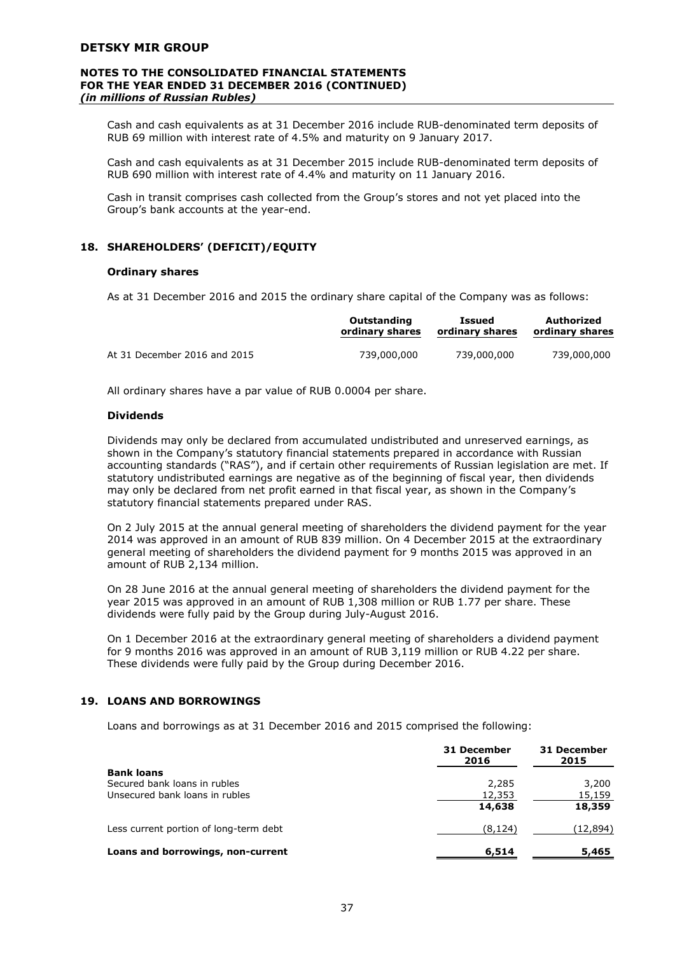#### **NOTES TO THE CONSOLIDATED FINANCIAL STATEMENTS FOR THE YEAR ENDED 31 DECEMBER 2016 (CONTINUED)** *(in millions of Russian Rubles)*

Cash and cash equivalents as at 31 December 2016 include RUB-denominated term deposits of RUB 69 million with interest rate of 4.5% and maturity on 9 January 2017.

Cash and cash equivalents as at 31 December 2015 include RUB-denominated term deposits of RUB 690 million with interest rate of 4.4% and maturity on 11 January 2016.

Cash in transit comprises cash collected from the Group's stores and not yet placed into the Group's bank accounts at the year-end.

#### **18. SHAREHOLDERS' (DEFICIT)/EQUITY**

#### **Ordinary shares**

As at 31 December 2016 and 2015 the ordinary share capital of the Company was as follows:

|                              | Outstanding     | Issued          | Authorized      |
|------------------------------|-----------------|-----------------|-----------------|
|                              | ordinary shares | ordinary shares | ordinary shares |
| At 31 December 2016 and 2015 | 739,000,000     | 739,000,000     | 739,000,000     |

All ordinary shares have a par value of RUB 0.0004 per share.

#### **Dividends**

Dividends may only be declared from accumulated undistributed and unreserved earnings, as shown in the Company's statutory financial statements prepared in accordance with Russian accounting standards ("RAS"), and if certain other requirements of Russian legislation are met. If statutory undistributed earnings are negative as of the beginning of fiscal year, then dividends may only be declared from net profit earned in that fiscal year, as shown in the Company's statutory financial statements prepared under RAS.

On 2 July 2015 at the annual general meeting of shareholders the dividend payment for the year 2014 was approved in an amount of RUB 839 million. On 4 December 2015 at the extraordinary general meeting of shareholders the dividend payment for 9 months 2015 was approved in an amount of RUB 2,134 million.

On 28 June 2016 at the annual general meeting of shareholders the dividend payment for the year 2015 was approved in an amount of RUB 1,308 million or RUB 1.77 per share. These dividends were fully paid by the Group during July-August 2016.

On 1 December 2016 at the extraordinary general meeting of shareholders a dividend payment for 9 months 2016 was approved in an amount of RUB 3,119 million or RUB 4.22 per share. These dividends were fully paid by the Group during December 2016.

#### **19. LOANS AND BORROWINGS**

Loans and borrowings as at 31 December 2016 and 2015 comprised the following:

|                                        | 31 December<br>2016 | 31 December<br>2015 |
|----------------------------------------|---------------------|---------------------|
| <b>Bank loans</b>                      |                     |                     |
| Secured bank loans in rubles           | 2,285               | 3,200               |
| Unsecured bank loans in rubles         | 12,353              | 15,159              |
|                                        | 14,638              | 18,359              |
| Less current portion of long-term debt | (8, 124)            | (12,894)            |
| Loans and borrowings, non-current      | 6,514               | 5,465               |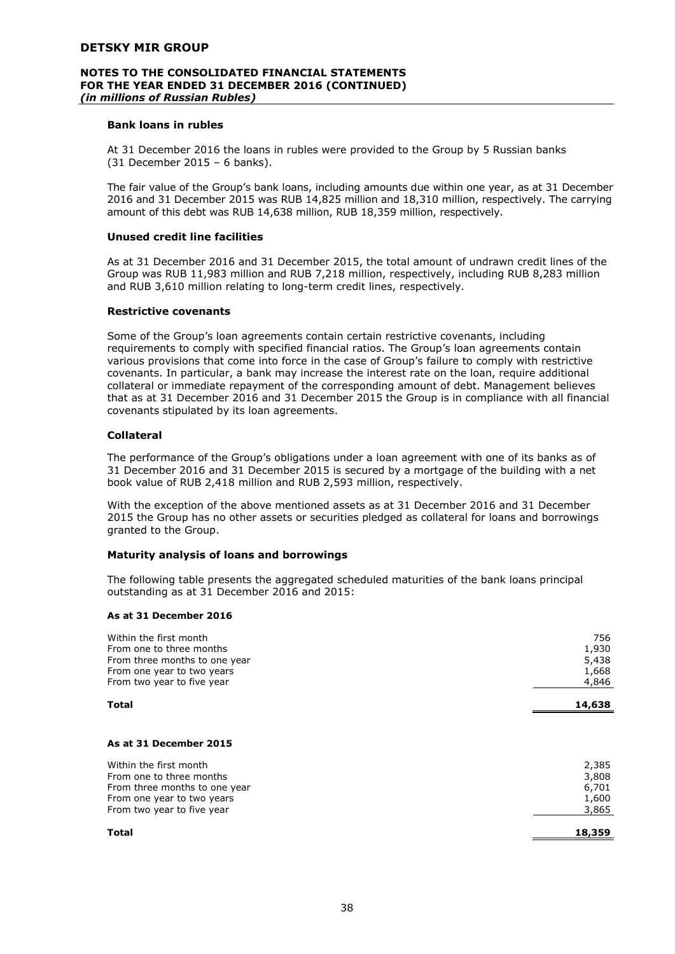#### **NOTES TO THE CONSOLIDATED FINANCIAL STATEMENTS FOR THE YEAR ENDED 31 DECEMBER 2016 (CONTINUED)** *(in millions of Russian Rubles)*

#### **Bank loans in rubles**

At 31 December 2016 the loans in rubles were provided to the Group by 5 Russian banks (31 December 2015 – 6 banks).

The fair value of the Group's bank loans, including amounts due within one year, as at 31 December 2016 and 31 December 2015 was RUB 14,825 million and 18,310 million, respectively. The carrying amount of this debt was RUB 14,638 million, RUB 18,359 million, respectively.

#### **Unused credit line facilities**

As at 31 December 2016 and 31 December 2015, the total amount of undrawn credit lines of the Group was RUB 11,983 million and RUB 7,218 million, respectively, including RUB 8,283 million and RUB 3,610 million relating to long-term credit lines, respectively.

#### **Restrictive covenants**

Some of the Group's loan agreements contain certain restrictive covenants, including requirements to comply with specified financial ratios. The Group's loan agreements contain various provisions that come into force in the case of Group's failure to comply with restrictive covenants. In particular, a bank may increase the interest rate on the loan, require additional collateral or immediate repayment of the corresponding amount of debt. Management believes that as at 31 December 2016 and 31 December 2015 the Group is in compliance with all financial covenants stipulated by its loan agreements.

#### **Collateral**

The performance of the Group's obligations under a loan agreement with one of its banks as of 31 December 2016 and 31 December 2015 is secured by a mortgage of the building with a net book value of RUB 2,418 million and RUB 2,593 million, respectively.

With the exception of the above mentioned assets as at 31 December 2016 and 31 December 2015 the Group has no other assets or securities pledged as collateral for loans and borrowings granted to the Group.

#### **Maturity analysis of loans and borrowings**

The following table presents the aggregated scheduled maturities of the bank loans principal outstanding as at 31 December 2016 and 2015:

#### **As at 31 December 2016**

| Within the first month<br>From one to three months<br>From three months to one year<br>From one year to two years<br>From two year to five year | 756<br>1,930<br>5,438<br>1,668<br>4,846   |
|-------------------------------------------------------------------------------------------------------------------------------------------------|-------------------------------------------|
| Total                                                                                                                                           | 14,638                                    |
| As at 31 December 2015                                                                                                                          |                                           |
| Within the first month<br>From one to three months<br>From three months to one year<br>From one year to two years<br>From two year to five year | 2,385<br>3,808<br>6,701<br>1,600<br>3,865 |
| <b>Total</b>                                                                                                                                    | 18,359                                    |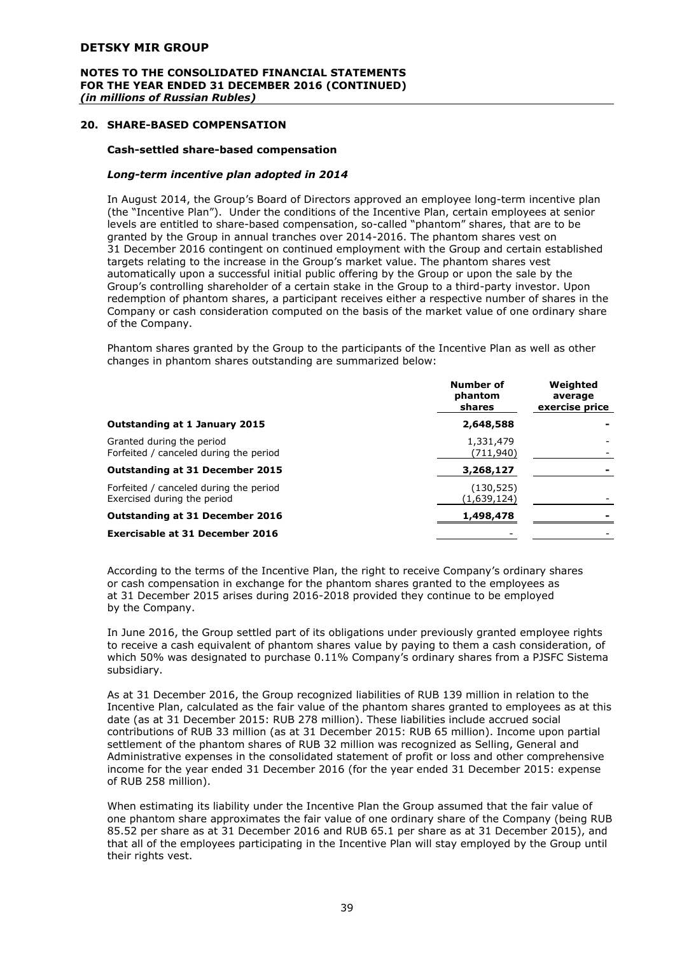#### **NOTES TO THE CONSOLIDATED FINANCIAL STATEMENTS FOR THE YEAR ENDED 31 DECEMBER 2016 (CONTINUED)** *(in millions of Russian Rubles)*

#### **20. SHARE-BASED COMPENSATION**

#### **Cash-settled share-based compensation**

#### *Long-term incentive plan adopted in 2014*

In August 2014, the Group's Board of Directors approved an employee long-term incentive plan (the "Incentive Plan"). Under the conditions of the Incentive Plan, certain employees at senior levels are entitled to share-based compensation, so-called "phantom" shares, that are to be granted by the Group in annual tranches over 2014-2016. The phantom shares vest on 31 December 2016 contingent on continued employment with the Group and certain established targets relating to the increase in the Group's market value. The phantom shares vest automatically upon a successful initial public offering by the Group or upon the sale by the Group's controlling shareholder of a certain stake in the Group to a third-party investor. Upon redemption of phantom shares, a participant receives either a respective number of shares in the Company or cash consideration computed on the basis of the market value of one ordinary share of the Company.

Phantom shares granted by the Group to the participants of the Incentive Plan as well as other changes in phantom shares outstanding are summarized below:

|                                                                       | Number of<br>phantom<br>shares | Weighted<br>average<br>exercise price |
|-----------------------------------------------------------------------|--------------------------------|---------------------------------------|
| <b>Outstanding at 1 January 2015</b>                                  | 2,648,588                      |                                       |
| Granted during the period<br>Forfeited / canceled during the period   | 1,331,479<br>(711,940)         |                                       |
| <b>Outstanding at 31 December 2015</b>                                | 3,268,127                      |                                       |
| Forfeited / canceled during the period<br>Exercised during the period | (130, 525)<br>(1,639,124)      |                                       |
| Outstanding at 31 December 2016                                       | 1,498,478                      |                                       |
| <b>Exercisable at 31 December 2016</b>                                |                                |                                       |

According to the terms of the Incentive Plan, the right to receive Company's ordinary shares or cash compensation in exchange for the phantom shares granted to the employees as at 31 December 2015 arises during 2016-2018 provided they continue to be employed by the Company.

In June 2016, the Group settled part of its obligations under previously granted employee rights to receive a cash equivalent of phantom shares value by paying to them a cash consideration, of which 50% was designated to purchase 0.11% Company's ordinary shares from a PJSFC Sistema subsidiary.

As at 31 December 2016, the Group recognized liabilities of RUB 139 million in relation to the Incentive Plan, calculated as the fair value of the phantom shares granted to employees as at this date (as at 31 December 2015: RUB 278 million). These liabilities include accrued social contributions of RUB 33 million (as at 31 December 2015: RUB 65 million). Income upon partial settlement of the phantom shares of RUB 32 million was recognized as Selling, General and Administrative expenses in the consolidated statement of profit or loss and other comprehensive income for the year ended 31 December 2016 (for the year ended 31 December 2015: expense of RUB 258 million).

When estimating its liability under the Incentive Plan the Group assumed that the fair value of one phantom share approximates the fair value of one ordinary share of the Company (being RUB 85.52 per share as at 31 December 2016 and RUB 65.1 per share as at 31 December 2015), and that all of the employees participating in the Incentive Plan will stay employed by the Group until their rights vest.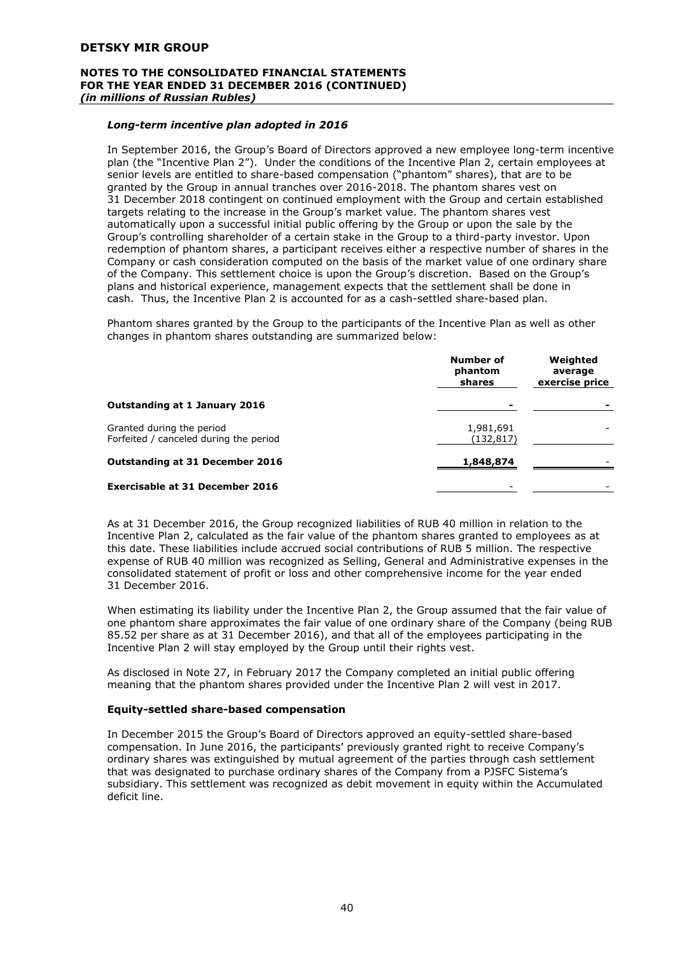#### **NOTES TO THE CONSOLIDATED FINANCIAL STATEMENTS FOR THE YEAR ENDED 31 DECEMBER 2016 (CONTINUED)** *(in millions of Russian Rubles)*

#### *Long-term incentive plan adopted in 2016*

In September 2016, the Group's Board of Directors approved a new employee long-term incentive plan (the "Incentive Plan 2"). Under the conditions of the Incentive Plan 2, certain employees at senior levels are entitled to share-based compensation ("phantom" shares), that are to be granted by the Group in annual tranches over 2016-2018. The phantom shares vest on 31 December 2018 contingent on continued employment with the Group and certain established targets relating to the increase in the Group's market value. The phantom shares vest automatically upon a successful initial public offering by the Group or upon the sale by the Group's controlling shareholder of a certain stake in the Group to a third-party investor. Upon redemption of phantom shares, a participant receives either a respective number of shares in the Company or cash consideration computed on the basis of the market value of one ordinary share of the Company. This settlement choice is upon the Group's discretion. Based on the Group's plans and historical experience, management expects that the settlement shall be done in cash. Thus, the Incentive Plan 2 is accounted for as a cash-settled share-based plan.

Phantom shares granted by the Group to the participants of the Incentive Plan as well as other changes in phantom shares outstanding are summarized below:

|                                                                     | Number of<br>phantom<br>shares | Weighted<br>average<br>exercise price |
|---------------------------------------------------------------------|--------------------------------|---------------------------------------|
| Outstanding at 1 January 2016                                       | -                              |                                       |
| Granted during the period<br>Forfeited / canceled during the period | 1,981,691<br>(132, 817)        |                                       |
| Outstanding at 31 December 2016                                     | 1,848,874                      |                                       |
| Exercisable at 31 December 2016                                     |                                |                                       |

As at 31 December 2016, the Group recognized liabilities of RUB 40 million in relation to the Incentive Plan 2, calculated as the fair value of the phantom shares granted to employees as at this date. These liabilities include accrued social contributions of RUB 5 million. The respective expense of RUB 40 million was recognized as Selling, General and Administrative expenses in the consolidated statement of profit or loss and other comprehensive income for the year ended 31 December 2016.

When estimating its liability under the Incentive Plan 2, the Group assumed that the fair value of one phantom share approximates the fair value of one ordinary share of the Company (being RUB 85.52 per share as at 31 December 2016), and that all of the employees participating in the Incentive Plan 2 will stay employed by the Group until their rights vest.

As disclosed in Note 27, in February 2017 the Company completed an initial public offering meaning that the phantom shares provided under the Incentive Plan 2 will vest in 2017.

#### **Equity-settled share-based compensation**

In December 2015 the Group's Board of Directors approved an equity-settled share-based compensation. In June 2016, the participants' previously granted right to receive Company's ordinary shares was extinguished by mutual agreement of the parties through cash settlement that was designated to purchase ordinary shares of the Company from a PJSFC Sistema's subsidiary. This settlement was recognized as debit movement in equity within the Accumulated deficit line.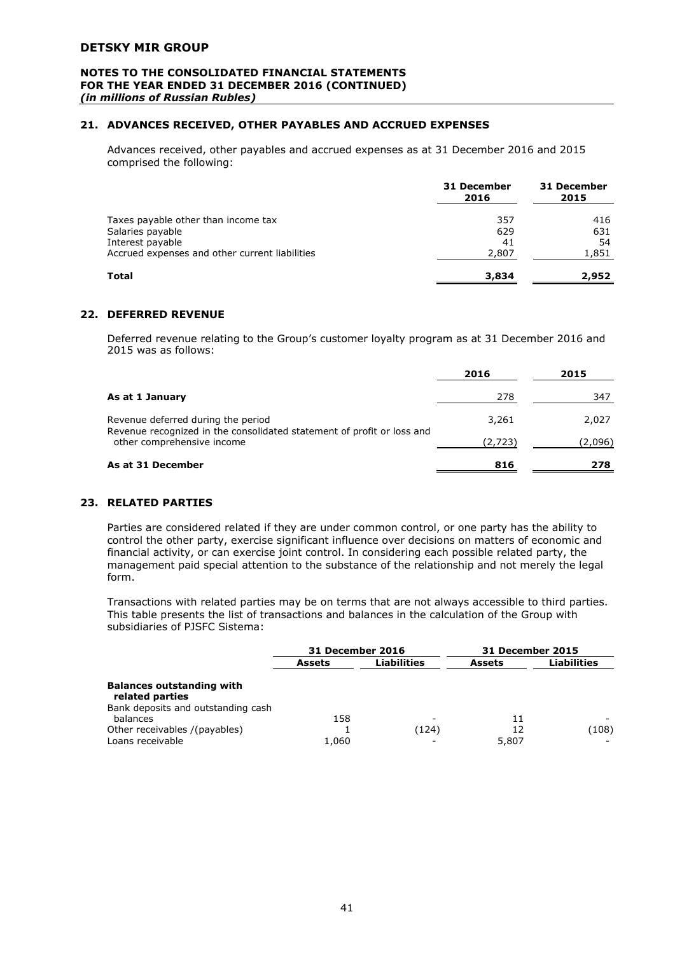#### **NOTES TO THE CONSOLIDATED FINANCIAL STATEMENTS FOR THE YEAR ENDED 31 DECEMBER 2016 (CONTINUED)** *(in millions of Russian Rubles)*

#### **21. ADVANCES RECEIVED, OTHER PAYABLES AND ACCRUED EXPENSES**

Advances received, other payables and accrued expenses as at 31 December 2016 and 2015 comprised the following:

|                                                | 31 December<br>2016 | 31 December<br>2015 |  |
|------------------------------------------------|---------------------|---------------------|--|
| Taxes payable other than income tax            | 357                 | 416                 |  |
| Salaries payable<br>Interest payable           | 629<br>41           | 631<br>54           |  |
| Accrued expenses and other current liabilities | 2,807               | 1,851               |  |
| Total                                          | 3,834               | 2,952               |  |

#### **22. DEFERRED REVENUE**

Deferred revenue relating to the Group's customer loyalty program as at 31 December 2016 and 2015 was as follows:

|                                                                                                              | 2016    | 2015    |
|--------------------------------------------------------------------------------------------------------------|---------|---------|
| As at 1 January                                                                                              | 278     | 347     |
| Revenue deferred during the period<br>Revenue recognized in the consolidated statement of profit or loss and | 3,261   | 2,027   |
| other comprehensive income                                                                                   | (2.723) | (2,096) |
| As at 31 December                                                                                            | 816     | 278     |

#### **23. RELATED PARTIES**

Parties are considered related if they are under common control, or one party has the ability to control the other party, exercise significant influence over decisions on matters of economic and financial activity, or can exercise joint control. In considering each possible related party, the management paid special attention to the substance of the relationship and not merely the legal form.

Transactions with related parties may be on terms that are not always accessible to third parties. This table presents the list of transactions and balances in the calculation of the Group with subsidiaries of PJSFC Sistema:

|                                                     | <b>31 December 2016</b> |                    | <b>31 December 2015</b> |                    |
|-----------------------------------------------------|-------------------------|--------------------|-------------------------|--------------------|
|                                                     | <b>Assets</b>           | <b>Liabilities</b> | <b>Assets</b>           | <b>Liabilities</b> |
| <b>Balances outstanding with</b><br>related parties |                         |                    |                         |                    |
| Bank deposits and outstanding cash<br>balances      | 158                     | $\qquad \qquad$    | 11                      |                    |
| Other receivables /(payables)                       |                         | (124)              | 12                      | (108)              |
| Loans receivable                                    | 1,060                   |                    | 5,807                   |                    |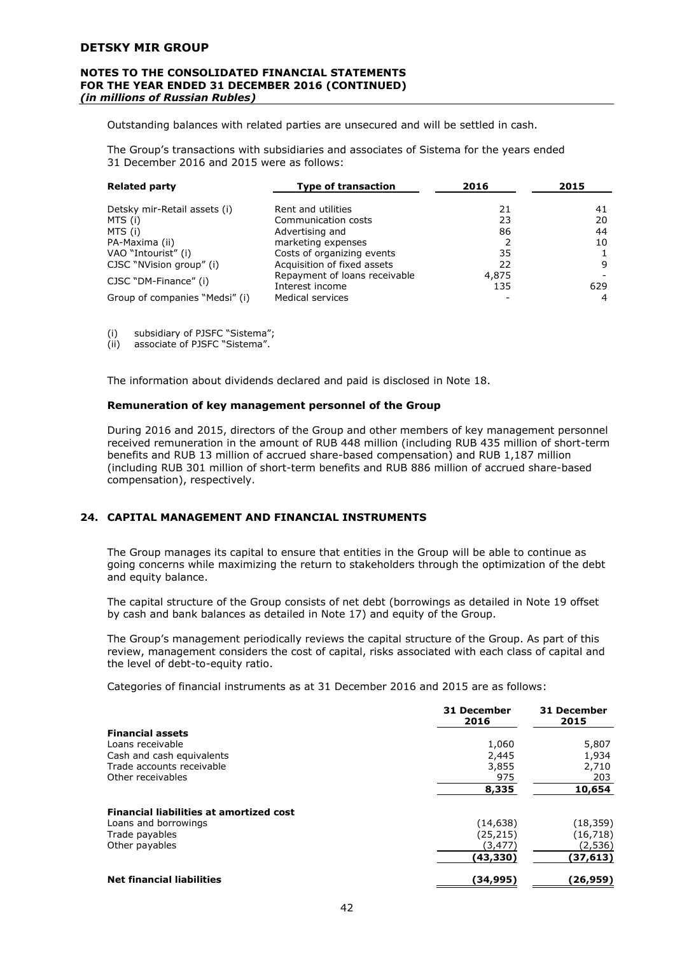#### **NOTES TO THE CONSOLIDATED FINANCIAL STATEMENTS FOR THE YEAR ENDED 31 DECEMBER 2016 (CONTINUED)** *(in millions of Russian Rubles)*

Outstanding balances with related parties are unsecured and will be settled in cash.

The Group's transactions with subsidiaries and associates of Sistema for the years ended 31 December 2016 and 2015 were as follows:

| <b>Related party</b>           | <b>Type of transaction</b>    | 2016  | 2015 |
|--------------------------------|-------------------------------|-------|------|
| Detsky mir-Retail assets (i)   | Rent and utilities            | 21    | 41   |
| MTS (i)                        | Communication costs           | 23    | 20   |
| MTS (i)                        | Advertising and               | 86    | 44   |
| PA-Maxima (ii)                 | marketing expenses            |       | 10   |
| VAO "Intourist" (i)            | Costs of organizing events    | 35    |      |
| CJSC "NVision group" (i)       | Acquisition of fixed assets   | 22    | 9    |
| CJSC "DM-Finance" (i)          | Repayment of loans receivable | 4,875 |      |
|                                | Interest income               | 135   | 629  |
| Group of companies "Medsi" (i) | <b>Medical services</b>       |       | 4    |

(i) subsidiary of PJSFC "Sistema";

(ii) associate of PJSFC "Sistema".

The information about dividends declared and paid is disclosed in Note 18.

#### **Remuneration of key management personnel of the Group**

During 2016 and 2015, directors of the Group and other members of key management personnel received remuneration in the amount of RUB 448 million (including RUB 435 million of short-term benefits and RUB 13 million of accrued share-based compensation) and RUB 1,187 million (including RUB 301 million of short-term benefits and RUB 886 million of accrued share-based compensation), respectively.

#### **24. CAPITAL MANAGEMENT AND FINANCIAL INSTRUMENTS**

The Group manages its capital to ensure that entities in the Group will be able to continue as going concerns while maximizing the return to stakeholders through the optimization of the debt and equity balance.

The capital structure of the Group consists of net debt (borrowings as detailed in Note 19 offset by cash and bank balances as detailed in Note 17) and equity of the Group.

The Group's management periodically reviews the capital structure of the Group. As part of this review, management considers the cost of capital, risks associated with each class of capital and the level of debt-to-equity ratio.

Categories of financial instruments as at 31 December 2016 and 2015 are as follows:

|                                                | 31 December<br>2016 | <b>31 December</b><br>2015 |
|------------------------------------------------|---------------------|----------------------------|
| <b>Financial assets</b>                        |                     |                            |
| Loans receivable                               | 1,060               | 5,807                      |
| Cash and cash equivalents                      | 2,445               | 1,934                      |
| Trade accounts receivable                      | 3,855               | 2,710                      |
| Other receivables                              | 975                 | 203                        |
|                                                | 8,335               | 10,654                     |
| <b>Financial liabilities at amortized cost</b> |                     |                            |
| Loans and borrowings                           | (14, 638)           | (18, 359)                  |
| Trade payables                                 | (25,215)            | (16, 718)                  |
| Other payables                                 | (3,477)             | (2,536)                    |
|                                                | (43,330)            | (37,613)                   |
| <b>Net financial liabilities</b>               | (34,995`            | (26,959)                   |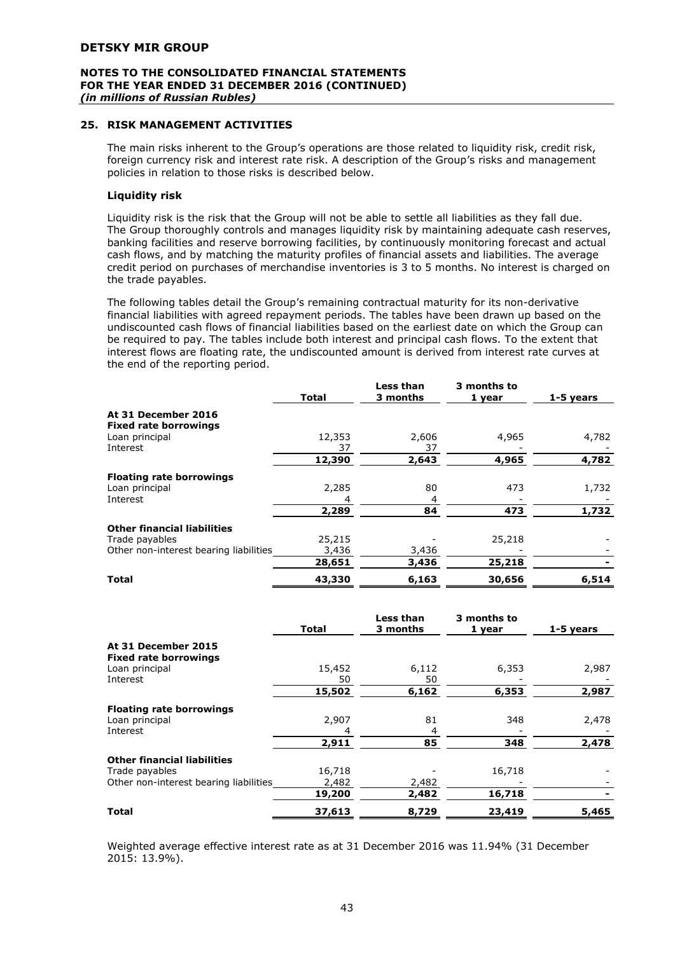#### **NOTES TO THE CONSOLIDATED FINANCIAL STATEMENTS FOR THE YEAR ENDED 31 DECEMBER 2016 (CONTINUED)** *(in millions of Russian Rubles)*

#### **25. RISK MANAGEMENT ACTIVITIES**

The main risks inherent to the Group's operations are those related to liquidity risk, credit risk, foreign currency risk and interest rate risk. A description of the Group's risks and management policies in relation to those risks is described below.

#### **Liquidity risk**

Liquidity risk is the risk that the Group will not be able to settle all liabilities as they fall due. The Group thoroughly controls and manages liquidity risk by maintaining adequate cash reserves, banking facilities and reserve borrowing facilities, by continuously monitoring forecast and actual cash flows, and by matching the maturity profiles of financial assets and liabilities. The average credit period on purchases of merchandise inventories is 3 to 5 months. No interest is charged on the trade payables.

The following tables detail the Group's remaining contractual maturity for its non-derivative financial liabilities with agreed repayment periods. The tables have been drawn up based on the undiscounted cash flows of financial liabilities based on the earliest date on which the Group can be required to pay. The tables include both interest and principal cash flows. To the extent that interest flows are floating rate, the undiscounted amount is derived from interest rate curves at the end of the reporting period.

|                                                     |              | Less than | 3 months to |           |
|-----------------------------------------------------|--------------|-----------|-------------|-----------|
|                                                     | <b>Total</b> | 3 months  | 1 year      | 1-5 years |
| At 31 December 2016<br><b>Fixed rate borrowings</b> |              |           |             |           |
| Loan principal                                      | 12,353       | 2,606     | 4,965       | 4,782     |
| Interest                                            | 37           | 37        |             |           |
|                                                     | 12,390       | 2,643     | 4,965       | 4,782     |
| <b>Floating rate borrowings</b>                     |              |           |             |           |
| Loan principal                                      | 2,285        | 80        | 473         | 1,732     |
| Interest                                            |              | 4         |             |           |
|                                                     | 2,289        | 84        | 473         | 1,732     |
| <b>Other financial liabilities</b>                  |              |           |             |           |
| Trade payables                                      | 25,215       |           | 25,218      |           |
| Other non-interest bearing liabilities              | 3,436        | 3,436     |             |           |
|                                                     | 28,651       | 3,436     | 25,218      |           |
| <b>Total</b>                                        | 43,330       | 6,163     | 30,656      | 6,514     |

|                                        | <b>Total</b> | Less than<br>3 months | 3 months to<br>1 year | 1-5 years |
|----------------------------------------|--------------|-----------------------|-----------------------|-----------|
| At 31 December 2015                    |              |                       |                       |           |
| <b>Fixed rate borrowings</b>           |              |                       |                       |           |
| Loan principal                         | 15,452       | 6,112                 | 6,353                 | 2,987     |
| Interest                               | 50           | 50                    |                       |           |
|                                        | 15,502       | 6,162                 | 6,353                 | 2,987     |
| <b>Floating rate borrowings</b>        |              |                       |                       |           |
| Loan principal                         | 2,907        | 81                    | 348                   | 2,478     |
| Interest                               | 4            | 4                     |                       |           |
|                                        | 2,911        | 85                    | 348                   | 2,478     |
| <b>Other financial liabilities</b>     |              |                       |                       |           |
| Trade payables                         | 16,718       |                       | 16,718                |           |
| Other non-interest bearing liabilities | 2,482        | 2,482                 |                       |           |
|                                        | 19,200       | 2,482                 | 16,718                |           |
| <b>Total</b>                           | 37,613       | 8,729                 | 23,419                | 5,465     |

Weighted average effective interest rate as at 31 December 2016 was 11.94% (31 December 2015: 13.9%).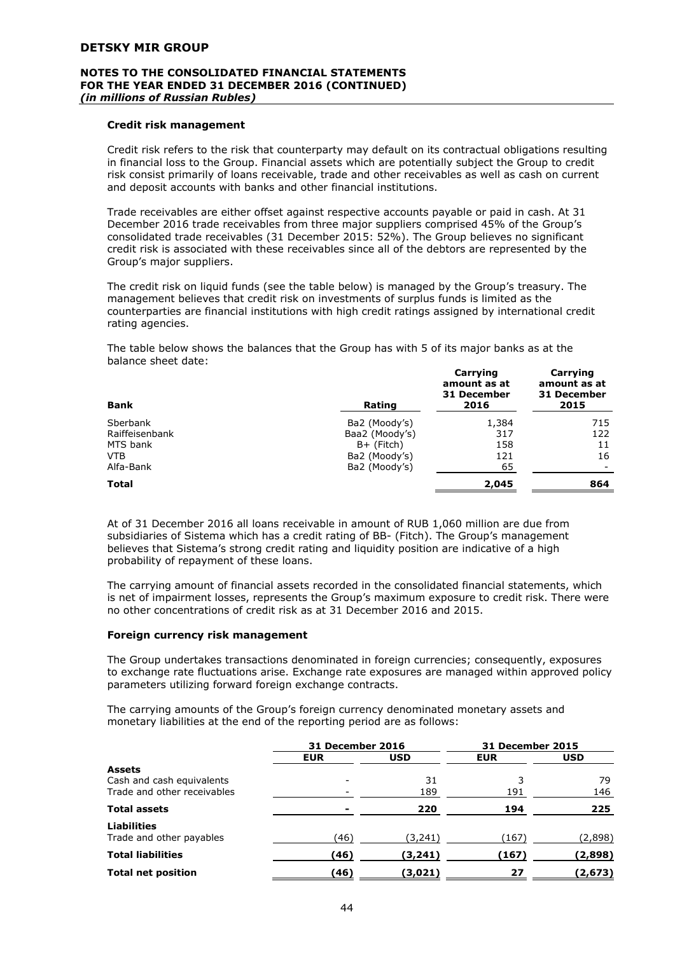#### **NOTES TO THE CONSOLIDATED FINANCIAL STATEMENTS FOR THE YEAR ENDED 31 DECEMBER 2016 (CONTINUED)** *(in millions of Russian Rubles)*

#### **Credit risk management**

Credit risk refers to the risk that counterparty may default on its contractual obligations resulting in financial loss to the Group. Financial assets which are potentially subject the Group to credit risk consist primarily of loans receivable, trade and other receivables as well as cash on current and deposit accounts with banks and other financial institutions.

Trade receivables are either offset against respective accounts payable or paid in cash. At 31 December 2016 trade receivables from three major suppliers comprised 45% of the Group's consolidated trade receivables (31 December 2015: 52%). The Group believes no significant credit risk is associated with these receivables since all of the debtors are represented by the Group's major suppliers.

The credit risk on liquid funds (see the table below) is managed by the Group's treasury. The management believes that credit risk on investments of surplus funds is limited as the counterparties are financial institutions with high credit ratings assigned by international credit rating agencies.

The table below shows the balances that the Group has with 5 of its major banks as at the balance sheet date:

| <b>Bank</b>                | Rating                       | Carrying<br>amount as at<br>31 December<br>2016 | Carrying<br>amount as at<br>31 December<br>2015 |
|----------------------------|------------------------------|-------------------------------------------------|-------------------------------------------------|
| Sberbank                   | Ba2 (Moody's)                | 1,384                                           | 715                                             |
| Raiffeisenbank<br>MTS bank | Baa2 (Moody's)<br>B+ (Fitch) | 317<br>158                                      | 122<br>11                                       |
|                            |                              |                                                 |                                                 |
| Alfa-Bank                  | Ba2 (Moody's)                | 65                                              |                                                 |
| <b>Total</b>               |                              | 2,045                                           | 864                                             |
|                            |                              |                                                 |                                                 |

At of 31 December 2016 all loans receivable in amount of RUB 1,060 million are due from subsidiaries of Sistema which has a credit rating of BB- (Fitch). The Group's management believes that Sistema's strong credit rating and liquidity position are indicative of a high probability of repayment of these loans.

The carrying amount of financial assets recorded in the consolidated financial statements, which is net of impairment losses, represents the Group's maximum exposure to credit risk. There were no other concentrations of credit risk as at 31 December 2016 and 2015.

#### **Foreign currency risk management**

The Group undertakes transactions denominated in foreign currencies; consequently, exposures to exchange rate fluctuations arise. Exchange rate exposures are managed within approved policy parameters utilizing forward foreign exchange contracts.

The carrying amounts of the Group's foreign currency denominated monetary assets and monetary liabilities at the end of the reporting period are as follows:

|                             | <b>31 December 2016</b> |            | <b>31 December 2015</b> |            |
|-----------------------------|-------------------------|------------|-------------------------|------------|
|                             | <b>EUR</b>              | <b>USD</b> | <b>EUR</b>              | <b>USD</b> |
| <b>Assets</b>               |                         |            |                         |            |
| Cash and cash equivalents   |                         | 31         |                         | 79         |
| Trade and other receivables |                         | 189        | 191                     | 146        |
| <b>Total assets</b>         |                         | 220        | 194                     | 225        |
| <b>Liabilities</b>          |                         |            |                         |            |
| Trade and other payables    | (46)                    | (3,241)    | (167)                   | (2,898)    |
| <b>Total liabilities</b>    | (46)                    | (3,241)    | (167)                   | (2,898)    |
| <b>Total net position</b>   | (46)                    | (3,021)    | 27                      | (2,673)    |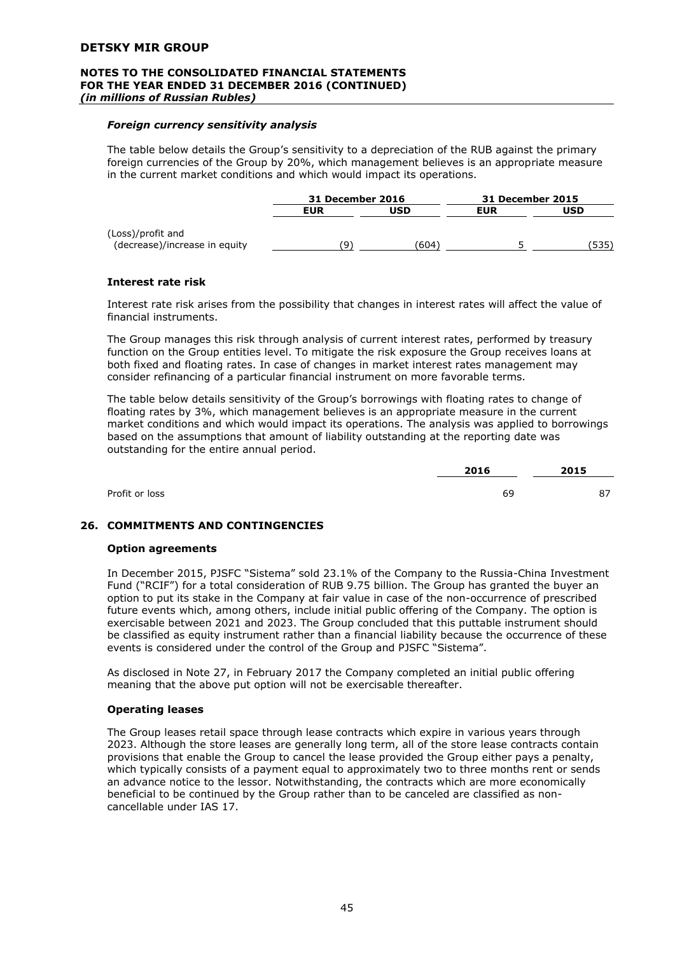#### **NOTES TO THE CONSOLIDATED FINANCIAL STATEMENTS FOR THE YEAR ENDED 31 DECEMBER 2016 (CONTINUED)** *(in millions of Russian Rubles)*

#### *Foreign currency sensitivity analysis*

The table below details the Group's sensitivity to a depreciation of the RUB against the primary foreign currencies of the Group by 20%, which management believes is an appropriate measure in the current market conditions and which would impact its operations.

|                               | <b>31 December 2016</b> |       | 31 December 2015 |       |
|-------------------------------|-------------------------|-------|------------------|-------|
|                               | <b>EUR</b>              | USD   | EUR              | USD   |
| (Loss)/profit and             |                         |       |                  |       |
| (decrease)/increase in equity | ٥)                      | (604) |                  | (535) |

#### **Interest rate risk**

Interest rate risk arises from the possibility that changes in interest rates will affect the value of financial instruments.

The Group manages this risk through analysis of current interest rates, performed by treasury function on the Group entities level. To mitigate the risk exposure the Group receives loans at both fixed and floating rates. In case of changes in market interest rates management may consider refinancing of a particular financial instrument on more favorable terms.

The table below details sensitivity of the Group's borrowings with floating rates to change of floating rates by 3%, which management believes is an appropriate measure in the current market conditions and which would impact its operations. The analysis was applied to borrowings based on the assumptions that amount of liability outstanding at the reporting date was outstanding for the entire annual period.

|                | 2016 | 2015     |
|----------------|------|----------|
| Profit or loss | 69   | 07<br>87 |

#### **26. COMMITMENTS AND CONTINGENCIES**

#### **Option agreements**

In December 2015, PJSFC "Sistema" sold 23.1% of the Company to the Russia-China Investment Fund ("RCIF") for a total consideration of RUB 9.75 billion. The Group has granted the buyer an option to put its stake in the Company at fair value in case of the non-occurrence of prescribed future events which, among others, include initial public offering of the Company. The option is exercisable between 2021 and 2023. The Group concluded that this puttable instrument should be classified as equity instrument rather than a financial liability because the occurrence of these events is considered under the control of the Group and PJSFC "Sistema".

As disclosed in Note 27, in February 2017 the Company completed an initial public offering meaning that the above put option will not be exercisable thereafter.

#### **Operating leases**

The Group leases retail space through lease contracts which expire in various years through 2023. Although the store leases are generally long term, all of the store lease contracts contain provisions that enable the Group to cancel the lease provided the Group either pays a penalty, which typically consists of a payment equal to approximately two to three months rent or sends an advance notice to the lessor. Notwithstanding, the contracts which are more economically beneficial to be continued by the Group rather than to be canceled are classified as noncancellable under IAS 17.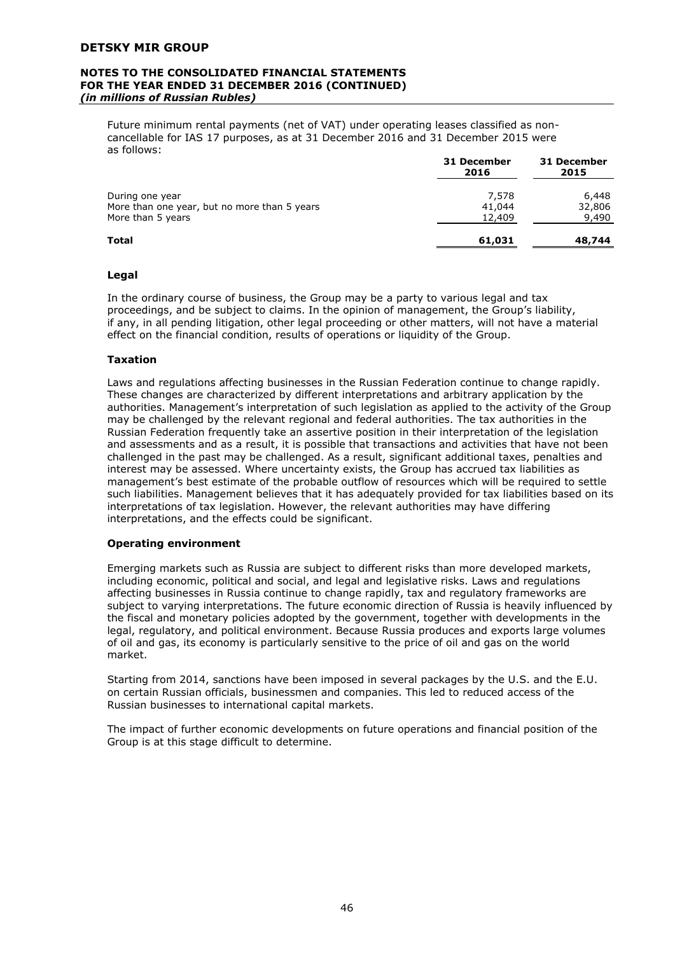#### **NOTES TO THE CONSOLIDATED FINANCIAL STATEMENTS FOR THE YEAR ENDED 31 DECEMBER 2016 (CONTINUED)** *(in millions of Russian Rubles)*

Future minimum rental payments (net of VAT) under operating leases classified as noncancellable for IAS 17 purposes, as at 31 December 2016 and 31 December 2015 were as follows:

| 31 December<br>2016 | 31 December<br>2015 |
|---------------------|---------------------|
| 7,578               | 6,448               |
| 41,044              | 32,806              |
| 12,409              | 9,490               |
| 61,031              | 48,744              |
|                     |                     |

#### **Legal**

In the ordinary course of business, the Group may be a party to various legal and tax proceedings, and be subject to claims. In the opinion of management, the Group's liability, if any, in all pending litigation, other legal proceeding or other matters, will not have a material effect on the financial condition, results of operations or liquidity of the Group.

#### **Taxation**

Laws and regulations affecting businesses in the Russian Federation continue to change rapidly. These changes are characterized by different interpretations and arbitrary application by the authorities. Management's interpretation of such legislation as applied to the activity of the Group may be challenged by the relevant regional and federal authorities. The tax authorities in the Russian Federation frequently take an assertive position in their interpretation of the legislation and assessments and as a result, it is possible that transactions and activities that have not been challenged in the past may be challenged. As a result, significant additional taxes, penalties and interest may be assessed. Where uncertainty exists, the Group has accrued tax liabilities as management's best estimate of the probable outflow of resources which will be required to settle such liabilities. Management believes that it has adequately provided for tax liabilities based on its interpretations of tax legislation. However, the relevant authorities may have differing interpretations, and the effects could be significant.

#### **Operating environment**

Emerging markets such as Russia are subject to different risks than more developed markets, including economic, political and social, and legal and legislative risks. Laws and regulations affecting businesses in Russia continue to change rapidly, tax and regulatory frameworks are subject to varying interpretations. The future economic direction of Russia is heavily influenced by the fiscal and monetary policies adopted by the government, together with developments in the legal, regulatory, and political environment. Because Russia produces and exports large volumes of oil and gas, its economy is particularly sensitive to the price of oil and gas on the world market.

Starting from 2014, sanctions have been imposed in several packages by the U.S. and the E.U. on certain Russian officials, businessmen and companies. This led to reduced access of the Russian businesses to international capital markets.

The impact of further economic developments on future operations and financial position of the Group is at this stage difficult to determine.